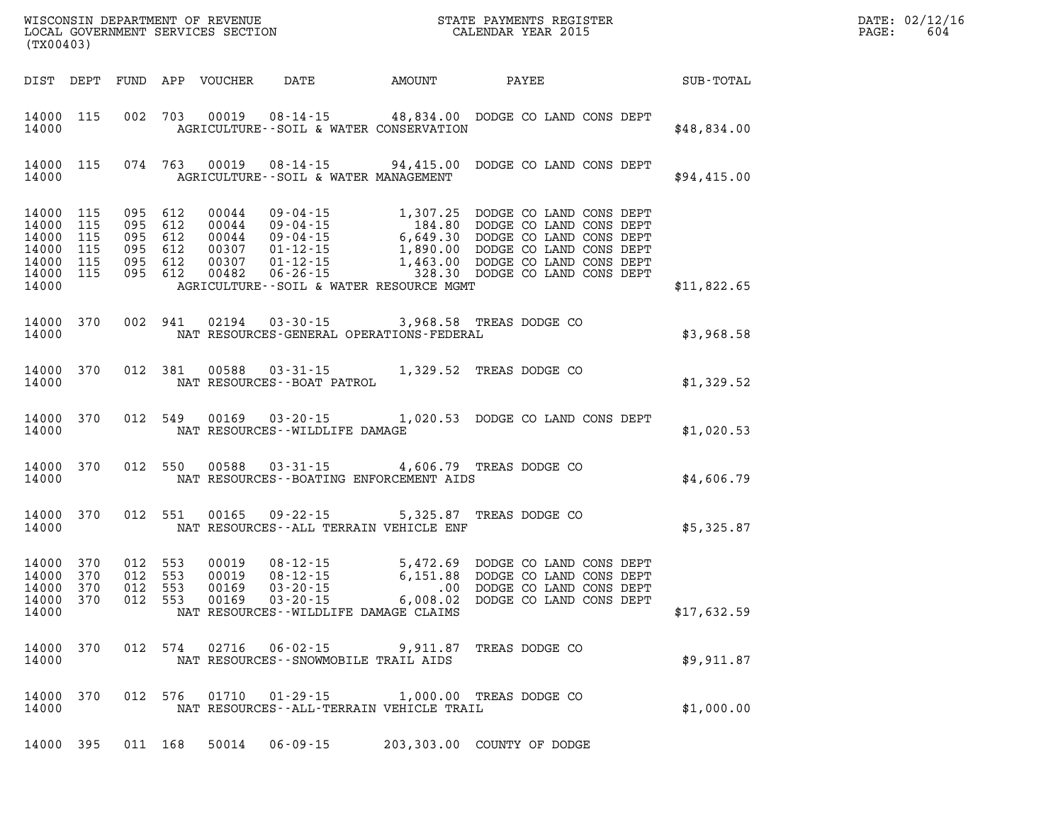| (TX00403)                                                                   |            |                                                                |         |                                                    |                                                                 |                                                                                                                                                                                                                                                                |             | DATE: 02/12/16<br>PAGE:<br>604 |
|-----------------------------------------------------------------------------|------------|----------------------------------------------------------------|---------|----------------------------------------------------|-----------------------------------------------------------------|----------------------------------------------------------------------------------------------------------------------------------------------------------------------------------------------------------------------------------------------------------------|-------------|--------------------------------|
| DIST DEPT                                                                   |            |                                                                |         |                                                    |                                                                 |                                                                                                                                                                                                                                                                |             |                                |
| 14000 115<br>14000                                                          |            |                                                                |         |                                                    | AGRICULTURE--SOIL & WATER CONSERVATION                          | 002 703 00019 08-14-15 48,834.00 DODGE CO LAND CONS DEPT                                                                                                                                                                                                       | \$48,834.00 |                                |
| 14000 115<br>14000                                                          |            |                                                                |         |                                                    | AGRICULTURE--SOIL & WATER MANAGEMENT                            | 074 763 00019 08-14-15 94,415.00 DODGE CO LAND CONS DEPT                                                                                                                                                                                                       | \$94,415.00 |                                |
| 14000 115<br>14000 115<br>14000<br>14000<br>14000 115<br>14000 115<br>14000 | 115<br>115 | 095 612<br>095 612<br>095 612<br>095 612<br>095 612<br>095 612 |         | 00044<br>00044<br>00044<br>00307<br>00307<br>00482 | AGRICULTURE--SOIL & WATER RESOURCE MGMT                         | 09-04-15<br>09-04-15<br>09-04-15<br>184.80<br>00DGE CO LAND CONS DEPT<br>09-04-15<br>6,649.30<br>DODGE CO LAND CONS DEPT<br>01-12-15<br>1,890.00<br>DODGE CO LAND CONS DEPT<br>01-12-15<br>1,463.00<br>DODGE CO LAND CONS DEPT<br>06-26-15<br>1,463.00<br>DODG | \$11,822.65 |                                |
| 14000 370<br>14000                                                          |            |                                                                |         |                                                    | NAT RESOURCES-GENERAL OPERATIONS-FEDERAL                        | $\begin{array}{cccc} 002 & 941 & 02194 & 03\text{-}30\text{-}15 & 3,968.58 & \text{TREAS DODGE CO} & \\ \text{NAT RESOURCES-GENERAL OPERATIONS-FEDERAL} & & \text{$3,968.58$} & \\ \end{array}$                                                                |             |                                |
| 14000 370<br>14000                                                          |            |                                                                |         |                                                    | NAT RESOURCES--BOAT PATROL                                      | 012 381 00588 03-31-15 1,329.52 TREAS DODGE CO                                                                                                                                                                                                                 | \$1,329.52  |                                |
| 14000                                                                       |            |                                                                |         |                                                    | NAT RESOURCES - WILDLIFE DAMAGE                                 | 14000 370 012 549 00169 03-20-15 1,020.53 DODGE CO LAND CONS DEPT                                                                                                                                                                                              | \$1,020.53  |                                |
| 14000 370<br>14000                                                          |            |                                                                |         |                                                    | NAT RESOURCES - - BOATING ENFORCEMENT AIDS                      | 012 550 00588 03-31-15 4,606.79 TREAS DODGE CO<br>NAT RESOURCES--BOATING ENFORCEMENT AIDS \$4,606.79                                                                                                                                                           |             |                                |
| 14000 370<br>14000                                                          |            |                                                                | 012 551 |                                                    | NAT RESOURCES -- ALL TERRAIN VEHICLE ENF                        | 00165  09-22-15  5,325.87  TREAS DODGE CO  \$5,325.87                                                                                                                                                                                                          |             |                                |
| 14000 370<br>14000 370<br>14000 370<br>14000 370<br>14000                   |            | 012 553<br>012 553<br>012<br>012 553                           | 553     | 00019<br>00019<br>00169<br>00169                   | NAT RESOURCES--WILDLIFE DAMAGE CLAIMS                           |                                                                                                                                                                                                                                                                | \$17,632.59 |                                |
| 14000<br>14000                                                              | 370        |                                                                | 012 574 | 02716                                              | $06 - 02 - 15$<br>NAT RESOURCES - - SNOWMOBILE TRAIL AIDS       | 9,911.87 TREAS DODGE CO                                                                                                                                                                                                                                        | \$9,911.87  |                                |
| 14000<br>14000                                                              | 370        |                                                                | 012 576 | 01710                                              | $01 - 29 - 15$<br>NAT RESOURCES - - ALL - TERRAIN VEHICLE TRAIL | 1,000.00 TREAS DODGE CO                                                                                                                                                                                                                                        | \$1,000.00  |                                |
| 14000 395                                                                   |            | 011 168                                                        |         | 50014                                              | $06 - 09 - 15$                                                  | 203,303.00 COUNTY OF DODGE                                                                                                                                                                                                                                     |             |                                |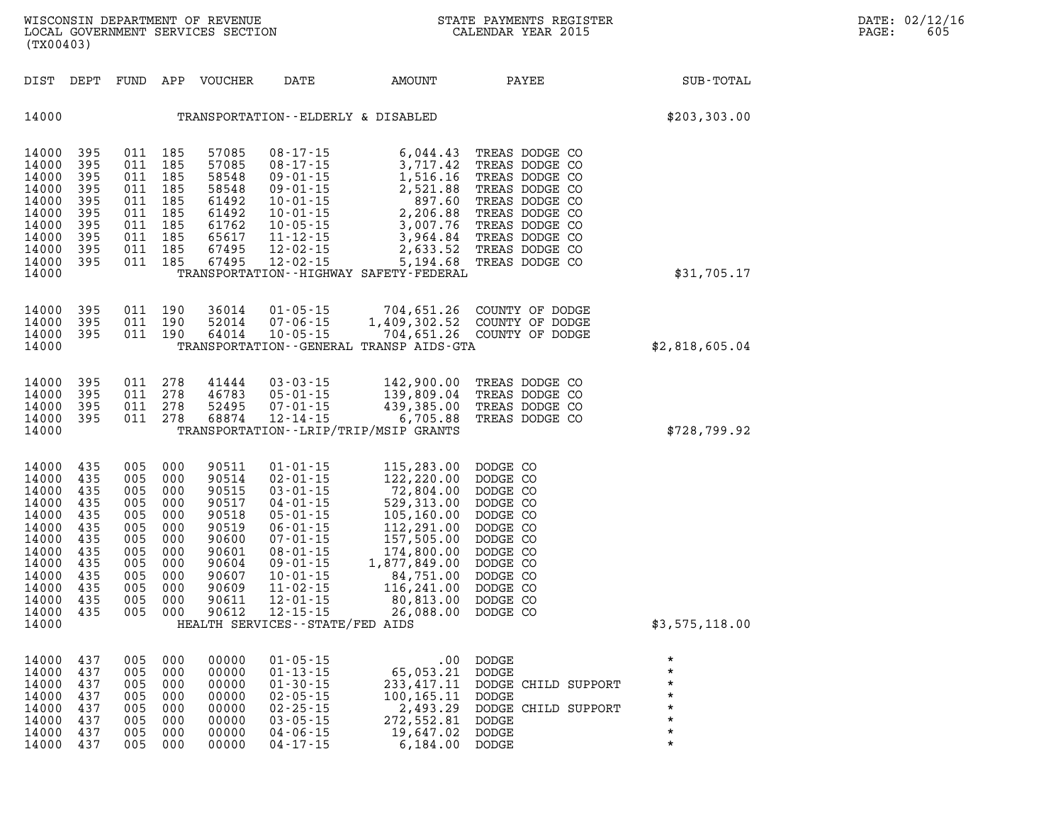| (TX00403)                                                                                                         |                                                                                               |            |                                                                                                                          |                                                                                                          | WISCONSIN DEPARTMENT OF REVENUE<br>LOCAL GOVERNMENT SERVICES SECTION<br>(TILO CON                                                                                                                                                                                                    |                                                                                                                                                                                                             | STATE PAYMENTS REGISTER<br>CALENDAR YEAR 2015                                                                        |                                     | DATE: 02/12/16<br>$\mathtt{PAGE}$ :<br>605 |
|-------------------------------------------------------------------------------------------------------------------|-----------------------------------------------------------------------------------------------|------------|--------------------------------------------------------------------------------------------------------------------------|----------------------------------------------------------------------------------------------------------|--------------------------------------------------------------------------------------------------------------------------------------------------------------------------------------------------------------------------------------------------------------------------------------|-------------------------------------------------------------------------------------------------------------------------------------------------------------------------------------------------------------|----------------------------------------------------------------------------------------------------------------------|-------------------------------------|--------------------------------------------|
|                                                                                                                   | DIST DEPT                                                                                     |            |                                                                                                                          | FUND APP VOUCHER                                                                                         | DATE                                                                                                                                                                                                                                                                                 | AMOUNT                                                                                                                                                                                                      | PAYEE                                                                                                                | SUB-TOTAL                           |                                            |
| 14000                                                                                                             |                                                                                               |            |                                                                                                                          |                                                                                                          |                                                                                                                                                                                                                                                                                      | TRANSPORTATION--ELDERLY & DISABLED                                                                                                                                                                          |                                                                                                                      | \$203,303.00                        |                                            |
| 14000<br>14000<br>14000<br>14000<br>14000<br>14000<br>14000<br>14000<br>14000<br>14000<br>14000                   | 395<br>395<br>395<br>395<br>395<br>395<br>395<br>395<br>395<br>395                            |            | 011 185<br>011 185<br>011 185<br>011 185<br>011 185<br>011 185<br>011 185<br>011 185<br>011 185<br>011 185               | 57085<br>67495                                                                                           | $08 - 17 - 15$<br>12-02-15                                                                                                                                                                                                                                                           | TRANSPORTATION - - HIGHWAY SAFETY - FEDERAL                                                                                                                                                                 | 6,044.43 TREAS DODGE CO<br>5,194.68 TREAS DODGE CO                                                                   | \$31,705.17                         |                                            |
| 14000<br>14000<br>14000<br>14000                                                                                  | 395<br>395<br>395                                                                             |            | 011 190<br>011 190<br>011 190                                                                                            | 36014                                                                                                    | $01 - 05 - 15$<br>52014 07-06-15<br>64014 10-05-15                                                                                                                                                                                                                                   | TRANSPORTATION - - GENERAL TRANSP AIDS - GTA                                                                                                                                                                | 704,651.26 COUNTY OF DODGE<br>1,409,302.52 COUNTY OF DODGE<br>704,651.26 COUNTY OF DODGE                             | \$2,818,605.04                      |                                            |
| 14000<br>14000<br>14000<br>14000<br>14000                                                                         | 395<br>395<br>395<br>395                                                                      |            | 011 278<br>011 278<br>011 278<br>011 278                                                                                 | 41444<br>46783<br>52495<br>68874                                                                         | 03 - 03 - 15<br>05 - 01 - 15<br>05-01-15<br>07-01-15<br>$12 - 14 - 15$                                                                                                                                                                                                               | 439,385.00<br>6,705.88<br>TRANSPORTATION - - LRIP/TRIP/MSIP GRANTS                                                                                                                                          | 142,900.00 TREAS DODGE CO<br>139,809.04 TREAS DODGE CO<br>TREAS DODGE CO<br>TREAS DODGE CO                           | \$728,799.92                        |                                            |
| 14000<br>14000<br>14000<br>14000<br>14000<br>14000<br>14000<br>14000<br>14000<br>14000<br>14000<br>14000<br>14000 | 435<br>435<br>435<br>435<br>435<br>435<br>435<br>435<br>435<br>435<br>435<br>435<br>14000 435 | 005<br>005 | 005 000<br>005 000<br>005 000<br>000<br>005 000<br>000<br>005 000<br>005 000<br>005 000<br>005 000<br>005 000<br>005 000 | 90511<br>90514<br>90515<br>90517<br>90518<br>90519<br>90600<br>90601<br>90604<br>90607<br>90609<br>90611 | $01 - 01 - 15$<br>$02 - 01 - 15$<br>$03 - 01 - 15$<br>$04 - 01 - 15$<br>$05 - 01 - 15$<br>$06 - 01 - 15$<br>$07 - 01 - 15$<br>$08 - 01 - 15$<br>$09 - 01 - 15$<br>$10 - 01 - 15$<br>$11 - 02 - 15$<br>$12 - 01 - 15$<br>005 000 90612 12-15-15<br>HEALTH SERVICES - - STATE/FED AIDS | 115,283.00 DODGE CO<br>122,220.00 DODGE CO<br>72,804.00<br>529,313.00<br>105,160.00<br>112,291.00<br>157,505.00<br>174,800.00<br>1,877,849.00<br>84,751.00<br>116,241.00<br>80,813.00<br>26,088.00 DODGE CO | DODGE CO<br>DODGE CO<br>DODGE CO<br>DODGE CO<br>DODGE CO<br>DODGE CO<br>DODGE CO<br>DODGE CO<br>DODGE CO<br>DODGE CO | \$3,575,118.00                      |                                            |
| 14000<br>14000<br>14000<br>14000<br>14000                                                                         | 14000 437<br>437<br>437<br>437<br>437<br>437<br>14000 437                                     |            | 005 000<br>005 000<br>005 000<br>005 000<br>005 000<br>005 000<br>005 000                                                | 00000<br>00000<br>00000<br>00000<br>00000<br>00000<br>00000                                              | $01 - 05 - 15$<br>$01 - 13 - 15$<br>$01 - 30 - 15$<br>$02 - 05 - 15$<br>$02 - 25 - 15$<br>$03 - 05 - 15$<br>$04 - 06 - 15$                                                                                                                                                           | 65,053.21 DODGE<br>100,165.11 DODGE<br>272,552.81 DODGE<br>19,647.02 DODGE                                                                                                                                  | $.00$ DODGE<br>233,417.11 DODGE CHILD SUPPORT<br>2,493.29 DODGE CHILD SUPPORT                                        | *<br>$^\star$<br>$\star$<br>$\star$ |                                            |

**14000 437 005 000 00000 04-17-15 6,184.00 DODGE \***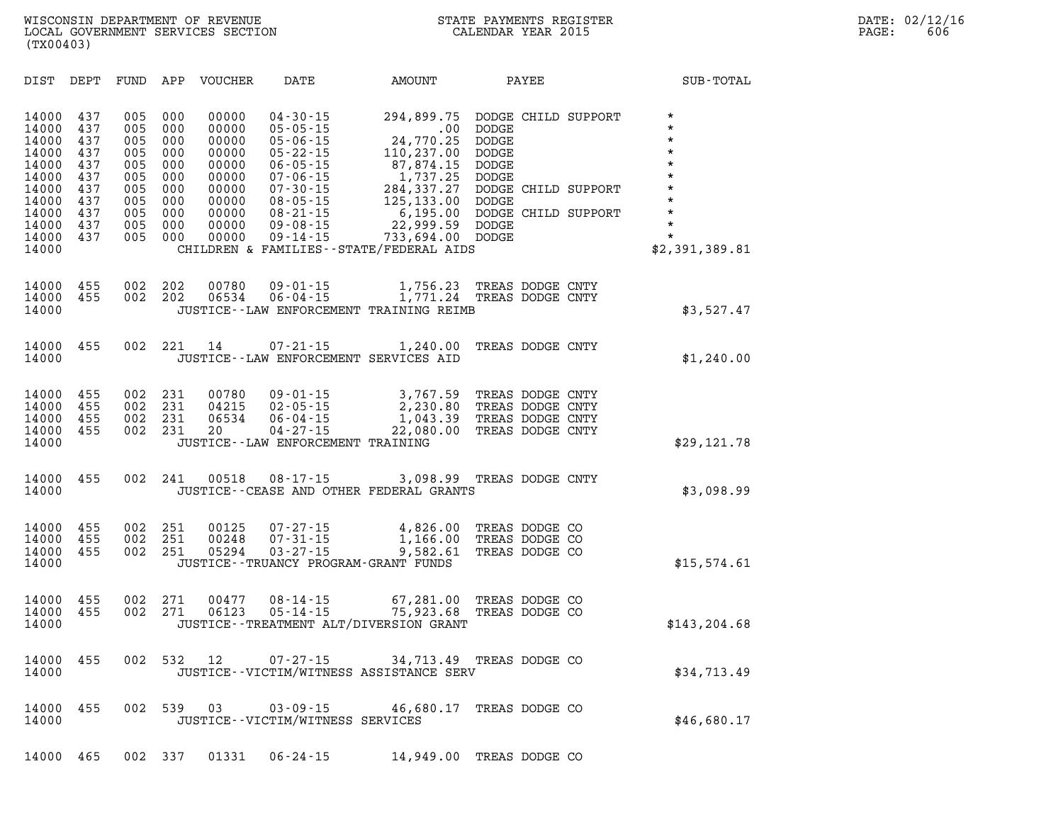| DIST                                                                                                     | DEPT                                                                      | FUND                                                                      | APP                                                                       | <b>VOUCHER</b>                                                                                  | DATE                                                                                                                                                                                               | AMOUNT                                                                                                                                                                                  |                                                                                                                              | PAYEE |                                                                   | SUB-TOTAL                                                                                                                               |
|----------------------------------------------------------------------------------------------------------|---------------------------------------------------------------------------|---------------------------------------------------------------------------|---------------------------------------------------------------------------|-------------------------------------------------------------------------------------------------|----------------------------------------------------------------------------------------------------------------------------------------------------------------------------------------------------|-----------------------------------------------------------------------------------------------------------------------------------------------------------------------------------------|------------------------------------------------------------------------------------------------------------------------------|-------|-------------------------------------------------------------------|-----------------------------------------------------------------------------------------------------------------------------------------|
| 14000<br>14000<br>14000<br>14000<br>14000<br>14000<br>14000<br>14000<br>14000<br>14000<br>14000<br>14000 | 437<br>437<br>437<br>437<br>437<br>437<br>437<br>437<br>437<br>437<br>437 | 005<br>005<br>005<br>005<br>005<br>005<br>005<br>005<br>005<br>005<br>005 | 000<br>000<br>000<br>000<br>000<br>000<br>000<br>000<br>000<br>000<br>000 | 00000<br>00000<br>00000<br>00000<br>00000<br>00000<br>00000<br>00000<br>00000<br>00000<br>00000 | $04 - 30 - 15$<br>$05 - 05 - 15$<br>$05 - 06 - 15$<br>$05 - 22 - 15$<br>$06 - 05 - 15$<br>$07 - 06 - 15$<br>$07 - 30 - 15$<br>$08 - 05 - 15$<br>$08 - 21 - 15$<br>$09 - 08 - 15$<br>$09 - 14 - 15$ | 294,899.75<br>.00<br>24,770.25<br>110,237.00<br>87,874.15<br>1,737.25<br>284,337.27<br>125, 133.00<br>6,195.00<br>22,999.59<br>733,694.00<br>CHILDREN & FAMILIES - - STATE/FEDERAL AIDS | <b>DODGE</b><br><b>DODGE</b><br><b>DODGE</b><br><b>DODGE</b><br><b>DODGE</b><br><b>DODGE</b><br><b>DODGE</b><br><b>DODGE</b> |       | DODGE CHILD SUPPORT<br>DODGE CHILD SUPPORT<br>DODGE CHILD SUPPORT | $\star$<br>$\star$<br>$\star$<br>$\star$<br>$\star$<br>$\star$<br>$\star$<br>$\star$<br>$\star$<br>$\star$<br>$\star$<br>\$2,391,389.81 |
| 14000<br>14000<br>14000                                                                                  | 455<br>455                                                                | 002<br>002                                                                | 202<br>202                                                                | 00780<br>06534                                                                                  | $09 - 01 - 15$<br>$06 - 04 - 15$                                                                                                                                                                   | 1,756.23<br>1,771.24<br>JUSTICE -- LAW ENFORCEMENT TRAINING REIMB                                                                                                                       | TREAS DODGE CNTY<br>TREAS DODGE CNTY                                                                                         |       |                                                                   | \$3,527.47                                                                                                                              |
| 14000<br>14000                                                                                           | 455                                                                       | 002                                                                       | 221                                                                       | 14                                                                                              | 07-21-15                                                                                                                                                                                           | 1,240.00<br>JUSTICE -- LAW ENFORCEMENT SERVICES AID                                                                                                                                     | TREAS DODGE CNTY                                                                                                             |       |                                                                   | \$1,240.00                                                                                                                              |
| 14000<br>14000<br>14000<br>14000<br>14000                                                                | 455<br>455<br>455<br>455                                                  | 002<br>002<br>002<br>002                                                  | 231<br>231<br>231<br>231                                                  | 00780<br>04215<br>06534<br>20                                                                   | $09 - 01 - 15$<br>$02 - 05 - 15$<br>$06 - 04 - 15$<br>$04 - 27 - 15$<br>JUSTICE - - LAW ENFORCEMENT TRAINING                                                                                       | 3,767.59<br>2,230.80<br>1,043.39<br>22,080.00                                                                                                                                           | TREAS DODGE CNTY<br>TREAS DODGE CNTY<br>TREAS DODGE CNTY<br>TREAS DODGE CNTY                                                 |       |                                                                   | \$29,121.78                                                                                                                             |
| 14000<br>14000                                                                                           | 455                                                                       | 002                                                                       | 241                                                                       | 00518                                                                                           | $08 - 17 - 15$                                                                                                                                                                                     | 3,098.99<br>JUSTICE--CEASE AND OTHER FEDERAL GRANTS                                                                                                                                     | TREAS DODGE CNTY                                                                                                             |       |                                                                   | \$3,098.99                                                                                                                              |
| 14000<br>14000<br>14000<br>14000                                                                         | 455<br>455<br>455                                                         | 002<br>002<br>002                                                         | 251<br>251<br>251                                                         | 00125<br>00248<br>05294                                                                         | $07 - 27 - 15$<br>$07 - 31 - 15$<br>$03 - 27 - 15$                                                                                                                                                 | 4,826.00<br>1,166.00<br>9,582.61<br>JUSTICE - - TRUANCY PROGRAM - GRANT FUNDS                                                                                                           | TREAS DODGE CO<br>TREAS DODGE CO<br>TREAS DODGE CO                                                                           |       |                                                                   | \$15,574.61                                                                                                                             |
| 14000<br>14000<br>14000                                                                                  | 455<br>455                                                                | 002<br>002                                                                | 271<br>271                                                                | 00477<br>06123                                                                                  | $08 - 14 - 15$<br>$05 - 14 - 15$                                                                                                                                                                   | 67,281.00<br>75,923.68<br>JUSTICE - - TREATMENT ALT/DIVERSION GRANT                                                                                                                     | TREAS DODGE CO<br>TREAS DODGE CO                                                                                             |       |                                                                   | \$143, 204.68                                                                                                                           |
| 14000<br>14000                                                                                           | 455                                                                       | 002                                                                       | 532                                                                       | 12                                                                                              | $07 - 27 - 15$                                                                                                                                                                                     | 34,713.49<br>JUSTICE--VICTIM/WITNESS ASSISTANCE SERV                                                                                                                                    | TREAS DODGE CO                                                                                                               |       |                                                                   | \$34,713.49                                                                                                                             |
| 14000<br>14000                                                                                           | 455                                                                       | 002                                                                       | 539                                                                       | 03                                                                                              | $03 - 09 - 15$<br>JUSTICE - - VICTIM/WITNESS SERVICES                                                                                                                                              | 46,680.17                                                                                                                                                                               | TREAS DODGE CO                                                                                                               |       |                                                                   | \$46,680.17                                                                                                                             |

**14000 465 002 337 01331 06-24-15 14,949.00 TREAS DODGE CO**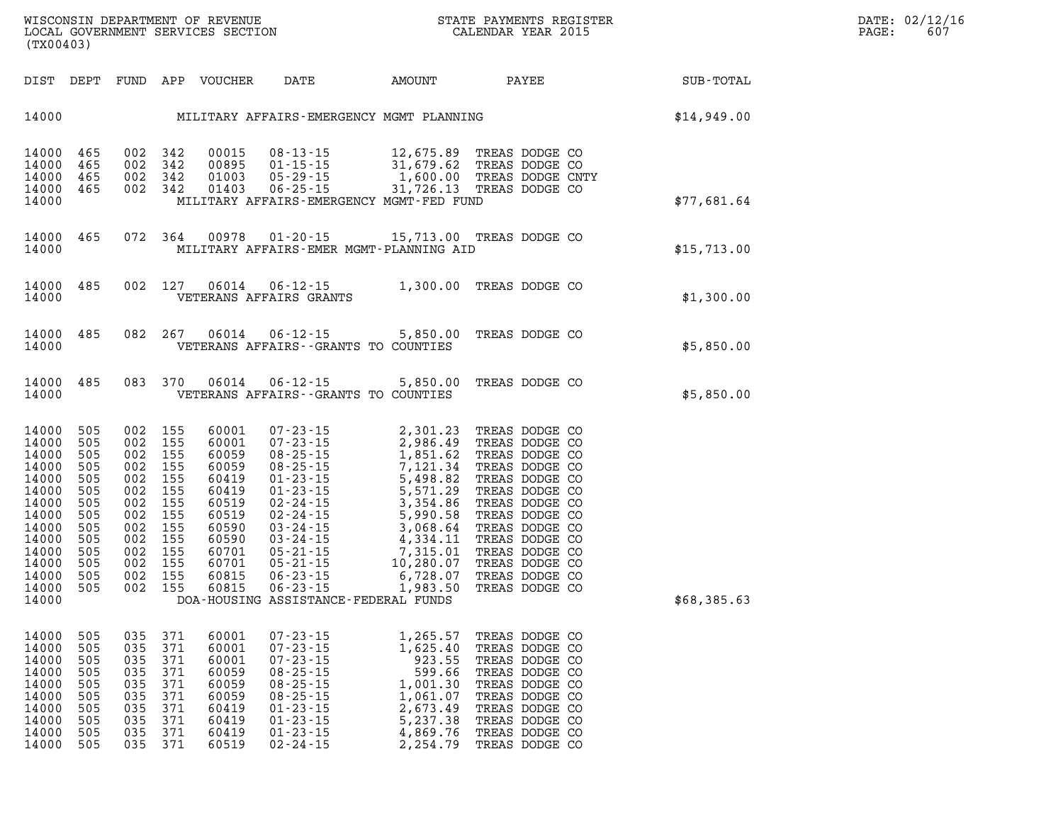| DIST                                                                                                                                | DEPT                                                                                           | FUND                                                                                           | APP                                                                                            | VOUCHER                                                                                                                    | DATE                                                                                                                                                                                                         | AMOUNT                                                                                                                                                                                                        | PAYEE                                                                                                                                                                                                                                                    | SUB-TOTAL   |
|-------------------------------------------------------------------------------------------------------------------------------------|------------------------------------------------------------------------------------------------|------------------------------------------------------------------------------------------------|------------------------------------------------------------------------------------------------|----------------------------------------------------------------------------------------------------------------------------|--------------------------------------------------------------------------------------------------------------------------------------------------------------------------------------------------------------|---------------------------------------------------------------------------------------------------------------------------------------------------------------------------------------------------------------|----------------------------------------------------------------------------------------------------------------------------------------------------------------------------------------------------------------------------------------------------------|-------------|
| 14000                                                                                                                               |                                                                                                |                                                                                                |                                                                                                |                                                                                                                            |                                                                                                                                                                                                              | MILITARY AFFAIRS-EMERGENCY MGMT PLANNING                                                                                                                                                                      |                                                                                                                                                                                                                                                          | \$14,949.00 |
| 14000<br>14000<br>14000<br>14000<br>14000                                                                                           | 465<br>465<br>465<br>465                                                                       | 002<br>002<br>002<br>002                                                                       | 342<br>342<br>342<br>342                                                                       | 00015<br>00895<br>01003<br>01403                                                                                           | $08 - 13 - 15$<br>$01 - 15 - 15$<br>$05 - 29 - 15$<br>$06 - 25 - 15$                                                                                                                                         | 12,675.89<br>31,679.62<br>1,600.00<br>31,726.13<br>MILITARY AFFAIRS-EMERGENCY MGMT-FED FUND                                                                                                                   | TREAS DODGE CO<br>TREAS DODGE CO<br>TREAS DODGE CNTY<br>TREAS DODGE CO                                                                                                                                                                                   | \$77,681.64 |
| 14000<br>14000                                                                                                                      | 465                                                                                            | 072                                                                                            | 364                                                                                            | 00978                                                                                                                      | $01 - 20 - 15$                                                                                                                                                                                               | 15,713.00<br>MILITARY AFFAIRS-EMER MGMT-PLANNING AID                                                                                                                                                          | TREAS DODGE CO                                                                                                                                                                                                                                           | \$15,713.00 |
| 14000<br>14000                                                                                                                      | 485                                                                                            | 002                                                                                            | 127                                                                                            | 06014                                                                                                                      | $06 - 12 - 15$<br>VETERANS AFFAIRS GRANTS                                                                                                                                                                    | 1,300.00                                                                                                                                                                                                      | TREAS DODGE CO                                                                                                                                                                                                                                           | \$1,300.00  |
| 14000<br>14000                                                                                                                      | 485                                                                                            | 082                                                                                            | 267                                                                                            | 06014                                                                                                                      | $06 - 12 - 15$                                                                                                                                                                                               | 5,850.00<br>VETERANS AFFAIRS -- GRANTS TO COUNTIES                                                                                                                                                            | TREAS DODGE CO                                                                                                                                                                                                                                           | \$5,850.00  |
| 14000<br>14000                                                                                                                      | 485                                                                                            | 083                                                                                            | 370                                                                                            | 06014                                                                                                                      | $06 - 12 - 15$                                                                                                                                                                                               | 5,850.00<br>VETERANS AFFAIRS - - GRANTS TO COUNTIES                                                                                                                                                           | TREAS DODGE CO                                                                                                                                                                                                                                           | \$5,850.00  |
| 14000<br>14000<br>14000<br>14000<br>14000<br>14000<br>14000<br>14000<br>14000<br>14000<br>14000<br>14000<br>14000<br>14000<br>14000 | 505<br>505<br>505<br>505<br>505<br>505<br>505<br>505<br>505<br>505<br>505<br>505<br>505<br>505 | 002<br>002<br>002<br>002<br>002<br>002<br>002<br>002<br>002<br>002<br>002<br>002<br>002<br>002 | 155<br>155<br>155<br>155<br>155<br>155<br>155<br>155<br>155<br>155<br>155<br>155<br>155<br>155 | 60001<br>60001<br>60059<br>60059<br>60419<br>60419<br>60519<br>60519<br>60590<br>60590<br>60701<br>60701<br>60815<br>60815 | $07 - 23 - 15$<br>$07 - 23 - 15$<br>$08 - 25 - 15$<br>08 - 25 - 15<br>08 - 25 - 15<br>$01 - 23 - 15$<br>01 - 23 - 15<br>02 - 24 - 15<br>$05 - 21 - 15$<br>$05 - 21 - 15$<br>$06 - 23 - 15$<br>$06 - 23 - 15$ | 2,301.23<br>2,986.49<br>1,851.62<br>7,121.34<br>5,498.82<br>5,571.29<br>3,354.86<br>5,990.58<br>3,068.64<br>4,334.11<br>7,315.01<br>10,280.07<br>6,728.07<br>1,983.50<br>DOA-HOUSING ASSISTANCE-FEDERAL FUNDS | TREAS DODGE CO<br>TREAS DODGE CO<br>TREAS DODGE CO<br>TREAS DODGE CO<br>TREAS DODGE CO<br>TREAS DODGE CO<br>TREAS DODGE CO<br>TREAS DODGE CO<br>TREAS DODGE CO<br>TREAS DODGE CO<br>TREAS DODGE CO<br>TREAS DODGE CO<br>TREAS DODGE CO<br>TREAS DODGE CO | \$68,385.63 |
| 14000<br>14000<br>14000<br>14000<br>14000<br>14000<br>14000<br>14000<br>14000<br>14000                                              | 505<br>505<br>505<br>505<br>505<br>505<br>505<br>505<br>505<br>505                             | 035<br>035<br>035<br>035<br>035<br>035<br>035<br>035<br>035<br>035                             | 371<br>371<br>371<br>371<br>371<br>371<br>371<br>371<br>371<br>371                             | 60001<br>60001<br>60001<br>60059<br>60059<br>60059<br>60419<br>60419<br>60419<br>60519                                     | $07 - 23 - 15$<br>$07 - 23 - 15$<br>$07 - 23 - 15$<br>$08 - 25 - 15$<br>$08 - 25 - 15$<br>$08 - 25 - 15$<br>$00 - 23 - 15$<br>01 - 23 - 15<br>$01 - 23 - 15$<br>$01 - 23 - 15$<br>$02 - 24 - 15$             | 1,265.57<br>1,625.40<br>923.55<br>599.66<br>1,001.30<br>1,061.07<br>2,673.49<br>5,237.38<br>4,869.76<br>2,254.79                                                                                              | TREAS DODGE CO<br>TREAS DODGE CO<br>TREAS DODGE CO<br>TREAS DODGE CO<br>TREAS DODGE CO<br>TREAS DODGE CO<br>TREAS DODGE CO<br>TREAS DODGE CO<br>TREAS DODGE CO<br>TREAS DODGE CO                                                                         |             |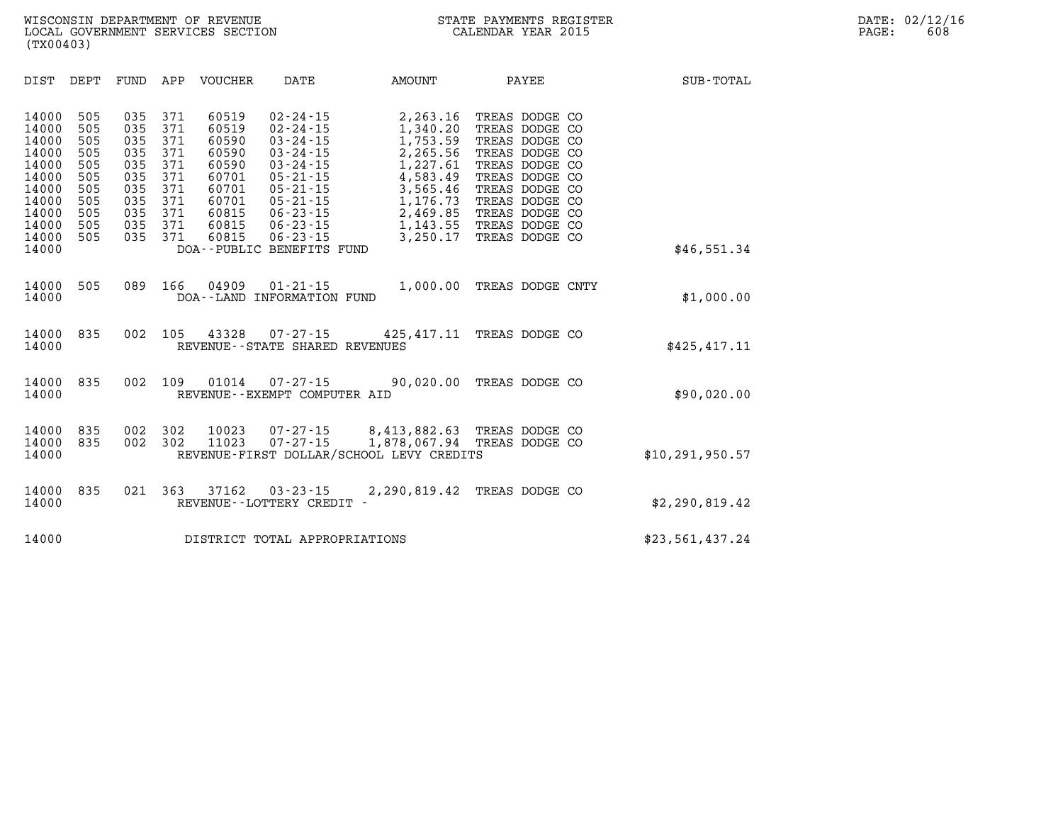| DIST                                                                                                     | DEPT                                                                      | FUND                                                                      | APP                                                                       | VOUCHER                                                                                         | DATE                                                                                                                                                                                                                            | AMOUNT                                                                                                                           | PAYEE                                                                                                                                                                                              | SUB-TOTAL         |
|----------------------------------------------------------------------------------------------------------|---------------------------------------------------------------------------|---------------------------------------------------------------------------|---------------------------------------------------------------------------|-------------------------------------------------------------------------------------------------|---------------------------------------------------------------------------------------------------------------------------------------------------------------------------------------------------------------------------------|----------------------------------------------------------------------------------------------------------------------------------|----------------------------------------------------------------------------------------------------------------------------------------------------------------------------------------------------|-------------------|
| 14000<br>14000<br>14000<br>14000<br>14000<br>14000<br>14000<br>14000<br>14000<br>14000<br>14000<br>14000 | 505<br>505<br>505<br>505<br>505<br>505<br>505<br>505<br>505<br>505<br>505 | 035<br>035<br>035<br>035<br>035<br>035<br>035<br>035<br>035<br>035<br>035 | 371<br>371<br>371<br>371<br>371<br>371<br>371<br>371<br>371<br>371<br>371 | 60519<br>60519<br>60590<br>60590<br>60590<br>60701<br>60701<br>60701<br>60815<br>60815<br>60815 | $02 - 24 - 15$<br>$02 - 24 - 15$<br>$03 - 24 - 15$<br>$03 - 24 - 15$<br>$03 - 24 - 15$<br>$05 - 21 - 15$<br>$05 - 21 - 15$<br>$05 - 21 - 15$<br>$06 - 23 - 15$<br>$06 - 23 - 15$<br>$06 - 23 - 15$<br>DOA--PUBLIC BENEFITS FUND | 2,263.16<br>1,340.20<br>1,753.59<br>2,265.56<br>1,227.61<br>4,583.49<br>3,565.46<br>1,176.73<br>2,469.85<br>1,143.55<br>3,250.17 | TREAS DODGE CO<br>TREAS DODGE CO<br>TREAS DODGE CO<br>TREAS DODGE CO<br>TREAS DODGE CO<br>TREAS DODGE CO<br>TREAS DODGE CO<br>TREAS DODGE CO<br>TREAS DODGE CO<br>TREAS DODGE CO<br>TREAS DODGE CO | \$46,551.34       |
| 14000<br>14000                                                                                           | 505                                                                       | 089                                                                       | 166                                                                       | 04909                                                                                           | $01 - 21 - 15$<br>DOA--LAND INFORMATION FUND                                                                                                                                                                                    | 1,000.00                                                                                                                         | TREAS DODGE CNTY                                                                                                                                                                                   | \$1,000.00        |
| 14000<br>14000                                                                                           | 835                                                                       | 002                                                                       | 105                                                                       | 43328                                                                                           | 07-27-15<br>REVENUE - - STATE SHARED REVENUES                                                                                                                                                                                   | 425,417.11 TREAS DODGE CO                                                                                                        |                                                                                                                                                                                                    | \$425,417.11      |
| 14000<br>14000                                                                                           | 835                                                                       | 002                                                                       | 109                                                                       | 01014                                                                                           | 07-27-15<br>REVENUE--EXEMPT COMPUTER AID                                                                                                                                                                                        | 90,020.00                                                                                                                        | TREAS DODGE CO                                                                                                                                                                                     | \$90,020.00       |
| 14000<br>14000<br>14000                                                                                  | 835<br>835                                                                | 002<br>002                                                                | 302<br>302                                                                | 10023<br>11023                                                                                  | $07 - 27 - 15$<br>$07 - 27 - 15$                                                                                                                                                                                                | 8,413,882.63<br>1,878,067.94<br>REVENUE-FIRST DOLLAR/SCHOOL LEVY CREDITS                                                         | TREAS DODGE CO<br>TREAS DODGE CO                                                                                                                                                                   | \$10, 291, 950.57 |
| 14000<br>14000                                                                                           | 835                                                                       | 021                                                                       | 363                                                                       | 37162                                                                                           | $03 - 23 - 15$<br>REVENUE - - LOTTERY CREDIT -                                                                                                                                                                                  | 2,290,819.42                                                                                                                     | TREAS DODGE CO                                                                                                                                                                                     | \$2,290,819.42    |
| 14000                                                                                                    |                                                                           |                                                                           |                                                                           |                                                                                                 | DISTRICT TOTAL APPROPRIATIONS                                                                                                                                                                                                   |                                                                                                                                  |                                                                                                                                                                                                    | \$23,561,437.24   |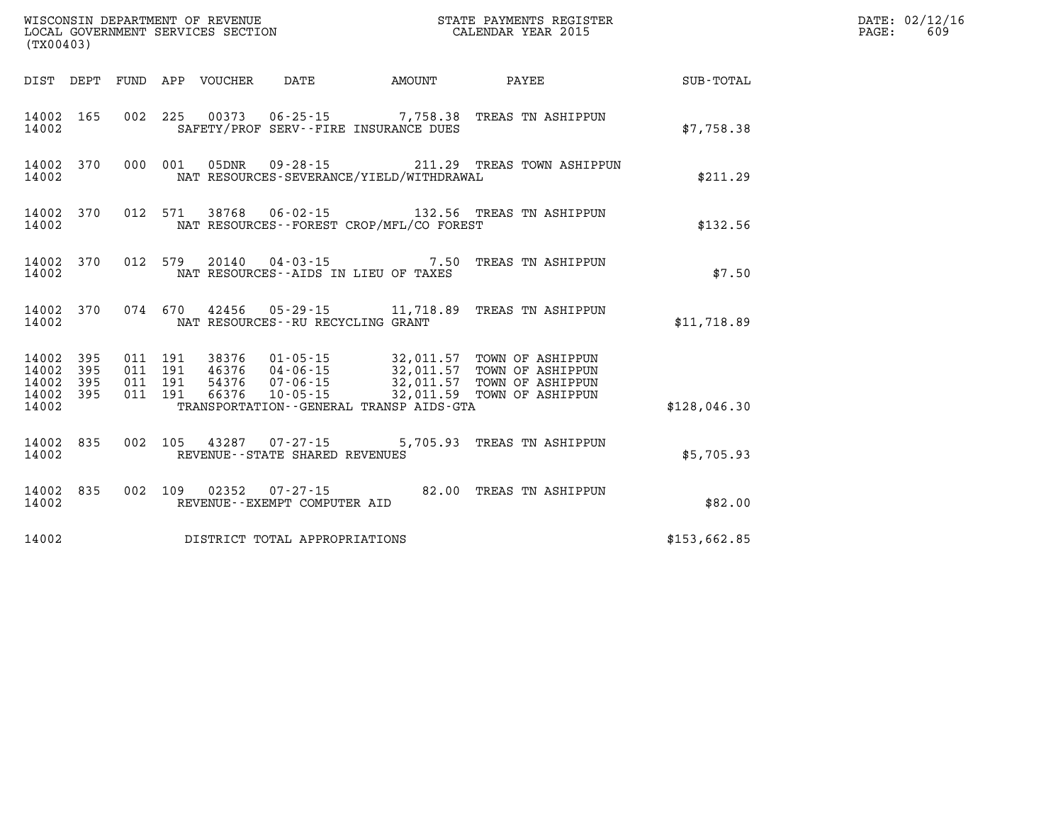| (TX00403) |  |  |                                |                                          | WISCONSIN DEPARTMENT OF REVENUE<br>LOCAL GOVERNMENT SERVICES SECTION<br>CALENDAR YEAR 2015                                                                                                                                              |              | DATE: 02/12/16<br>$\mathtt{PAGE:}$<br>609 |
|-----------|--|--|--------------------------------|------------------------------------------|-----------------------------------------------------------------------------------------------------------------------------------------------------------------------------------------------------------------------------------------|--------------|-------------------------------------------|
|           |  |  |                                |                                          | DIST DEPT FUND APP VOUCHER DATE AMOUNT PAYEE PAYEE SUB-TOTAL                                                                                                                                                                            |              |                                           |
| 14002     |  |  |                                | SAFETY/PROF SERV--FIRE INSURANCE DUES    | 14002 165 002 225 00373 06-25-15 7,758.38 TREAS TN ASHIPPUN                                                                                                                                                                             | \$7,758.38   |                                           |
| 14002     |  |  |                                | NAT RESOURCES-SEVERANCE/YIELD/WITHDRAWAL | 14002 370 000 001 05DNR 09-28-15 211.29 TREAS TOWN ASHIPPUN                                                                                                                                                                             | \$211.29     |                                           |
| 14002     |  |  |                                | NAT RESOURCES--FOREST CROP/MFL/CO FOREST | 14002 370 012 571 38768 06-02-15 132.56 TREAS TN ASHIPPUN                                                                                                                                                                               | \$132.56     |                                           |
| 14002     |  |  |                                | NAT RESOURCES--AIDS IN LIEU OF TAXES     | 14002 370 012 579 20140 04-03-15 7.50 TREAS TN ASHIPPUN                                                                                                                                                                                 | \$7.50       |                                           |
| 14002     |  |  |                                | NAT RESOURCES -- RU RECYCLING GRANT      | 14002 370 074 670 42456 05-29-15 11,718.89 TREAS TN ASHIPPUN                                                                                                                                                                            | \$11,718.89  |                                           |
| 14002     |  |  |                                | TRANSPORTATION--GENERAL TRANSP AIDS-GTA  | 14002 395 011 191 38376 01-05-15 32,011.57 TOWN OF ASHIPPUN<br>14002 395 011 191 46376 04-06-15 32,011.57 TOWN OF ASHIPPUN<br>14002 395 011 191 54376 07-06-15 32,011.57 TOWN OF ASHIPPUN<br>14002 395 011 191 66376 10-05-15 32,011.59 | \$128,046.30 |                                           |
| 14002     |  |  | REVENUE--STATE SHARED REVENUES |                                          | 14002 835 002 105 43287 07-27-15 5,705.93 TREAS TN ASHIPPUN                                                                                                                                                                             | \$5,705.93   |                                           |
| 14002     |  |  | REVENUE--EXEMPT COMPUTER AID   |                                          | 14002 835 002 109 02352 07-27-15 82.00 TREAS TN ASHIPPUN                                                                                                                                                                                | \$82.00      |                                           |
| 14002     |  |  | DISTRICT TOTAL APPROPRIATIONS  |                                          |                                                                                                                                                                                                                                         | \$153,662.85 |                                           |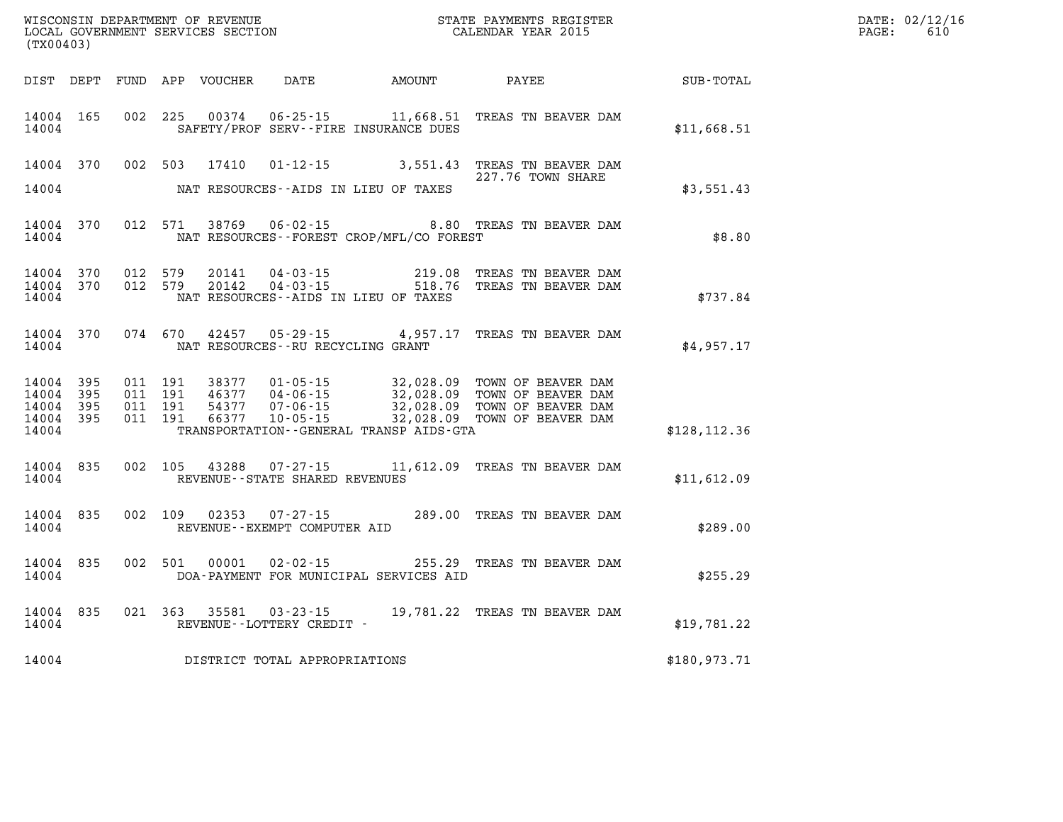| WISCONSIN DEPARTMENT OF REVENUE   | STATE PAYMENTS REGISTER | DATE: | : 02/12/16 |
|-----------------------------------|-------------------------|-------|------------|
| LOCAL GOVERNMENT SERVICES SECTION | CALENDAR YEAR 2015      | PAGE: | 610        |

|                                                       | LOCAL GOVERNMENT SERVICES SECTION<br>(TX00403) |  |                                          |                         |                                   | CALENDAR YEAR 2015                           |                                                                                                                                                                                                      |                                                        | PAGE: | 610 |
|-------------------------------------------------------|------------------------------------------------|--|------------------------------------------|-------------------------|-----------------------------------|----------------------------------------------|------------------------------------------------------------------------------------------------------------------------------------------------------------------------------------------------------|--------------------------------------------------------|-------|-----|
|                                                       |                                                |  |                                          |                         |                                   |                                              |                                                                                                                                                                                                      | DIST DEPT FUND APP VOUCHER DATE AMOUNT PAYEE SUB-TOTAL |       |     |
| 14004                                                 | 14004 165                                      |  |                                          |                         |                                   | SAFETY/PROF SERV--FIRE INSURANCE DUES        | 002 225 00374 06-25-15 11,668.51 TREAS TN BEAVER DAM                                                                                                                                                 | \$11,668.51                                            |       |     |
|                                                       |                                                |  |                                          | 14004 370 002 503 17410 |                                   |                                              | 01-12-15 3,551.43 TREAS TN BEAVER DAM<br>227.76 TOWN SHARE                                                                                                                                           |                                                        |       |     |
| 14004                                                 |                                                |  |                                          |                         |                                   | NAT RESOURCES--AIDS IN LIEU OF TAXES         |                                                                                                                                                                                                      | \$3,551.43                                             |       |     |
| 14004                                                 |                                                |  |                                          |                         |                                   | NAT RESOURCES--FOREST CROP/MFL/CO FOREST     | 14004 370 012 571 38769 06-02-15 8.80 TREAS TN BEAVER DAM                                                                                                                                            | \$8.80                                                 |       |     |
| 14004                                                 | 14004 370<br>14004 370                         |  | 012 579                                  | 20141<br>012 579 20142  |                                   | NAT RESOURCES--AIDS IN LIEU OF TAXES         | 04-03-15 219.08 TREAS TN BEAVER DAM<br>04-03-15 518.76 TREAS TN BEAVER DAM                                                                                                                           | \$737.84                                               |       |     |
| 14004                                                 |                                                |  |                                          | 14004 370 074 670 42457 | NAT RESOURCES--RU RECYCLING GRANT |                                              | 05-29-15 4,957.17 TREAS TN BEAVER DAM                                                                                                                                                                | \$4,957.17                                             |       |     |
| 14004 395<br>14004 395<br>14004<br>14004 395<br>14004 | 395                                            |  | 011 191<br>011 191<br>011 191<br>011 191 |                         |                                   | TRANSPORTATION - - GENERAL TRANSP AIDS - GTA | 38377  01-05-15  32,028.09  TOWN OF BEAVER DAM<br>46377  04-06-15  32,028.09  TOWN OF BEAVER DAM<br>54377  07-06-15  32,028.09  TOWN OF BEAVER DAM<br>66377  10-05-15  32,028.09  TOWN OF BEAVER DAM | \$128, 112.36                                          |       |     |
| 14004                                                 | 14004 835                                      |  |                                          |                         | REVENUE--STATE SHARED REVENUES    |                                              | 002 105 43288 07-27-15 11,612.09 TREAS TN BEAVER DAM                                                                                                                                                 | \$11,612.09                                            |       |     |
|                                                       | 14004 835<br>14004                             |  |                                          | 002 109 02353           | REVENUE--EXEMPT COMPUTER AID      |                                              | 07-27-15 289.00 TREAS TN BEAVER DAM                                                                                                                                                                  | \$289.00                                               |       |     |
| 14004                                                 | 14004 835                                      |  |                                          | 002 501 00001           |                                   | DOA-PAYMENT FOR MUNICIPAL SERVICES AID       | 02-02-15 255.29 TREAS TN BEAVER DAM                                                                                                                                                                  | \$255.29                                               |       |     |
| 14004                                                 |                                                |  |                                          | 14004 835 021 363 35581 | REVENUE--LOTTERY CREDIT -         |                                              | 03-23-15 19,781.22 TREAS TN BEAVER DAM                                                                                                                                                               | \$19,781.22                                            |       |     |
| 14004                                                 |                                                |  |                                          |                         | DISTRICT TOTAL APPROPRIATIONS     |                                              |                                                                                                                                                                                                      | \$180,973.71                                           |       |     |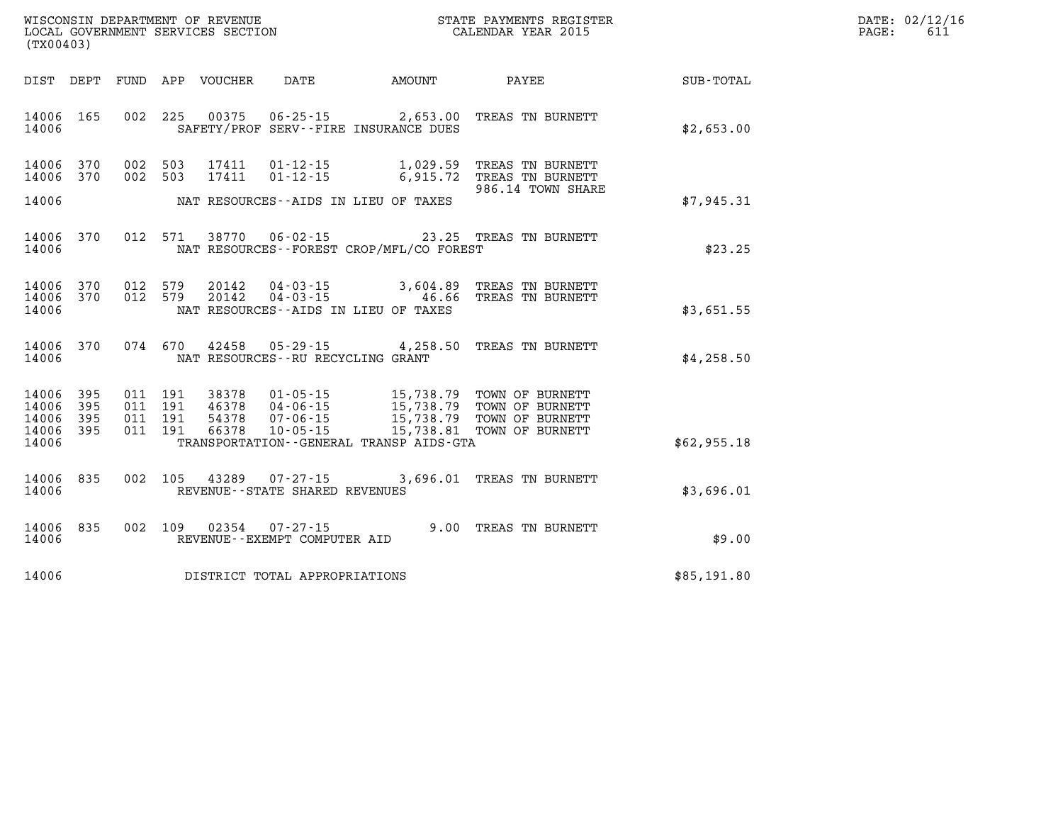| WISCONSIN DEPARTMENT OF REVENUE   | STATE PAYMENTS REGISTER | DATE: | : 02/12/16 |
|-----------------------------------|-------------------------|-------|------------|
| LOCAL GOVERNMENT SERVICES SECTION | CALENDAR YEAR 2015      | PAGE  | 6 T J      |

|                                                   | LOCAL GOVERNMENT SERVICES SECTION<br>(TX00403) |  |  |               |                                   |                                          | CALENDAR YEAR 2015                                                                                                                                                                                                                                                                                                                            |                                                        | PAGE: | 611 |
|---------------------------------------------------|------------------------------------------------|--|--|---------------|-----------------------------------|------------------------------------------|-----------------------------------------------------------------------------------------------------------------------------------------------------------------------------------------------------------------------------------------------------------------------------------------------------------------------------------------------|--------------------------------------------------------|-------|-----|
|                                                   |                                                |  |  |               |                                   |                                          |                                                                                                                                                                                                                                                                                                                                               | DIST DEPT FUND APP VOUCHER DATE AMOUNT PAYEE SUB-TOTAL |       |     |
| 14006 165<br>14006                                |                                                |  |  |               |                                   | SAFETY/PROF SERV--FIRE INSURANCE DUES    | 002 225 00375 06-25-15 2,653.00 TREAS TN BURNETT                                                                                                                                                                                                                                                                                              | \$2,653.00                                             |       |     |
| 14006 370<br>14006 370<br>14006                   |                                                |  |  |               |                                   | NAT RESOURCES--AIDS IN LIEU OF TAXES     | 002 503 17411 01-12-15 1,029.59 TREAS TN BURNETT<br>002 503 17411 01-12-15 6,915.72 TREAS TN BURNETT<br>986.14 TOWN SHARE                                                                                                                                                                                                                     | \$7,945.31                                             |       |     |
| 14006                                             | 14006 370                                      |  |  |               |                                   | NAT RESOURCES--FOREST CROP/MFL/CO FOREST | 012 571 38770 06-02-15 23.25 TREAS TN BURNETT                                                                                                                                                                                                                                                                                                 | \$23.25                                                |       |     |
| 14006 370<br>14006 370<br>14006                   |                                                |  |  |               |                                   | NAT RESOURCES--AIDS IN LIEU OF TAXES     | 012 579 20142 04-03-15 3,604.89 TREAS TN BURNETT<br>012 579 20142 04-03-15 46.66 TREAS TN BURNETT                                                                                                                                                                                                                                             | \$3,651.55                                             |       |     |
| 14006                                             | 14006 370                                      |  |  |               | NAT RESOURCES--RU RECYCLING GRANT |                                          | 074 670 42458 05-29-15 4,258.50 TREAS TN BURNETT                                                                                                                                                                                                                                                                                              | \$4,258.50                                             |       |     |
| 14006 395<br>14006<br>14006<br>14006 395<br>14006 | 395<br>395                                     |  |  |               |                                   | TRANSPORTATION--GENERAL TRANSP AIDS-GTA  | $\begin{array}{cccc} 011 & 191 & 38378 & 01\cdot 05\cdot 15 & 15\,738\cdot 79 & \text{TOWN OF BURNETT} \\ 011 & 191 & 46378 & 04\cdot 06\cdot 15 & 15\,738\cdot 79 & \text{TOWN OF BURNETT} \\ 011 & 191 & 54378 & 07\cdot 06\cdot 15 & 15\,738\cdot 79 & \text{TOWN OF BURNETT} \\ 011 & 191 & 66378 & 10\cdot 05\cdot 15 & 15\,738\cdot 81$ | \$62,955.18                                            |       |     |
| 14006                                             | 14006 835                                      |  |  |               | REVENUE--STATE SHARED REVENUES    |                                          | 002 105 43289 07-27-15 3,696.01 TREAS TN BURNETT                                                                                                                                                                                                                                                                                              | \$3,696.01                                             |       |     |
| 14006                                             | 14006 835                                      |  |  | 002 109 02354 | REVENUE--EXEMPT COMPUTER AID      |                                          | 07-27-15 9.00 TREAS TN BURNETT                                                                                                                                                                                                                                                                                                                | \$9.00                                                 |       |     |
| 14006                                             |                                                |  |  |               | DISTRICT TOTAL APPROPRIATIONS     |                                          |                                                                                                                                                                                                                                                                                                                                               | \$85,191.80                                            |       |     |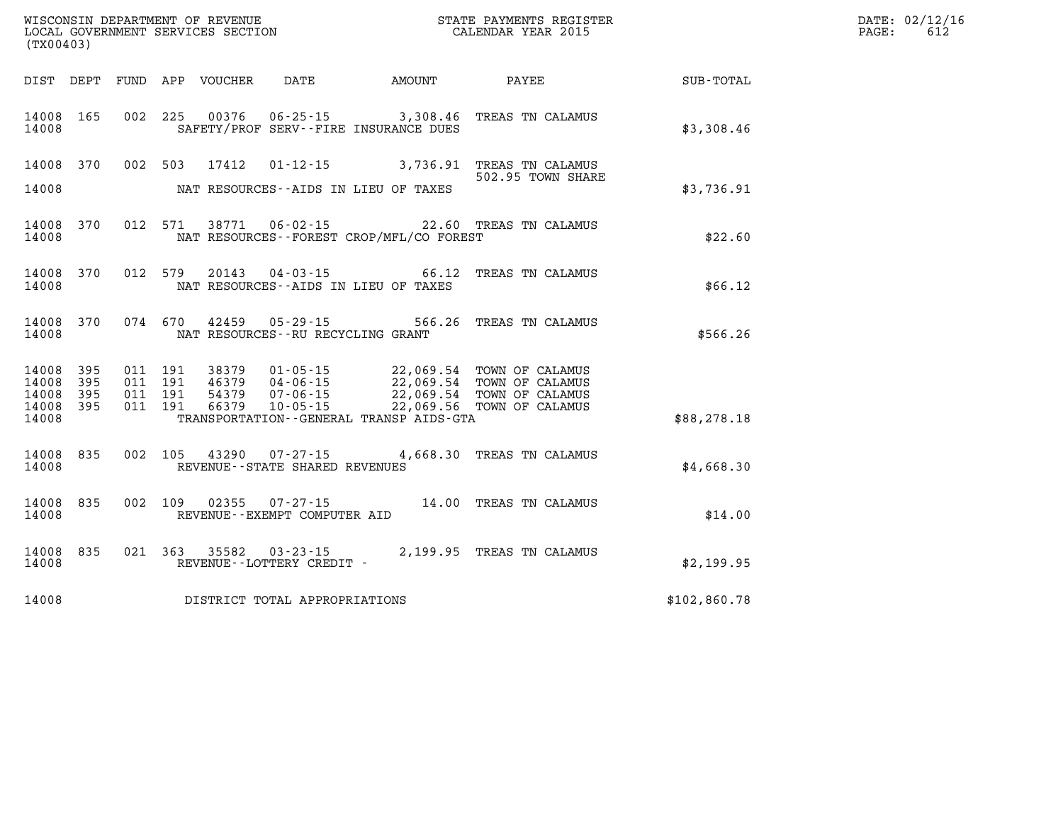| (TX00403)                                             |           |                                          |                            |                                   |                                             | DATE: 02/12/16<br>612<br>PAGE:                          |              |  |
|-------------------------------------------------------|-----------|------------------------------------------|----------------------------|-----------------------------------|---------------------------------------------|---------------------------------------------------------|--------------|--|
|                                                       |           |                                          | DIST DEPT FUND APP VOUCHER | DATE                              | AMOUNT                                      | PAYEE                                                   | SUB-TOTAL    |  |
| 14008                                                 | 14008 165 |                                          |                            |                                   | SAFETY/PROF SERV--FIRE INSURANCE DUES       | 002 225 00376 06-25-15 3,308.46 TREAS TN CALAMUS        | \$3,308.46   |  |
| 14008                                                 |           |                                          | 14008 370 002 503 17412    |                                   | NAT RESOURCES--AIDS IN LIEU OF TAXES        | 01-12-15 3,736.91 TREAS TN CALAMUS<br>502.95 TOWN SHARE | \$3,736.91   |  |
| 14008                                                 | 14008 370 |                                          |                            |                                   | NAT RESOURCES - - FOREST CROP/MFL/CO FOREST | 012 571 38771 06-02-15 22.60 TREAS TN CALAMUS           | \$22.60      |  |
| 14008                                                 | 14008 370 |                                          |                            |                                   | NAT RESOURCES--AIDS IN LIEU OF TAXES        | 012 579 20143 04-03-15 66.12 TREAS TN CALAMUS           | \$66.12      |  |
| 14008                                                 | 14008 370 |                                          |                            | NAT RESOURCES--RU RECYCLING GRANT |                                             | 074 670 42459 05-29-15 566.26 TREAS TN CALAMUS          | \$566.26     |  |
| 14008 395<br>14008<br>14008 395<br>14008 395<br>14008 | 395       | 011 191<br>011 191<br>011 191<br>011 191 |                            |                                   | TRANSPORTATION--GENERAL TRANSP AIDS-GTA     | 38379  01-05-15  22,069.54  TOWN OF CALAMUS             | \$88, 278.18 |  |
| 14008 835<br>14008                                    |           | 002 105                                  |                            | REVENUE - - STATE SHARED REVENUES |                                             | 43290 07-27-15 4,668.30 TREAS TN CALAMUS                | \$4,668.30   |  |
| 14008 835<br>14008                                    |           |                                          |                            | REVENUE--EXEMPT COMPUTER AID      |                                             | 002 109 02355 07-27-15 14.00 TREAS TN CALAMUS           | \$14.00      |  |
| 14008                                                 | 14008 835 |                                          |                            | REVENUE--LOTTERY CREDIT -         |                                             | 021 363 35582 03-23-15 2,199.95 TREAS TN CALAMUS        | \$2,199.95   |  |
| 14008                                                 |           |                                          |                            | DISTRICT TOTAL APPROPRIATIONS     |                                             |                                                         | \$102,860.78 |  |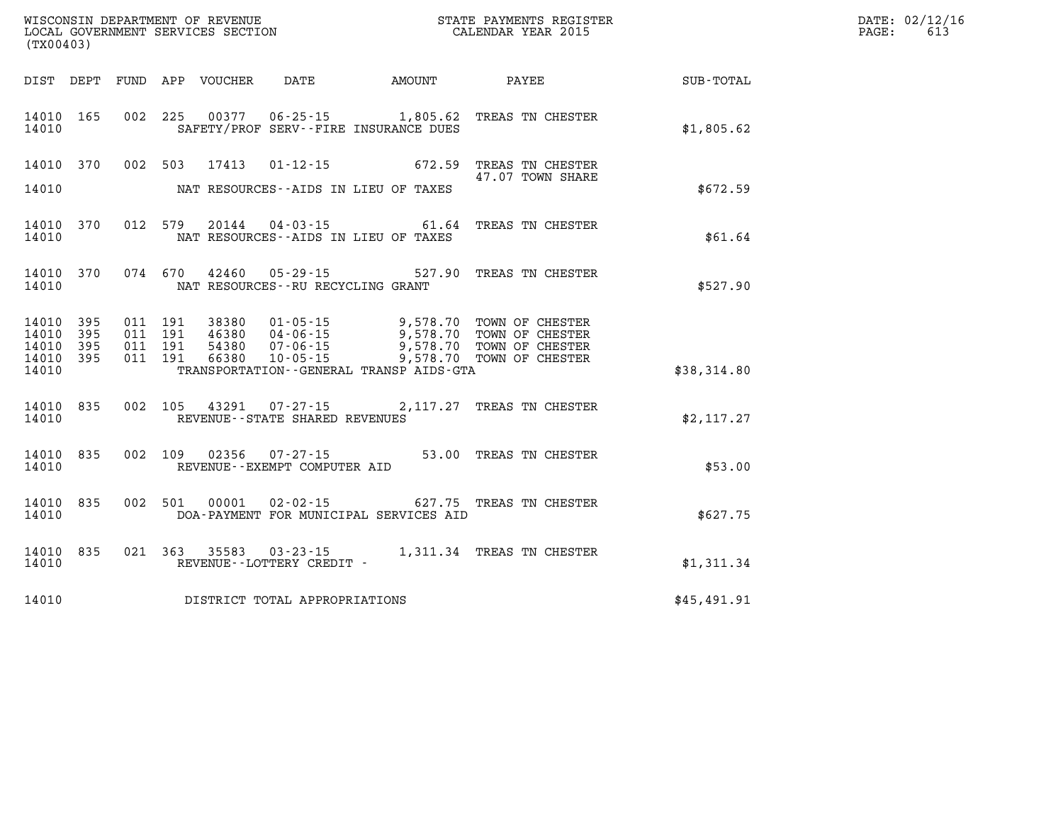| (TX00403)                                     |                   |                    |                    |               |                                       |                                         | WISCONSIN DEPARTMENT OF REVENUE<br>LOCAL GOVERNMENT SERVICES SECTION<br>(TYO0403)                                                                                           |                                              | DATE: 02/12/16<br>$\mathtt{PAGE}$ :<br>613 |
|-----------------------------------------------|-------------------|--------------------|--------------------|---------------|---------------------------------------|-----------------------------------------|-----------------------------------------------------------------------------------------------------------------------------------------------------------------------------|----------------------------------------------|--------------------------------------------|
| DIST DEPT                                     |                   |                    |                    |               |                                       |                                         |                                                                                                                                                                             | FUND APP VOUCHER DATE AMOUNT PAYEE SUB-TOTAL |                                            |
| 14010                                         | 14010 165         |                    |                    |               | SAFETY/PROF SERV--FIRE INSURANCE DUES |                                         | 002 225 00377 06-25-15 1,805.62 TREAS TN CHESTER                                                                                                                            | \$1,805.62                                   |                                            |
| 14010                                         |                   |                    |                    |               | NAT RESOURCES--AIDS IN LIEU OF TAXES  |                                         | 14010 370 002 503 17413 01-12-15 672.59 TREAS TN CHESTER<br>47.07 TOWN SHARE<br>47.07 TOWN SHARE                                                                            | \$672.59                                     |                                            |
| 14010                                         | 14010 370         |                    | 012 579            |               | NAT RESOURCES--AIDS IN LIEU OF TAXES  |                                         | 20144  04-03-15  61.64  TREAS TN CHESTER                                                                                                                                    | \$61.64                                      |                                            |
| 14010                                         | 14010 370         |                    |                    |               | NAT RESOURCES -- RU RECYCLING GRANT   |                                         | 074 670 42460 05-29-15 527.90 TREAS TN CHESTER                                                                                                                              | \$527.90                                     |                                            |
| 14010<br>14010<br>14010<br>14010 395<br>14010 | 395<br>395<br>395 | 011 191<br>011 191 | 011 191<br>011 191 | 66380         | $10 - 05 - 15$                        | TRANSPORTATION--GENERAL TRANSP AIDS-GTA | 38380   01-05-15   9,578.70   TOWN OF CHESTER<br>46380   04-06-15   9,578.70   TOWN OF CHESTER<br>54380   07-06-15   9,578.70   TOWN OF CHESTER<br>9,578.70 TOWN OF CHESTER | \$38,314.80                                  |                                            |
| 14010                                         | 14010 835         |                    |                    |               | REVENUE - - STATE SHARED REVENUES     |                                         | 002 105 43291 07-27-15 2,117.27 TREAS TN CHESTER                                                                                                                            | \$2,117.27                                   |                                            |
| 14010                                         | 14010 835         |                    |                    | 002 109 02356 | REVENUE--EXEMPT COMPUTER AID          |                                         | 07-27-15 53.00 TREAS TN CHESTER                                                                                                                                             | \$53.00                                      |                                            |
| 14010                                         | 14010 835         |                    |                    | 002 501 00001 |                                       | DOA-PAYMENT FOR MUNICIPAL SERVICES AID  | 02-02-15 627.75 TREAS TN CHESTER                                                                                                                                            | \$627.75                                     |                                            |
| 14010                                         | 14010 835         |                    |                    |               |                                       |                                         |                                                                                                                                                                             | \$1,311.34                                   |                                            |
| 14010                                         |                   |                    |                    |               | DISTRICT TOTAL APPROPRIATIONS         |                                         |                                                                                                                                                                             | \$45,491.91                                  |                                            |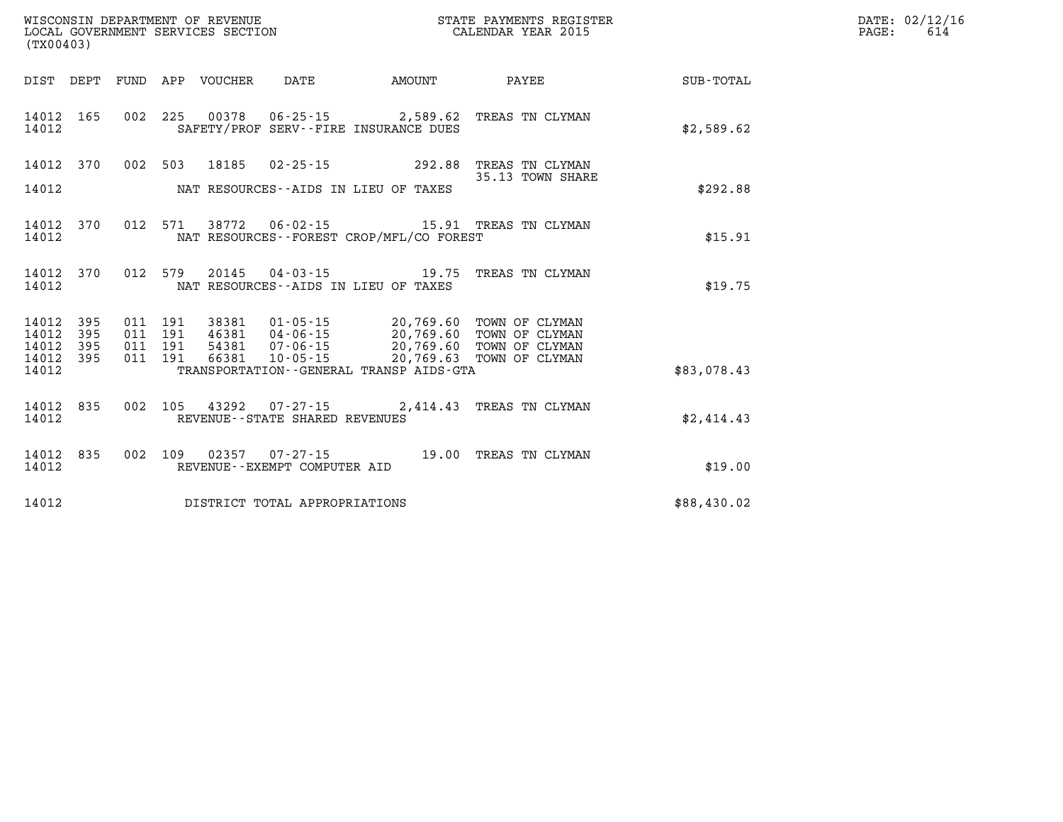| (TX00403)                       | WISCONSIN DEPARTMENT OF REVENUE<br>LOCAL GOVERNMENT SERVICES SECTION FOR THE STATE PAYMENTS REGISTER<br>LOCAL GOVERNMENT SERVICES SECTION                                                                                                                                                                                                              |                                                     |             | DATE: 02/12/16<br>PAGE:<br>614 |
|---------------------------------|--------------------------------------------------------------------------------------------------------------------------------------------------------------------------------------------------------------------------------------------------------------------------------------------------------------------------------------------------------|-----------------------------------------------------|-------------|--------------------------------|
|                                 | DIST DEPT FUND APP VOUCHER DATE AMOUNT PAYEE                                                                                                                                                                                                                                                                                                           |                                                     | SUB-TOTAL   |                                |
| 14012 165<br>14012              | 002 225 00378 06-25-15 2,589.62 TREAS TN CLYMAN<br>SAFETY/PROF SERV--FIRE INSURANCE DUES                                                                                                                                                                                                                                                               |                                                     | \$2,589.62  |                                |
| 14012 370                       | 002 503 18185                                                                                                                                                                                                                                                                                                                                          | 02-25-15 292.88 TREAS TN CLYMAN<br>35.13 TOWN SHARE |             |                                |
| 14012                           | NAT RESOURCES--AIDS IN LIEU OF TAXES                                                                                                                                                                                                                                                                                                                   |                                                     | \$292.88    |                                |
| 14012 370<br>14012              | 012 571 38772 06-02-15 15.91 TREAS TN CLYMAN<br>NAT RESOURCES - - FOREST CROP/MFL/CO FOREST                                                                                                                                                                                                                                                            |                                                     | \$15.91     |                                |
| 14012 370<br>14012              | 012 579 20145 04-03-15 19.75 TREAS TN CLYMAN<br>NAT RESOURCES--AIDS IN LIEU OF TAXES                                                                                                                                                                                                                                                                   |                                                     | \$19.75     |                                |
| 14012 395<br>14012<br>395       | $\begin{array}{cccc} 011 & 191 & 38381 & 01\cdot 05\cdot 15 & 20,769.60 & \text{TOWN OF CLYMAN} \\ 011 & 191 & 46381 & 04\cdot 06\cdot 15 & 20,769.60 & \text{TOWN OF CLYMAN} \\ 011 & 191 & 54381 & 07\cdot 06\cdot 15 & 20,769.60 & \text{TOWN OF CLYMAN} \\ 011 & 191 & 66381 & 10\cdot 05\cdot 15 & 20,769.63 & \text{TOWN OF CLYMAN} \end{array}$ |                                                     |             |                                |
| 14012 395<br>14012 395<br>14012 | TRANSPORTATION - - GENERAL TRANSP AIDS - GTA                                                                                                                                                                                                                                                                                                           |                                                     | \$83,078.43 |                                |
|                                 |                                                                                                                                                                                                                                                                                                                                                        |                                                     |             |                                |
| 14012 835<br>14012              | 002 105 43292 07-27-15 2,414.43 TREAS TN CLYMAN<br>REVENUE--STATE SHARED REVENUES                                                                                                                                                                                                                                                                      |                                                     | \$2,414.43  |                                |
| 14012 835<br>14012              | 002 109 02357 07-27-15 19.00 TREAS TN CLYMAN<br>REVENUE--EXEMPT COMPUTER AID                                                                                                                                                                                                                                                                           |                                                     | \$19.00     |                                |
| 14012                           | DISTRICT TOTAL APPROPRIATIONS                                                                                                                                                                                                                                                                                                                          |                                                     | \$88,430.02 |                                |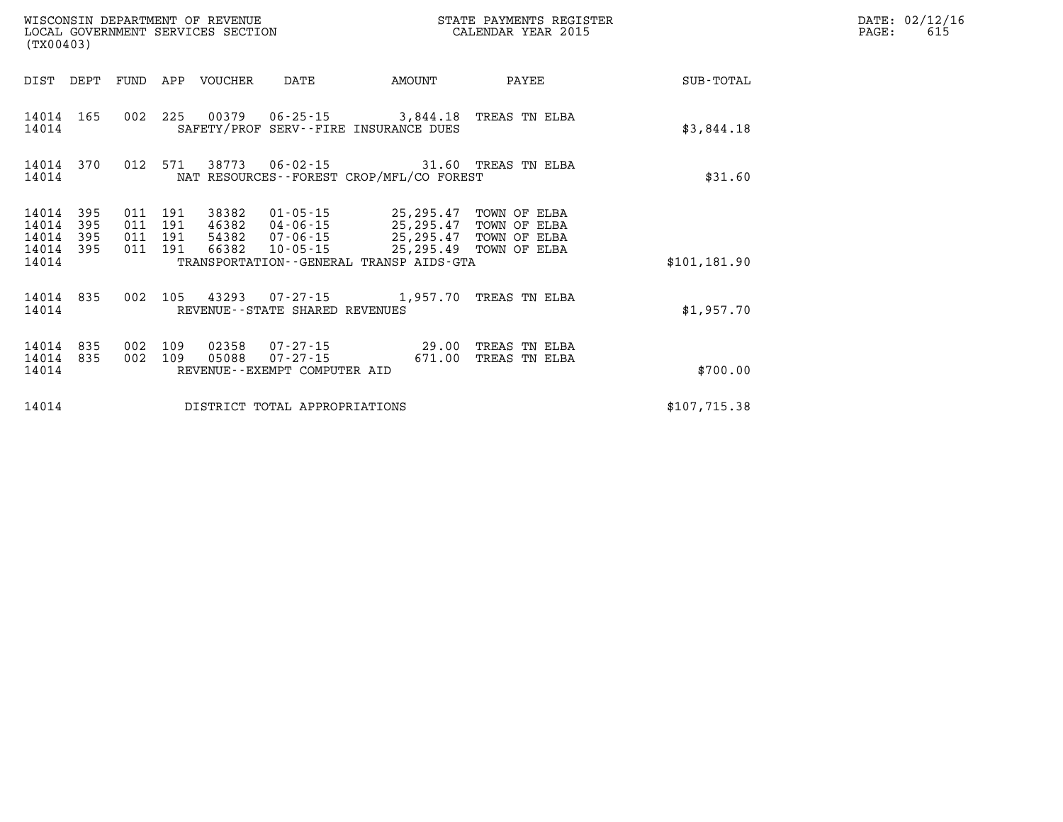|                                           | WISCONSIN DEPARTMENT OF REVENUE<br>STATE PAYMENTS REGISTER<br>LOCAL GOVERNMENT SERVICES SECTION<br>CALENDAR YEAR 2015<br>(TX00403) |                          |                          |                |                                                                |                                                                                                                                                 |                                |               |  |  |  |
|-------------------------------------------|------------------------------------------------------------------------------------------------------------------------------------|--------------------------|--------------------------|----------------|----------------------------------------------------------------|-------------------------------------------------------------------------------------------------------------------------------------------------|--------------------------------|---------------|--|--|--|
| DIST                                      | DEPT                                                                                                                               | FUND                     | APP                      | VOUCHER        | DATE                                                           | AMOUNT                                                                                                                                          | PAYEE                          | SUB-TOTAL     |  |  |  |
| 14014<br>14014                            | 165                                                                                                                                | 002                      | 225                      |                |                                                                | SAFETY/PROF SERV--FIRE INSURANCE DUES                                                                                                           |                                | \$3,844.18    |  |  |  |
| 14014<br>14014                            | 370                                                                                                                                | 012                      | 571                      | 38773          |                                                                | 06-02-15 31.60 TREAS TN ELBA<br>NAT RESOURCES - - FOREST CROP/MFL/CO FOREST                                                                     |                                | \$31.60       |  |  |  |
| 14014<br>14014<br>14014<br>14014<br>14014 | 395<br>395<br>395<br>395                                                                                                           | 011<br>011<br>011<br>011 | 191<br>191<br>191<br>191 | 38382          | 01-05-15<br>46382 04-06-15<br>54382 07-06-15<br>66382 10-05-15 | 25,295.47 TOWN OF ELBA<br>25,295.47 TOWN OF ELBA<br>25,295.47 TOWN OF ELBA<br>25,295.49 TOWN OF ELBA<br>TRANSPORTATION--GENERAL TRANSP AIDS-GTA |                                |               |  |  |  |
|                                           |                                                                                                                                    |                          |                          |                |                                                                |                                                                                                                                                 |                                | \$101, 181.90 |  |  |  |
| 14014<br>14014                            | 835                                                                                                                                | 002                      | 105                      |                | REVENUE--STATE SHARED REVENUES                                 | 43293  07-27-15  1,957.70  TREAS TN ELBA                                                                                                        |                                | \$1,957.70    |  |  |  |
| 14014<br>14014<br>14014                   | 835<br>835                                                                                                                         | 002<br>002               | 109<br>109               | 02358<br>05088 | 07 - 27 - 15<br>REVENUE--EXEMPT COMPUTER AID                   | $07 - 27 - 15$ 29.00<br>671.00                                                                                                                  | TREAS TN ELBA<br>TREAS TN ELBA | \$700.00      |  |  |  |
| 14014                                     |                                                                                                                                    |                          |                          |                | DISTRICT TOTAL APPROPRIATIONS                                  |                                                                                                                                                 |                                | \$107,715.38  |  |  |  |

**DATE: 02/12/16<br>PAGE: 615**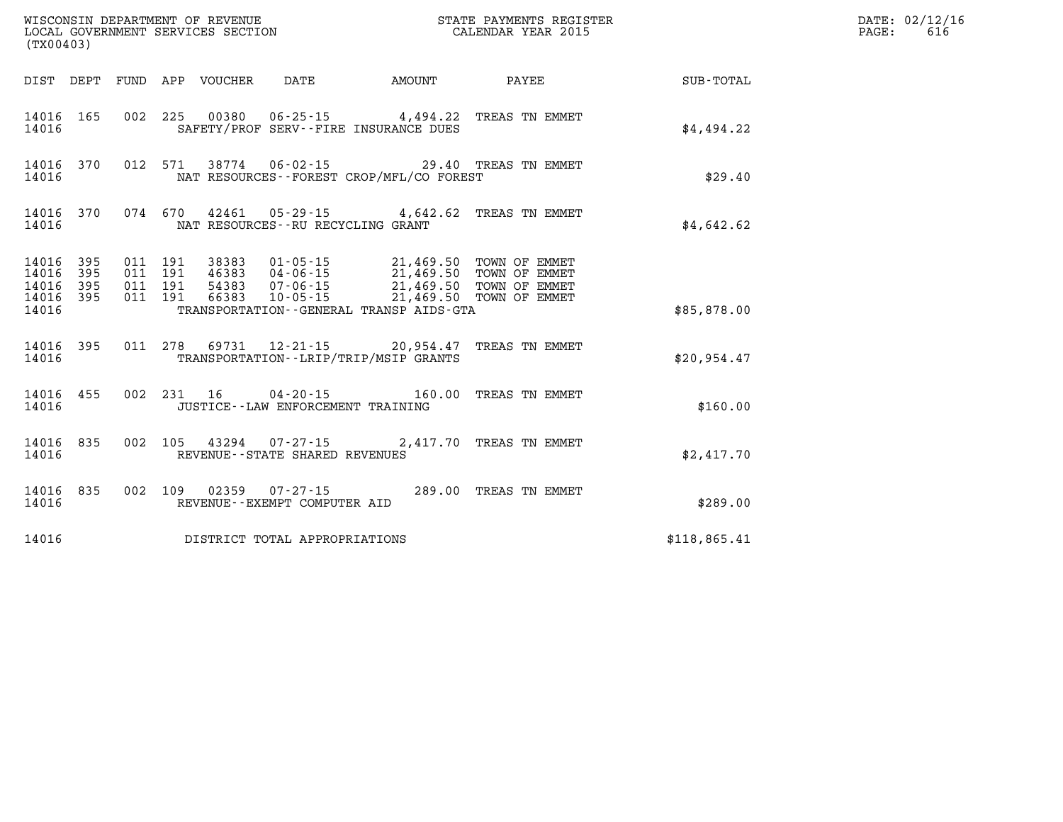| (TX00403) |  |  |                                                                       |                                                                                                                                                                                                                                                                                                          | WISCONSIN DEPARTMENT OF REVENUE<br>LOCAL GOVERNMENT SERVICES SECTION<br>CALENDAR YEAR 2015 |              | DATE: 02/12/16<br>$\mathtt{PAGE:}$<br>616 |
|-----------|--|--|-----------------------------------------------------------------------|----------------------------------------------------------------------------------------------------------------------------------------------------------------------------------------------------------------------------------------------------------------------------------------------------------|--------------------------------------------------------------------------------------------|--------------|-------------------------------------------|
|           |  |  |                                                                       |                                                                                                                                                                                                                                                                                                          | DIST DEPT FUND APP VOUCHER DATE AMOUNT PAYEE                                               | SUB-TOTAL    |                                           |
| 14016     |  |  |                                                                       | SAFETY/PROF SERV--FIRE INSURANCE DUES                                                                                                                                                                                                                                                                    | 14016 165 002 225 00380 06-25-15 4,494.22 TREAS TN EMMET                                   | \$4,494.22   |                                           |
| 14016     |  |  |                                                                       | NAT RESOURCES - - FOREST CROP/MFL/CO FOREST                                                                                                                                                                                                                                                              | 14016 370 012 571 38774 06-02-15 29.40 TREAS TN EMMET                                      | \$29.40      |                                           |
|           |  |  | 14016 MAT RESOURCES--RU RECYCLING GRANT                               |                                                                                                                                                                                                                                                                                                          | 14016 370 074 670 42461 05-29-15 4,642.62 TREAS TN EMMET                                   | \$4,642.62   |                                           |
|           |  |  |                                                                       | $\begin{tabular}{cccccc} 14016 & 395 & 011 & 191 & 38383 & 01-05-15 & 21,469.50 & TOWN OF EMMET \\ 14016 & 395 & 011 & 191 & 46383 & 04-06-15 & 21,469.50 & TOWN OF EMMET \\ 14016 & 395 & 011 & 191 & 54383 & 07-06-15 & 21,469.50 & TOWN OF EMMET \\ 14016 & 395 & 011 & 191 & 66383 & 10-05-15 & 21,$ |                                                                                            |              |                                           |
| 14016     |  |  |                                                                       | TRANSPORTATION - - GENERAL TRANSP AIDS-GTA                                                                                                                                                                                                                                                               |                                                                                            | \$85,878.00  |                                           |
| 14016     |  |  |                                                                       | TRANSPORTATION - - LRIP/TRIP/MSIP GRANTS                                                                                                                                                                                                                                                                 | 14016 395 011 278 69731 12-21-15 20,954.47 TREAS TN EMMET                                  | \$20,954.47  |                                           |
| 14016     |  |  | JUSTICE -- LAW ENFORCEMENT TRAINING                                   |                                                                                                                                                                                                                                                                                                          | 14016 455 002 231 16 04-20-15 160.00 TREAS TN EMMET                                        | \$160.00     |                                           |
| 14016     |  |  | 14016 835 002 105 43294 07-27-15<br>REVENUE - - STATE SHARED REVENUES |                                                                                                                                                                                                                                                                                                          | 2,417.70 TREAS TN EMMET                                                                    | \$2,417.70   |                                           |
| 14016     |  |  | REVENUE--EXEMPT COMPUTER AID                                          |                                                                                                                                                                                                                                                                                                          | 14016 835 002 109 02359 07-27-15 289.00 TREAS TN EMMET                                     | \$289.00     |                                           |
| 14016     |  |  | DISTRICT TOTAL APPROPRIATIONS                                         |                                                                                                                                                                                                                                                                                                          |                                                                                            | \$118,865.41 |                                           |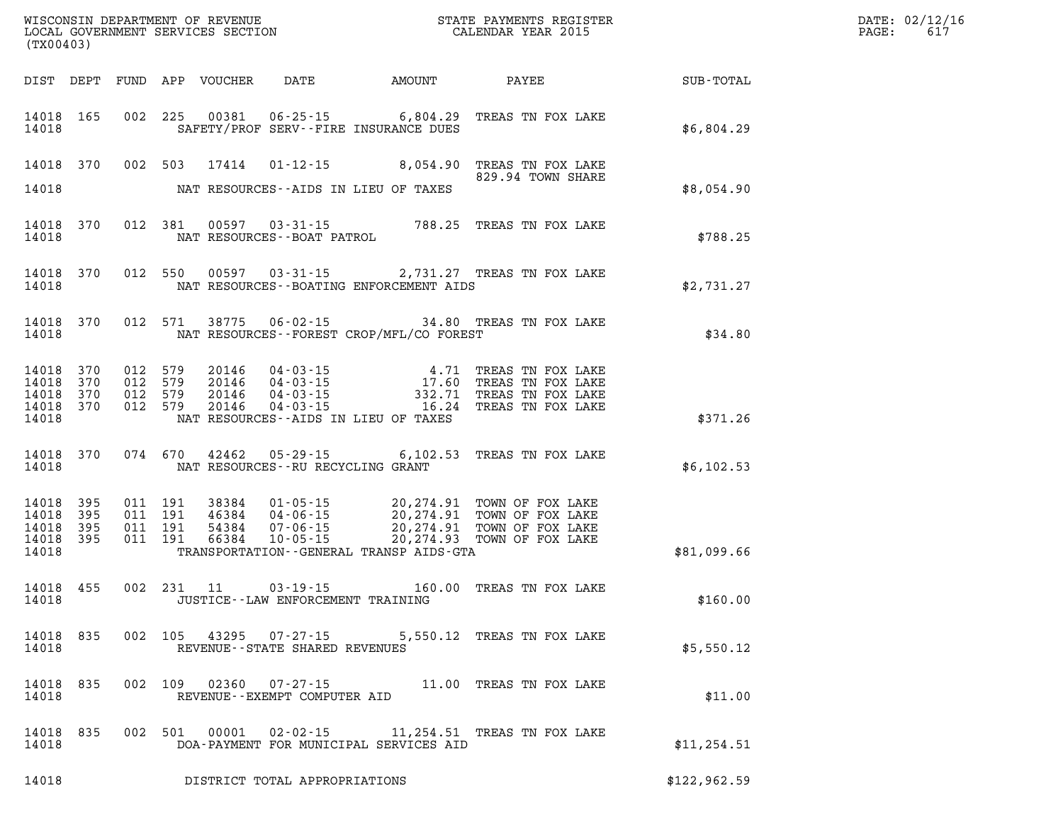| (TX00403)          |                        |                    |         |            |                                |                                                | WISCONSIN DEPARTMENT OF REVENUE<br>LOCAL GOVERNMENT SERVICES SECTION THE STATE PAYMENTS REGISTER<br>(TYO0403)                                                                          | DATE: 02/12/16<br>$\mathtt{PAGE:}$<br>617 |  |
|--------------------|------------------------|--------------------|---------|------------|--------------------------------|------------------------------------------------|----------------------------------------------------------------------------------------------------------------------------------------------------------------------------------------|-------------------------------------------|--|
|                    |                        |                    |         |            |                                |                                                | DIST DEPT FUND APP VOUCHER DATE AMOUNT PAYEE                                                                                                                                           | SUB-TOTAL                                 |  |
| 14018              | 14018 165              |                    |         |            |                                | SAFETY/PROF SERV--FIRE INSURANCE DUES          | 002 225 00381 06-25-15 6,804.29 TREAS TN FOX LAKE                                                                                                                                      | \$6,804.29                                |  |
|                    |                        |                    |         |            |                                |                                                | 14018 370 002 503 17414 01-12-15 8,054.90 TREAS TN FOX LAKE<br>829.94 TOWN SHARE                                                                                                       |                                           |  |
| 14018              |                        |                    |         |            |                                | NAT RESOURCES--AIDS IN LIEU OF TAXES           |                                                                                                                                                                                        | \$8,054.90                                |  |
|                    |                        |                    |         |            |                                |                                                | $\begin{tabular}{lllllll} 14018 & 370 & 012 & 381 & 00597 & 03-31-15 & & & & 788.25 & \texttt{TREAS TN FOX LAKE} \\ & & & \texttt{NAT RESOURCES--BOAT PATROL} & & & & & \end{tabular}$ | \$788.25                                  |  |
| 14018              |                        |                    |         |            |                                | NAT RESOURCES - BOATING ENFORCEMENT AIDS       | 14018 370 012 550 00597 03-31-15 2,731.27 TREAS TN FOX LAKE                                                                                                                            | \$2,731.27                                |  |
|                    |                        |                    |         |            |                                | 14018 MAT RESOURCES--FOREST CROP/MFL/CO FOREST | 14018 370 012 571 38775 06-02-15 34.80 TREAS TN FOX LAKE                                                                                                                               | \$34.80                                   |  |
|                    | 14018 370<br>14018 370 | 012 579<br>012 579 |         |            |                                |                                                | 20146  04-03-15  4.71  TREAS TN FOX LAKE<br>20146  04-03-15  17.60  TREAS TN FOX LAKE<br>20146  04-03-15  332.71  TREAS TN FOX LAKE<br>20146  04-03-15  16.24  TREAS TN FOX LAKE       |                                           |  |
| 14018              | 14018 370<br>14018 370 | 012 579<br>012 579 |         |            |                                | NAT RESOURCES--AIDS IN LIEU OF TAXES           |                                                                                                                                                                                        | \$371.26                                  |  |
|                    |                        |                    |         |            |                                |                                                |                                                                                                                                                                                        |                                           |  |
| 14018              |                        |                    |         |            |                                | NAT RESOURCES--RU RECYCLING GRANT              | 14018 370 074 670 42462 05-29-15 6,102.53 TREAS TN FOX LAKE                                                                                                                            | \$6,102.53                                |  |
| 14018 395          | 14018 395              | 011 191<br>011 191 |         |            |                                |                                                | 38384 01-05-15 20,274.91 TOWN OF FOX LAKE<br>46384 04-06-15 20,274.91 TOWN OF FOX LAKE<br>54384 07-06-15 20,274.91 TOWN OF FOX LAKE<br>66384 10-05-15 20,274.93 TOWN OF FOX LAKE       |                                           |  |
| 14018              | 14018 395<br>14018 395 | 011 191<br>011 191 |         |            |                                | TRANSPORTATION--GENERAL TRANSP AIDS-GTA        |                                                                                                                                                                                        | \$81,099.66                               |  |
| 14018              | 14018 455              |                    |         | 002 231 11 |                                | JUSTICE - - LAW ENFORCEMENT TRAINING           | 03-19-15 160.00 TREAS TN FOX LAKE                                                                                                                                                      | \$160.00                                  |  |
| 14018 835<br>14018 |                        |                    |         |            | REVENUE--STATE SHARED REVENUES |                                                | 002 105 43295 07-27-15 5,550.12 TREAS TN FOX LAKE                                                                                                                                      | \$5,550.12                                |  |
| 14018 835<br>14018 |                        |                    |         |            | REVENUE--EXEMPT COMPUTER AID   |                                                | 002 109 02360 07-27-15 11.00 TREAS TN FOX LAKE                                                                                                                                         | \$11.00                                   |  |
| 14018 835<br>14018 |                        |                    | 002 501 | 00001      |                                | DOA-PAYMENT FOR MUNICIPAL SERVICES AID         | 02-02-15 11,254.51 TREAS TN FOX LAKE                                                                                                                                                   | \$11, 254.51                              |  |
| 14018              |                        |                    |         |            | DISTRICT TOTAL APPROPRIATIONS  |                                                |                                                                                                                                                                                        | \$122, 962.59                             |  |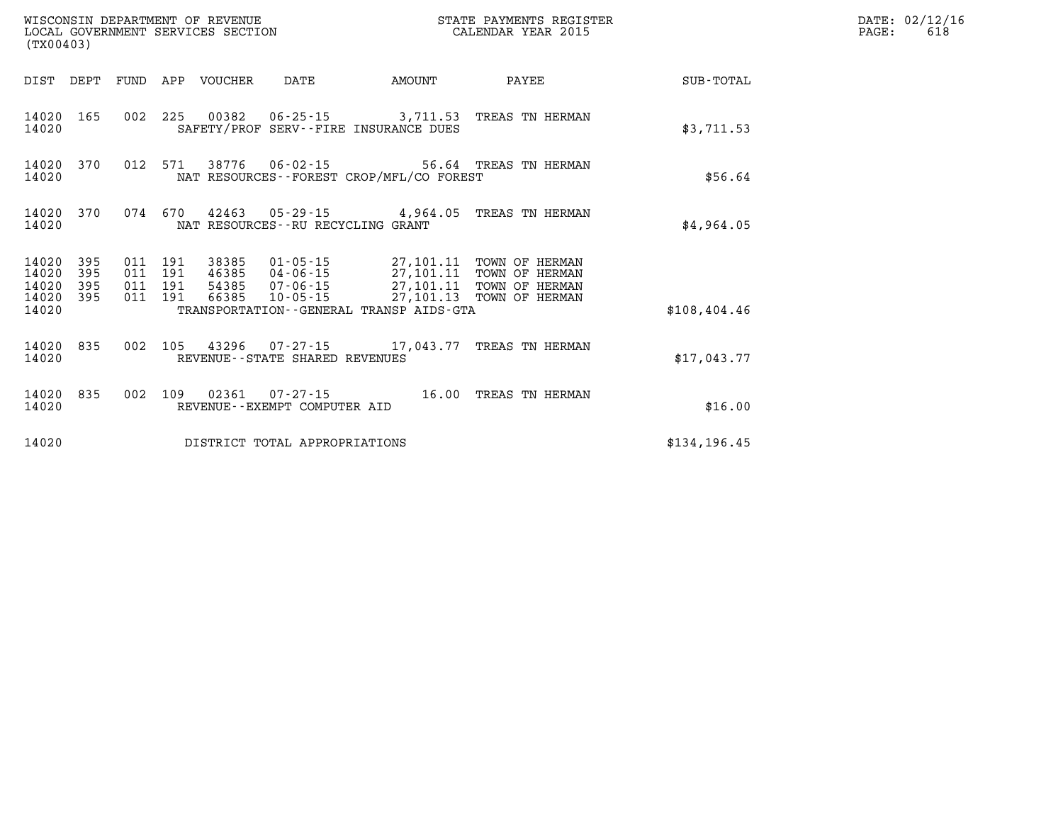| WISCONSIN DEPARTMENT OF REVENUE<br>LOCAL GOVERNMENT SERVICES SECTION<br>(TX00403) |                   |                    |         |                            |                                   |                                                                                    | STATE PAYMENTS REGISTER<br>CALENDAR YEAR 2015    |               | DATE: 02/12/16<br>PAGE:<br>618 |
|-----------------------------------------------------------------------------------|-------------------|--------------------|---------|----------------------------|-----------------------------------|------------------------------------------------------------------------------------|--------------------------------------------------|---------------|--------------------------------|
|                                                                                   |                   |                    |         | DIST DEPT FUND APP VOUCHER | DATE                              | AMOUNT                                                                             | PAYEE                                            | SUB-TOTAL     |                                |
| 14020                                                                             | 14020 165         |                    |         |                            |                                   | SAFETY/PROF SERV--FIRE INSURANCE DUES                                              | 002 225 00382 06-25-15 3,711.53 TREAS TN HERMAN  | \$3,711.53    |                                |
| 14020                                                                             | 14020 370         |                    |         |                            |                                   | NAT RESOURCES - - FOREST CROP/MFL/CO FOREST                                        | 012 571 38776 06-02-15 56.64 TREAS TN HERMAN     | \$56.64       |                                |
| 14020                                                                             | 14020 370         |                    | 074 670 |                            | NAT RESOURCES--RU RECYCLING GRANT |                                                                                    | 42463  05-29-15  4,964.05  TREAS TN HERMAN       | \$4,964.05    |                                |
| 14020<br>14020<br>14020                                                           | 395<br>395<br>395 | 011 191<br>011 191 | 011 191 |                            |                                   | 38385 01-05-15 27,101.11 TOWN OF HERMAN<br>46385 04-06-15 27,101.11 TOWN OF HERMAN | 54385 07-06-15 27,101.11 TOWN OF HERMAN          |               |                                |
| 14020 395<br>14020                                                                |                   | 011 191            |         |                            |                                   | TRANSPORTATION--GENERAL TRANSP AIDS-GTA                                            | 66385 10-05-15 27,101.13 TOWN OF HERMAN          | \$108,404.46  |                                |
| 14020                                                                             | 14020 835         |                    |         |                            | REVENUE - - STATE SHARED REVENUES |                                                                                    | 002 105 43296 07-27-15 17,043.77 TREAS TN HERMAN | \$17,043.77   |                                |
| 14020                                                                             | 14020 835         | 002 109            |         |                            | REVENUE - - EXEMPT COMPUTER AID   |                                                                                    |                                                  | \$16.00       |                                |
| 14020                                                                             |                   |                    |         |                            | DISTRICT TOTAL APPROPRIATIONS     |                                                                                    |                                                  | \$134, 196.45 |                                |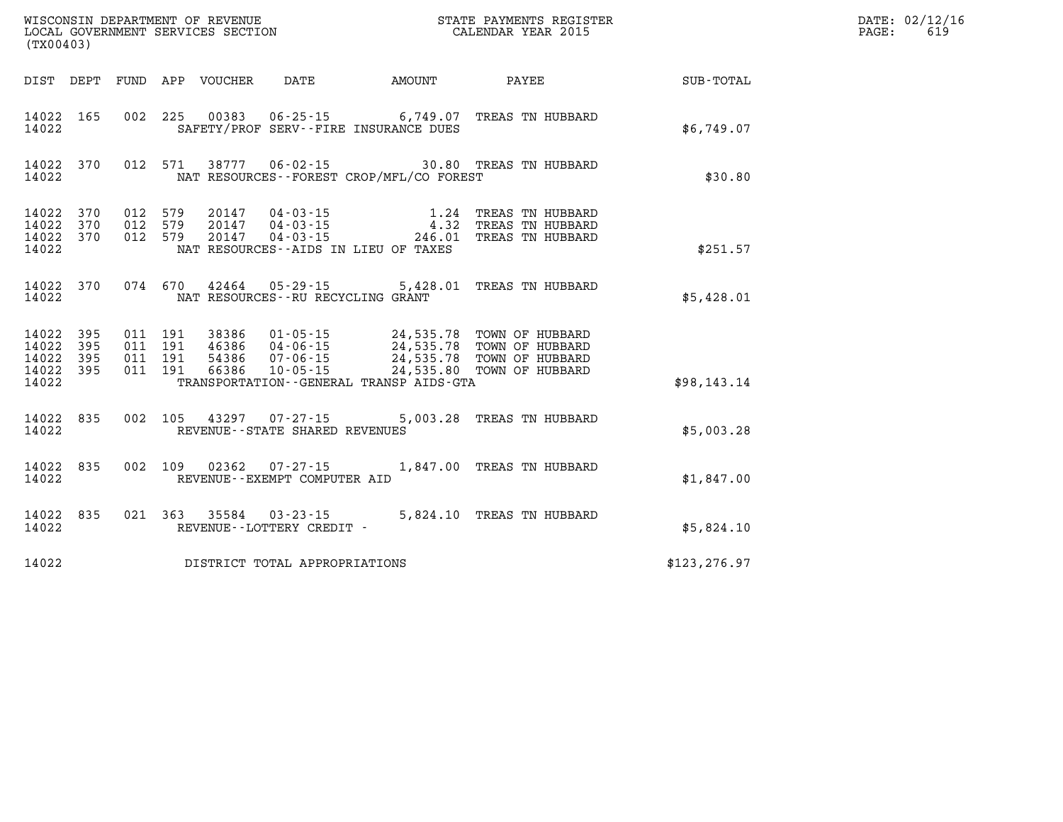| (TX00403) |                                                           |  |                                         |                                              | WISCONSIN DEPARTMENT OF REVENUE<br>LOCAL GOVERNMENT SERVICES SECTION FOR THE STATE PAYMENTS REGISTER<br>(TWOO403)                                                                                                                                                                                                           |                                                             | DATE: 02/12/16<br>$\mathtt{PAGE:}$<br>619 |
|-----------|-----------------------------------------------------------|--|-----------------------------------------|----------------------------------------------|-----------------------------------------------------------------------------------------------------------------------------------------------------------------------------------------------------------------------------------------------------------------------------------------------------------------------------|-------------------------------------------------------------|-------------------------------------------|
|           |                                                           |  |                                         |                                              |                                                                                                                                                                                                                                                                                                                             | DIST DEPT FUND APP VOUCHER DATE AMOUNT PAYEE PATE SUB-TOTAL |                                           |
| 14022     |                                                           |  |                                         | SAFETY/PROF SERV--FIRE INSURANCE DUES        | 14022 165 002 225 00383 06-25-15 6,749.07 TREAS TN HUBBARD                                                                                                                                                                                                                                                                  | \$6,749.07                                                  |                                           |
|           | 14022                                                     |  |                                         | NAT RESOURCES - FOREST CROP/MFL/CO FOREST    | 14022 370 012 571 38777 06-02-15 30.80 TREAS TN HUBBARD                                                                                                                                                                                                                                                                     | \$30.80                                                     |                                           |
| 14022     |                                                           |  |                                         | NAT RESOURCES -- AIDS IN LIEU OF TAXES       | $\begin{array}{cccccccc} 14022 & 370 & 012 & 579 & 20147 & 04\cdot 03\cdot 15 & & & 1.24 & \text{TREAS TN HUBBARD} \\ 14022 & 370 & 012 & 579 & 20147 & 04\cdot 03\cdot 15 & & & 4.32 & \text{TREAS TN HUBBARD} \\ 14022 & 370 & 012 & 579 & 20147 & 04\cdot 03\cdot 15 & & & 246.01 & \text{TREAS TN HUBBARD} \end{array}$ | \$251.57                                                    |                                           |
|           |                                                           |  | 14022 NAT RESOURCES--RU RECYCLING GRANT |                                              | 14022 370 074 670 42464 05-29-15 5,428.01 TREAS TN HUBBARD                                                                                                                                                                                                                                                                  | \$5,428.01                                                  |                                           |
|           | 14022 395<br>14022 395<br>14022 395<br>14022 395<br>14022 |  |                                         | TRANSPORTATION - - GENERAL TRANSP AIDS - GTA | 011 191 38386 01-05-15 24,535.78 TOWN OF HUBBARD<br>011 191 46386 04-06-15 24,535.78 TOWN OF HUBBARD<br>011 191 54386 07-06-15 24,535.78 TOWN OF HUBBARD<br>011 191 66386 10-05-15 24,535.80 TOWN OF HUBBARD                                                                                                                | \$98,143.14                                                 |                                           |
|           | 14022                                                     |  | REVENUE--STATE SHARED REVENUES          |                                              | 14022 835 002 105 43297 07-27-15 5,003.28 TREAS TN HUBBARD                                                                                                                                                                                                                                                                  | \$5,003.28                                                  |                                           |
|           | 14022 835                                                 |  | 14022 REVENUE - - EXEMPT COMPUTER AID   |                                              | 002 109 02362 07-27-15 1,847.00 TREAS TN HUBBARD                                                                                                                                                                                                                                                                            | \$1,847.00                                                  |                                           |
| 14022     | 14022 835                                                 |  | REVENUE--LOTTERY CREDIT -               |                                              | 021 363 35584 03-23-15 5,824.10 TREAS TN HUBBARD                                                                                                                                                                                                                                                                            | \$5,824.10                                                  |                                           |
| 14022     |                                                           |  |                                         |                                              | DISTRICT TOTAL APPROPRIATIONS                                                                                                                                                                                                                                                                                               | \$123, 276.97                                               |                                           |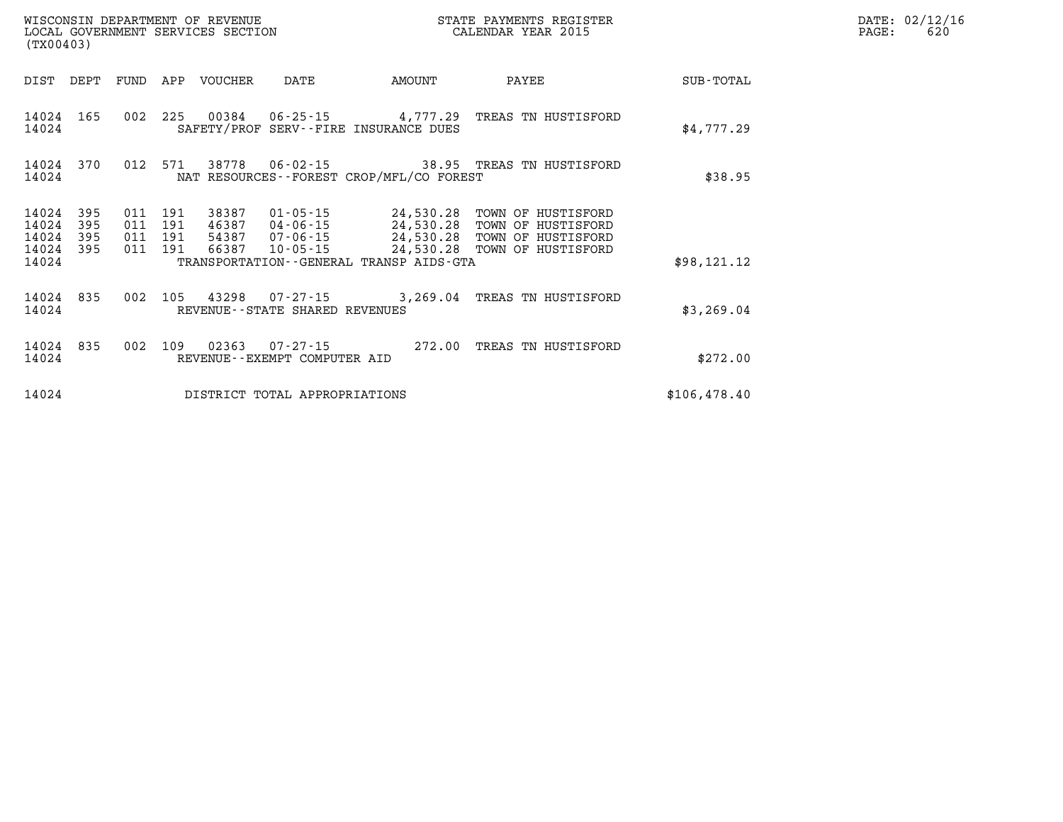| (TX00403)               |                   |                   |                   | WISCONSIN DEPARTMENT OF REVENUE<br>LOCAL GOVERNMENT SERVICES SECTION |                                                     |                                                           | STATE PAYMENTS REGISTER<br>CALENDAR YEAR 2015                  |              |
|-------------------------|-------------------|-------------------|-------------------|----------------------------------------------------------------------|-----------------------------------------------------|-----------------------------------------------------------|----------------------------------------------------------------|--------------|
| DIST                    | DEPT              | FUND              | APP               | <b>VOUCHER</b>                                                       | DATE                                                | AMOUNT                                                    | PAYEE                                                          | SUB-TOTAL    |
| 14024<br>14024          | 165               | 002               | 225               | 00384                                                                | $06 - 25 - 15$                                      | 4,777.29<br>SAFETY/PROF SERV--FIRE INSURANCE DUES         | TREAS TN HUSTISFORD                                            | \$4,777.29   |
| 14024<br>14024          | 370               | 012               | 571               | 38778                                                                | 06-02-15                                            | NAT RESOURCES - - FOREST CROP/MFL/CO FOREST               | 38.95 TREAS TN HUSTISFORD                                      | \$38.95      |
| 14024<br>14024<br>14024 | 395<br>395<br>395 | 011<br>011<br>011 | 191<br>191<br>191 | 38387<br>46387<br>54387                                              | 01-05-15<br>04-06-15<br>07-06-15                    | 24,530.28<br>24,530.28<br>24,530.28                       | TOWN OF HUSTISFORD<br>TOWN OF HUSTISFORD<br>TOWN OF HUSTISFORD |              |
| 14024<br>14024          | 395               | 011               | 191               | 66387                                                                | $10 - 05 - 15$                                      | 24,530.28<br>TRANSPORTATION - - GENERAL TRANSP AIDS - GTA | TOWN OF HUSTISFORD                                             | \$98,121.12  |
| 14024<br>14024          | 835               | 002               | 105               | 43298                                                                | $07 - 27 - 15$<br>REVENUE - - STATE SHARED REVENUES | 3,269.04                                                  | TREAS TN HUSTISFORD                                            | \$3,269.04   |
| 14024<br>14024          | 835               | 002               | 109               | 02363                                                                | $07 - 27 - 15$<br>REVENUE - - EXEMPT COMPUTER AID   | 272.00                                                    | TREAS TN HUSTISFORD                                            | \$272.00     |
| 14024                   |                   |                   |                   |                                                                      | DISTRICT TOTAL APPROPRIATIONS                       |                                                           |                                                                | \$106,478.40 |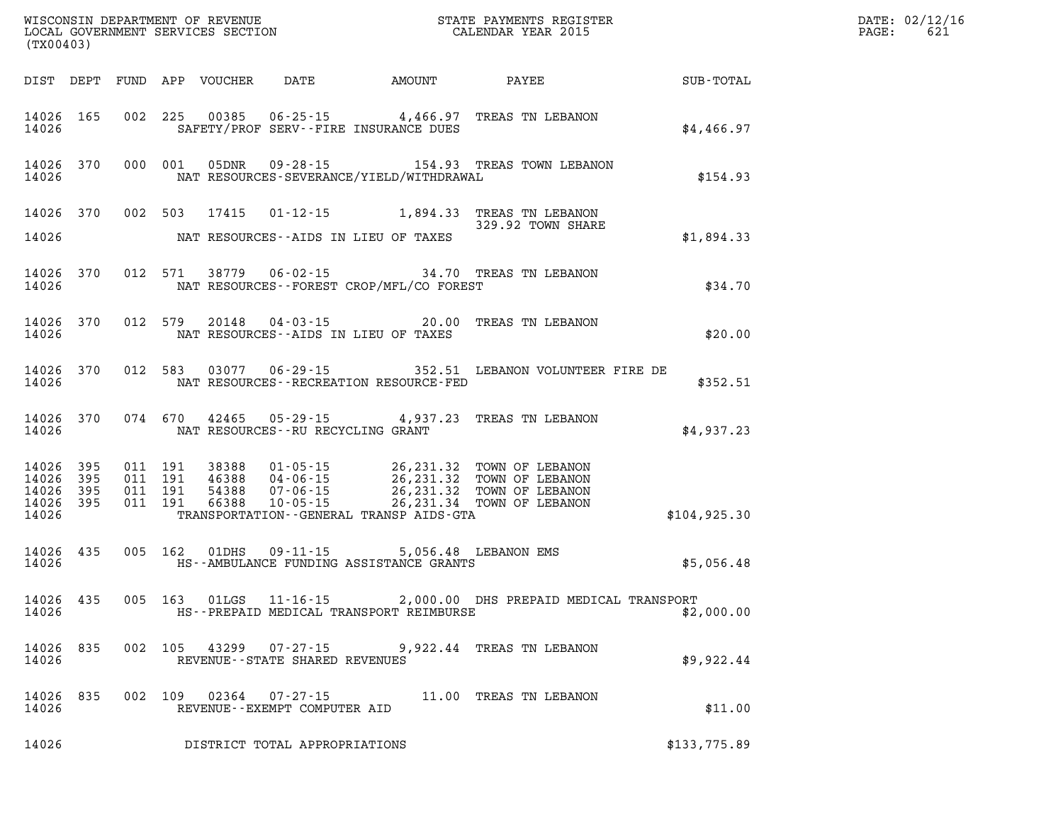| (TX00403)                                                 |  |  |                                                        |                                                |                                                                                                                                                                                                                                                                                                   | DATE: 02/12/16<br>621<br>$\mathtt{PAGE:}$ |  |
|-----------------------------------------------------------|--|--|--------------------------------------------------------|------------------------------------------------|---------------------------------------------------------------------------------------------------------------------------------------------------------------------------------------------------------------------------------------------------------------------------------------------------|-------------------------------------------|--|
|                                                           |  |  |                                                        |                                                | DIST DEPT FUND APP VOUCHER DATE AMOUNT PAYEE SUB-TOTAL                                                                                                                                                                                                                                            |                                           |  |
| 14026                                                     |  |  |                                                        | SAFETY/PROF SERV--FIRE INSURANCE DUES          | 14026 165 002 225 00385 06-25-15 4,466.97 TREAS TN LEBANON                                                                                                                                                                                                                                        | \$4,466.97                                |  |
| 14026                                                     |  |  |                                                        | NAT RESOURCES-SEVERANCE/YIELD/WITHDRAWAL       | 14026 370 000 001 05DNR 09-28-15 154.93 TREAS TOWN LEBANON                                                                                                                                                                                                                                        | \$154.93                                  |  |
|                                                           |  |  |                                                        |                                                | 14026 370 002 503 17415 01-12-15 1,894.33 TREAS TN LEBANON<br>329.92 TOWN SHARE                                                                                                                                                                                                                   |                                           |  |
|                                                           |  |  |                                                        | 14026 NAT RESOURCES--AIDS IN LIEU OF TAXES     |                                                                                                                                                                                                                                                                                                   | \$1,894.33                                |  |
|                                                           |  |  |                                                        | 14026 MAT RESOURCES--FOREST CROP/MFL/CO FOREST | 14026 370 012 571 38779 06-02-15 34.70 TREAS TN LEBANON                                                                                                                                                                                                                                           | \$34.70                                   |  |
|                                                           |  |  |                                                        | 14026 NAT RESOURCES--AIDS IN LIEU OF TAXES     | 14026 370 012 579 20148 04-03-15 20.00 TREAS TN LEBANON                                                                                                                                                                                                                                           | \$20.00                                   |  |
|                                                           |  |  |                                                        | 14026 MAT RESOURCES--RECREATION RESOURCE-FED   | 14026 370 012 583 03077 06-29-15 352.51 LEBANON VOLUNTEER FIRE DE                                                                                                                                                                                                                                 | \$352.51                                  |  |
|                                                           |  |  | 14026 MAT RESOURCES--RU RECYCLING GRANT                |                                                | 14026 370 074 670 42465 05-29-15 4,937.23 TREAS TN LEBANON                                                                                                                                                                                                                                        | \$4,937.23                                |  |
| 14026 395<br>14026 395<br>14026 395<br>14026 395<br>14026 |  |  |                                                        | TRANSPORTATION--GENERAL TRANSP AIDS-GTA        | $\begin{tabular}{cccc} 011 & 191 & 38388 & 01-05-15 & 26, 231.32 & TOWN OF LEBANON \\ 011 & 191 & 46388 & 04-06-15 & 26, 231.32 & TOWN OF LEBANON \\ 011 & 191 & 54388 & 07-06-15 & 26, 231.32 & TOWN OF LEBANON \\ 011 & 191 & 66388 & 10-05-15 & 26, 231.34 & TOWN OF LEBANON \\ \end{tabular}$ | \$104,925.30                              |  |
|                                                           |  |  |                                                        |                                                |                                                                                                                                                                                                                                                                                                   | \$5,056.48                                |  |
|                                                           |  |  |                                                        |                                                | 14026 435 005 163 01LGS 11-16-15 2,000.00 DHS PREPAID MEDICAL TRANSPORT<br>14026 THS - PREPAID MEDICAL TRANSPORT REIMBURSE                                                                                                                                                                        | \$2,000.00                                |  |
| 14026 835<br>14026                                        |  |  | REVENUE - - STATE SHARED REVENUES                      |                                                | 002 105 43299 07-27-15 9,922.44 TREAS TN LEBANON                                                                                                                                                                                                                                                  | \$9,922.44                                |  |
| 14026 835<br>14026                                        |  |  | 002 109 02364 07-27-15<br>REVENUE--EXEMPT COMPUTER AID |                                                | 11.00 TREAS TN LEBANON                                                                                                                                                                                                                                                                            | \$11.00                                   |  |
| 14026                                                     |  |  | DISTRICT TOTAL APPROPRIATIONS                          |                                                |                                                                                                                                                                                                                                                                                                   | \$133,775.89                              |  |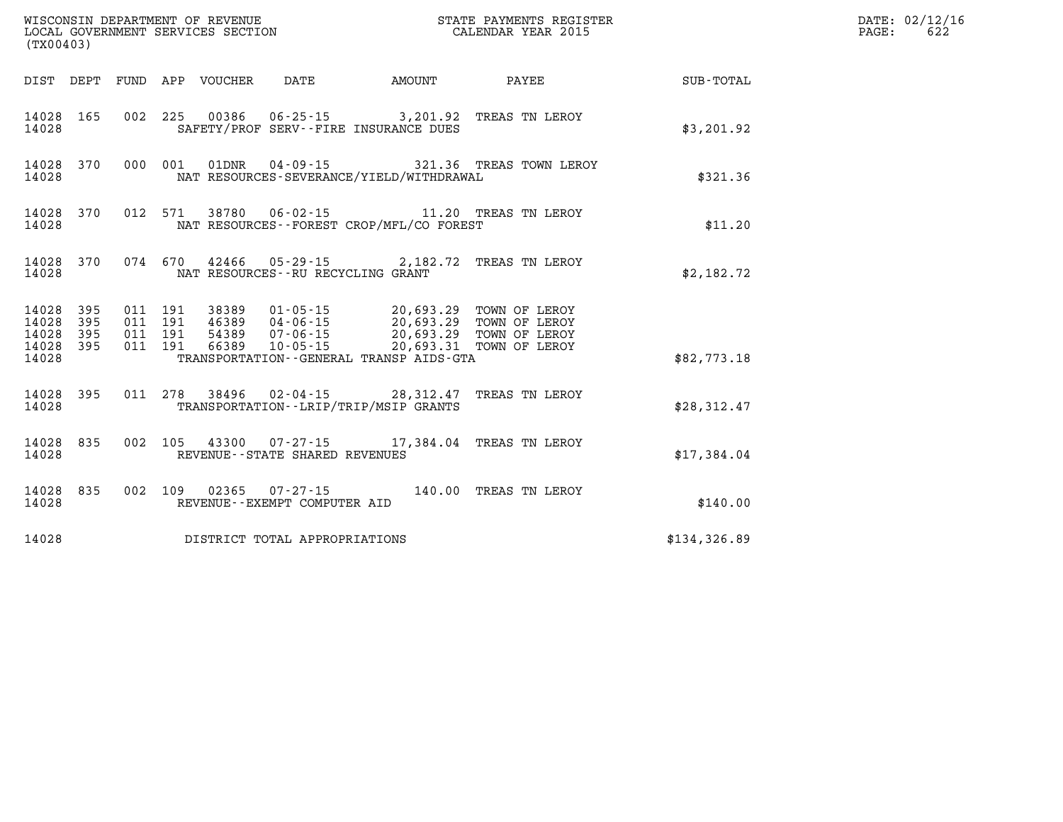| (TX00403)                           |           |  | WISCONSIN DEPARTMENT OF REVENUE<br>LOCAL GOVERNMENT SERVICES SECTION |                                                                                                                                                                                                                                                                                                                                        | STATE PAYMENTS REGISTER<br>CALENDAR YEAR 2015    |              | DATE: 02/12/16<br>622<br>PAGE: |
|-------------------------------------|-----------|--|----------------------------------------------------------------------|----------------------------------------------------------------------------------------------------------------------------------------------------------------------------------------------------------------------------------------------------------------------------------------------------------------------------------------|--------------------------------------------------|--------------|--------------------------------|
|                                     |           |  |                                                                      | DIST DEPT FUND APP VOUCHER DATE AMOUNT                                                                                                                                                                                                                                                                                                 | <b>PAYEE</b> PAYEE                               | SUB-TOTAL    |                                |
| 14028                               | 14028 165 |  |                                                                      | 002 225 00386 06-25-15 3,201.92 TREAS TN LEROY<br>SAFETY/PROF SERV--FIRE INSURANCE DUES                                                                                                                                                                                                                                                |                                                  | \$3,201.92   |                                |
| 14028                               | 14028 370 |  |                                                                      | NAT RESOURCES-SEVERANCE/YIELD/WITHDRAWAL                                                                                                                                                                                                                                                                                               | 000 001 01DNR  04-09-15  321.36 TREAS TOWN LEROY | \$321.36     |                                |
| 14028                               | 14028 370 |  |                                                                      | 012 571 38780 06-02-15 11.20 TREAS TN LEROY<br>NAT RESOURCES - - FOREST CROP/MFL/CO FOREST                                                                                                                                                                                                                                             |                                                  | \$11.20      |                                |
| 14028                               | 14028 370 |  |                                                                      | 074 670 42466 05-29-15 2,182.72 TREAS TN LEROY<br>NAT RESOURCES--RU RECYCLING GRANT                                                                                                                                                                                                                                                    |                                                  | \$2,182.72   |                                |
| 14028 395<br>14028 395<br>14028 395 |           |  |                                                                      | $\begin{array}{cccc} 011 & 191 & 38389 & 01\cdot 05\cdot 15 & 20\, ,693\, .29 & \text{TOWN OF LEROY} \\ 011 & 191 & 46389 & 04\cdot 06\cdot 15 & 20\, ,693\, .29 & \text{TOWN OF LEROY} \\ 011 & 191 & 54389 & 07\cdot 06\cdot 15 & 20\, ,693\, .29 & \text{TOWN OF LEROY} \\ 011 & 191 & 66389 & 10\cdot 05\cdot 15 & 20\, ,693\, .3$ |                                                  |              |                                |
| 14028 395<br>14028                  |           |  |                                                                      | TRANSPORTATION--GENERAL TRANSP AIDS-GTA                                                                                                                                                                                                                                                                                                |                                                  | \$82,773.18  |                                |
| 14028                               | 14028 395 |  |                                                                      | 011 278 38496 02-04-15 28,312.47 TREAS TN LEROY<br>TRANSPORTATION--LRIP/TRIP/MSIP GRANTS                                                                                                                                                                                                                                               |                                                  | \$28,312.47  |                                |
| 14028                               | 14028 835 |  | REVENUE - - STATE SHARED REVENUES                                    | 002 105 43300 07-27-15 17,384.04 TREAS TN LEROY                                                                                                                                                                                                                                                                                        |                                                  | \$17,384.04  |                                |
| 14028                               | 14028 835 |  | 002 109 02365 07-27-15<br>REVENUE--EXEMPT COMPUTER AID               | 140.00 TREAS TN LEROY                                                                                                                                                                                                                                                                                                                  |                                                  | \$140.00     |                                |
| 14028                               |           |  | DISTRICT TOTAL APPROPRIATIONS                                        |                                                                                                                                                                                                                                                                                                                                        |                                                  | \$134,326.89 |                                |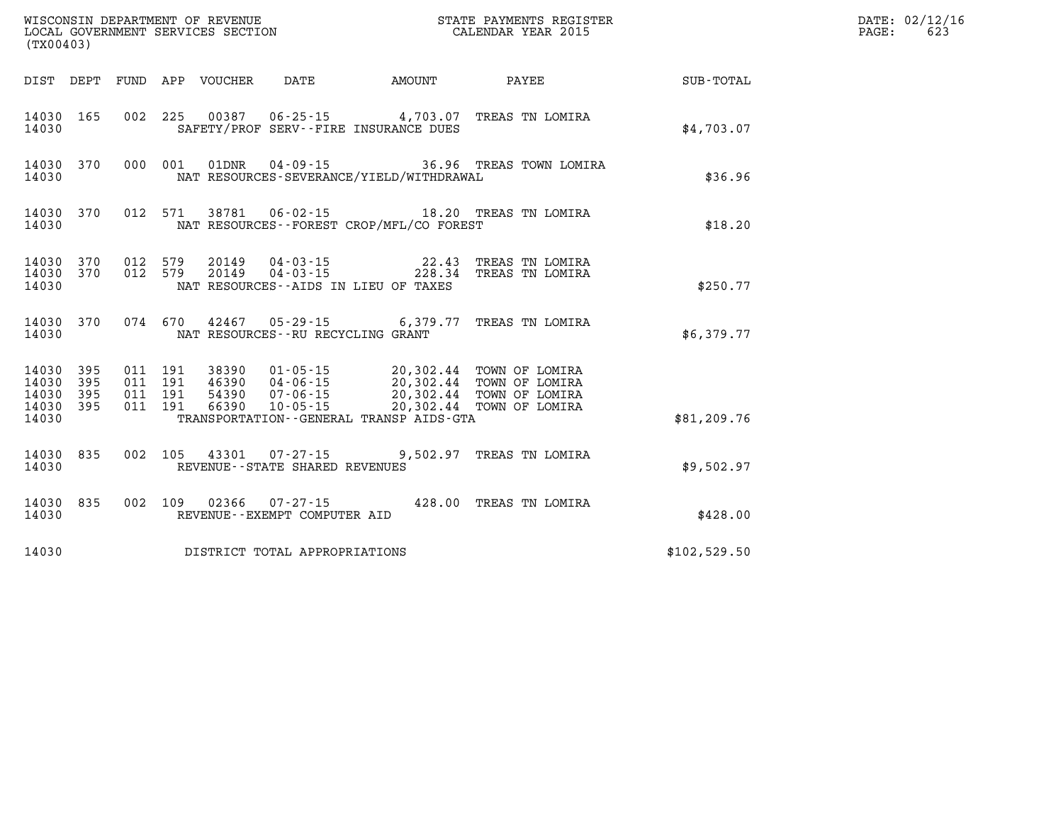| (TX00403)                                         |            |                                          |                                 |                                |                                                                                                                                                                                                                        |                                                                                                                     |              | DATE: 02/12/16<br>623<br>$\mathtt{PAGE}$ : |
|---------------------------------------------------|------------|------------------------------------------|---------------------------------|--------------------------------|------------------------------------------------------------------------------------------------------------------------------------------------------------------------------------------------------------------------|---------------------------------------------------------------------------------------------------------------------|--------------|--------------------------------------------|
|                                                   |            |                                          | DIST DEPT FUND APP VOUCHER DATE |                                |                                                                                                                                                                                                                        | AMOUNT PAYEE                                                                                                        | SUB-TOTAL    |                                            |
| 14030                                             | 14030 165  |                                          |                                 |                                | 002 225 00387 06-25-15 4,703.07 TREAS TN LOMIRA<br>SAFETY/PROF SERV--FIRE INSURANCE DUES                                                                                                                               |                                                                                                                     | \$4,703.07   |                                            |
| 14030                                             |            |                                          |                                 |                                | NAT RESOURCES-SEVERANCE/YIELD/WITHDRAWAL                                                                                                                                                                               | 14030 370 000 001 01DNR 04-09-15 36.96 TREAS TOWN LOMIRA                                                            | \$36.96      |                                            |
| 14030                                             |            |                                          |                                 |                                | NAT RESOURCES - - FOREST CROP/MFL/CO FOREST                                                                                                                                                                            | 14030 370 012 571 38781 06-02-15 18.20 TREAS TN LOMIRA                                                              | \$18.20      |                                            |
| 14030                                             |            |                                          |                                 |                                | NAT RESOURCES--AIDS IN LIEU OF TAXES                                                                                                                                                                                   | $14030$ 370 012 579 20149 04-03-15 22.43 TREAS TN LOMIRA<br>14030 370 012 579 20149 04-03-15 228.34 TREAS TN LOMIRA | \$250.77     |                                            |
| 14030                                             |            |                                          |                                 |                                | 14030 370 074 670 42467 05-29-15 6,379.77 TREAS TN LOMIRA<br>NAT RESOURCES--RU RECYCLING GRANT                                                                                                                         |                                                                                                                     | \$6,379.77   |                                            |
| 14030 395<br>14030<br>14030<br>14030 395<br>14030 | 395<br>395 | 011 191<br>011 191<br>011 191<br>011 191 |                                 |                                | 38390  01-05-15  20,302.44  TOWN OF LOMIRA<br>46390 04-06-15 20,302.44 TOWN OF LOMIRA<br>54390 07-06-15 20,302.44 TOWN OF LOMIRA<br>66390 10-05-15 20,302.44 TOWN OF LOMIRA<br>TRANSPORTATION--GENERAL TRANSP AIDS-GTA |                                                                                                                     | \$81, 209.76 |                                            |
| 14030                                             | 14030 835  |                                          |                                 | REVENUE--STATE SHARED REVENUES | 002 105 43301 07-27-15 9,502.97 TREAS TN LOMIRA                                                                                                                                                                        |                                                                                                                     | \$9,502.97   |                                            |
| 14030                                             |            |                                          |                                 | REVENUE--EXEMPT COMPUTER AID   | 14030 835 002 109 02366 07-27-15 428.00 TREAS TN LOMIRA                                                                                                                                                                |                                                                                                                     | \$428.00     |                                            |
| 14030                                             |            |                                          |                                 | DISTRICT TOTAL APPROPRIATIONS  |                                                                                                                                                                                                                        |                                                                                                                     | \$102,529.50 |                                            |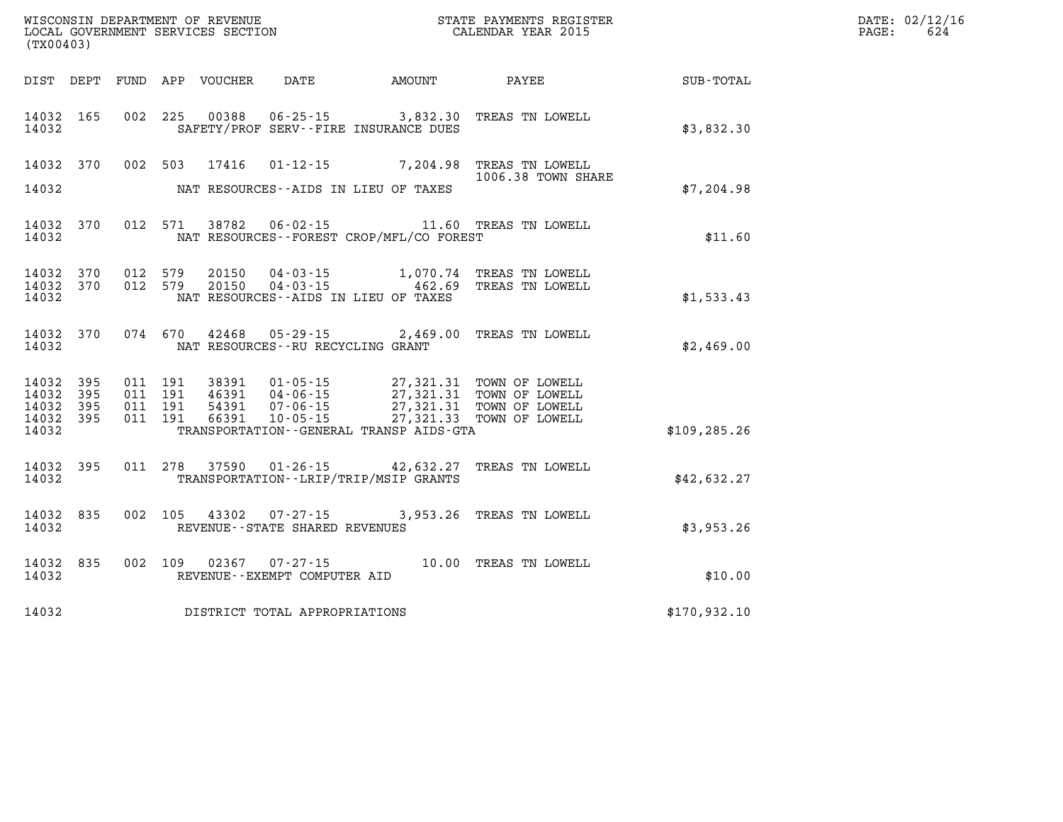| (TX00403)                                     |                   |                                          | WISCONSIN DEPARTMENT OF REVENUE<br>LOCAL GOVERNMENT SERVICES SECTION |                                                |                                                                                                                                                                                                                    | STATE PAYMENTS REGISTER<br>CALENDAR YEAR 2015                         |               | DATE: 02/12/16<br>624<br>$\mathtt{PAGE:}$ |
|-----------------------------------------------|-------------------|------------------------------------------|----------------------------------------------------------------------|------------------------------------------------|--------------------------------------------------------------------------------------------------------------------------------------------------------------------------------------------------------------------|-----------------------------------------------------------------------|---------------|-------------------------------------------|
|                                               |                   |                                          | DIST DEPT FUND APP VOUCHER                                           | DATE                                           | AMOUNT                                                                                                                                                                                                             | PAYEE                                                                 | SUB-TOTAL     |                                           |
| 14032 165<br>14032                            |                   |                                          |                                                                      |                                                | SAFETY/PROF SERV--FIRE INSURANCE DUES                                                                                                                                                                              | 002 225 00388 06-25-15 3,832.30 TREAS TN LOWELL                       | \$3,832.30    |                                           |
| 14032 370                                     |                   |                                          |                                                                      |                                                |                                                                                                                                                                                                                    | 002 503 17416 01-12-15 7,204.98 TREAS TN LOWELL<br>1006.38 TOWN SHARE |               |                                           |
| 14032                                         |                   |                                          |                                                                      |                                                | NAT RESOURCES--AIDS IN LIEU OF TAXES                                                                                                                                                                               |                                                                       | \$7,204.98    |                                           |
| 14032                                         | 14032 370         |                                          |                                                                      |                                                | NAT RESOURCES - - FOREST CROP/MFL/CO FOREST                                                                                                                                                                        | 012 571 38782 06-02-15 11.60 TREAS TN LOWELL                          | \$11.60       |                                           |
| 14032 370<br>14032<br>14032                   | 370               | 012 579<br>012 579                       | 20150<br>20150                                                       | 04-03-15                                       | $04 - 03 - 15$ 462.69<br>NAT RESOURCES -- AIDS IN LIEU OF TAXES                                                                                                                                                    | 1,070.74 TREAS TN LOWELL<br>TREAS TN LOWELL                           | \$1,533.43    |                                           |
| 14032 370<br>14032                            |                   |                                          |                                                                      | NAT RESOURCES -- RU RECYCLING GRANT            |                                                                                                                                                                                                                    | 074 670 42468 05-29-15 2,469.00 TREAS TN LOWELL                       | \$2,469.00    |                                           |
| 14032 395<br>14032<br>14032<br>14032<br>14032 | 395<br>395<br>395 | 011 191<br>011 191<br>011 191<br>011 191 | 54391<br>66391                                                       | 46391 04-06-15<br>07-06-15                     | 38391  01-05-15  27,321.31  TOWN OF LOWELL<br>46391  04-06-15  27,321.31  TOWN OF LOWELL<br>07-06-15 27,321.31 TOWN OF LOWELL<br>10-05-15 27,321.33 TOWN OF LOWELL<br>TRANSPORTATION - - GENERAL TRANSP AIDS - GTA |                                                                       | \$109, 285.26 |                                           |
| 14032 395<br>14032                            |                   |                                          |                                                                      |                                                | TRANSPORTATION--LRIP/TRIP/MSIP GRANTS                                                                                                                                                                              | 011  278  37590  01-26-15  42,632.27  TREAS TN LOWELL                 | \$42,632.27   |                                           |
| 14032 835<br>14032                            |                   | 002 105                                  |                                                                      | REVENUE--STATE SHARED REVENUES                 |                                                                                                                                                                                                                    | 43302  07-27-15  3,953.26  TREAS TN LOWELL                            | \$3,953.26    |                                           |
| 14032 835<br>14032                            |                   | 002 109                                  |                                                                      | 02367 07-27-15<br>REVENUE--EXEMPT COMPUTER AID |                                                                                                                                                                                                                    | 10.00 TREAS TN LOWELL                                                 | \$10.00       |                                           |
| 14032                                         |                   |                                          |                                                                      | DISTRICT TOTAL APPROPRIATIONS                  |                                                                                                                                                                                                                    |                                                                       | \$170,932.10  |                                           |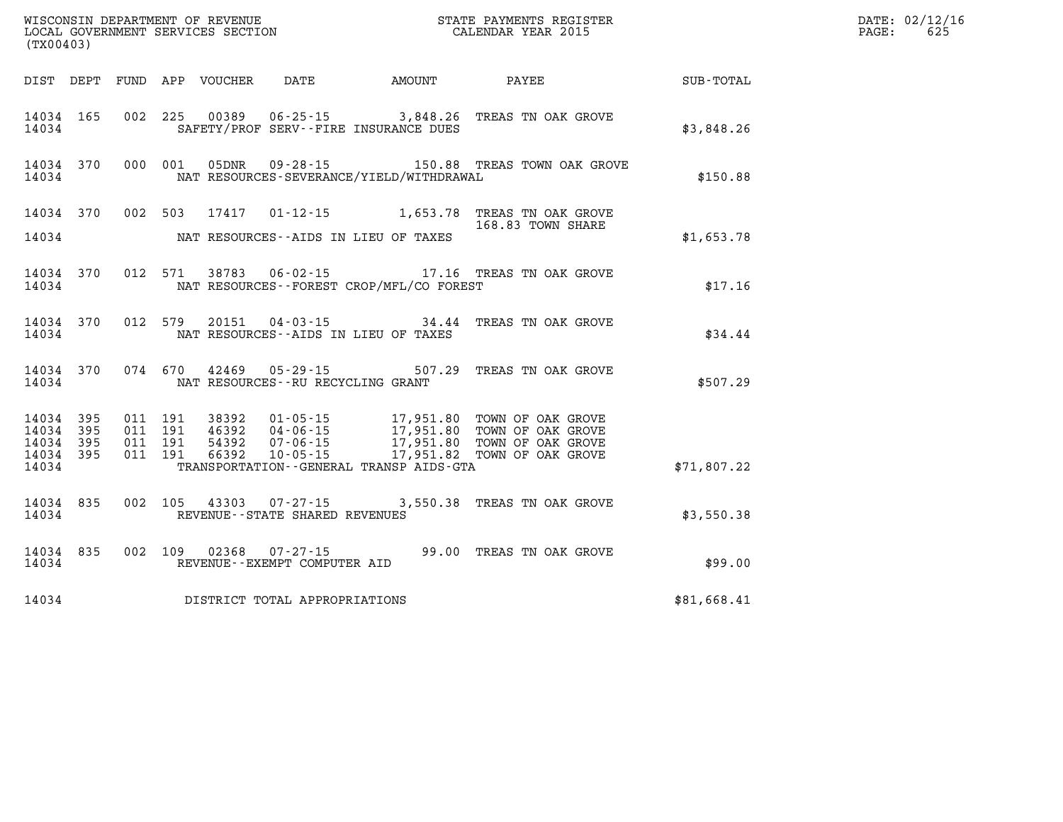| (TX00403)                       |                        |                                          |  |                                     |                                              |                                                                                                                                                                                                  |             | DATE: 02/12/16<br>625<br>$\mathtt{PAGE:}$ |
|---------------------------------|------------------------|------------------------------------------|--|-------------------------------------|----------------------------------------------|--------------------------------------------------------------------------------------------------------------------------------------------------------------------------------------------------|-------------|-------------------------------------------|
|                                 |                        |                                          |  |                                     | DIST DEPT FUND APP VOUCHER DATE AMOUNT       | <b>PAYEE</b>                                                                                                                                                                                     | SUB-TOTAL   |                                           |
| 14034                           |                        |                                          |  |                                     | SAFETY/PROF SERV--FIRE INSURANCE DUES        | 14034 165 002 225 00389 06-25-15 3,848.26 TREAS TN OAK GROVE                                                                                                                                     | \$3,848.26  |                                           |
| 14034                           |                        |                                          |  |                                     | NAT RESOURCES-SEVERANCE/YIELD/WITHDRAWAL     | 14034 370 000 001 05DNR 09-28-15 150.88 TREAS TOWN OAK GROVE                                                                                                                                     | \$150.88    |                                           |
|                                 |                        |                                          |  |                                     | 14034 NAT RESOURCES--AIDS IN LIEU OF TAXES   | 14034 370 002 503 17417 01-12-15 1,653.78 TREAS TN OAK GROVE<br>168.83 TOWN SHARE                                                                                                                | \$1,653.78  |                                           |
|                                 | 14034 370<br>14034     |                                          |  |                                     | NAT RESOURCES--FOREST CROP/MFL/CO FOREST     | 012 571 38783 06-02-15 17.16 TREAS TN OAK GROVE                                                                                                                                                  | \$17.16     |                                           |
|                                 | 14034 370<br>14034     |                                          |  |                                     | NAT RESOURCES--AIDS IN LIEU OF TAXES         | 012 579 20151 04-03-15 34.44 TREAS TN OAK GROVE                                                                                                                                                  | \$34.44     |                                           |
|                                 | 14034                  |                                          |  | NAT RESOURCES -- RU RECYCLING GRANT |                                              | 14034 370 074 670 42469 05-29-15 507.29 TREAS TN OAK GROVE                                                                                                                                       | \$507.29    |                                           |
| 14034 395<br>14034 395<br>14034 | 14034 395<br>14034 395 | 011 191<br>011 191<br>011 191<br>011 191 |  |                                     | TRANSPORTATION - - GENERAL TRANSP AIDS - GTA | 38392  01-05-15  17,951.80  TOWN OF OAK GROVE<br>46392  04-06-15  17,951.80  TOWN OF OAK GROVE<br>54392  07-06-15  17,951.80  TOWN OF OAK GROVE<br>66392  10-05-15  17,951.82  TOWN OF OAK GROVE | \$71,807.22 |                                           |
| 14034                           | 14034 835              |                                          |  | REVENUE--STATE SHARED REVENUES      |                                              | 002 105 43303 07-27-15 3,550.38 TREAS TN OAK GROVE                                                                                                                                               | \$3,550.38  |                                           |
| 14034                           |                        |                                          |  | REVENUE--EXEMPT COMPUTER AID        |                                              | 14034 835 002 109 02368 07-27-15 99.00 TREAS TN OAK GROVE                                                                                                                                        | \$99.00     |                                           |
|                                 |                        |                                          |  | 14034 DISTRICT TOTAL APPROPRIATIONS |                                              |                                                                                                                                                                                                  | \$81,668.41 |                                           |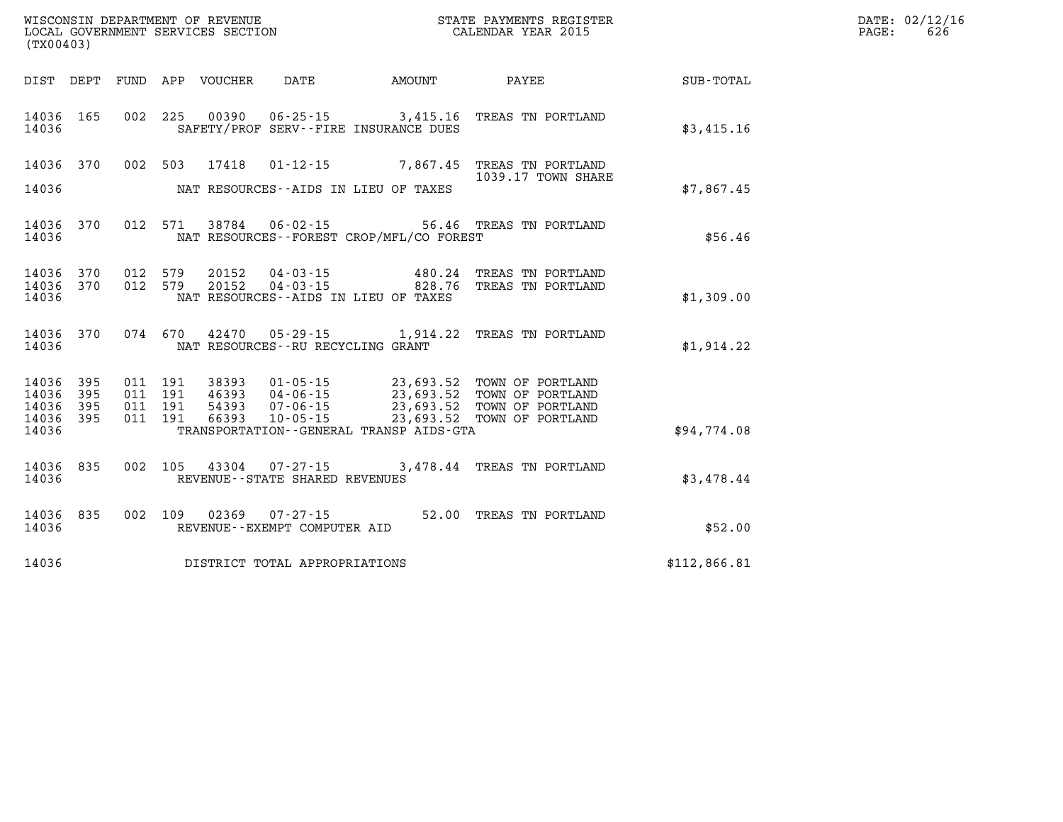| (TX00403)                                 |                           |                                          | WISCONSIN DEPARTMENT OF REVENUE<br>LOCAL GOVERNMENT SERVICES SECTION |                                   |                                             | STATE PAYMENTS REGISTER<br>CALENDAR YEAR 2015                                                                                                                                                |              | DATE: 02/12/16<br>$\mathtt{PAGE:}$<br>626 |
|-------------------------------------------|---------------------------|------------------------------------------|----------------------------------------------------------------------|-----------------------------------|---------------------------------------------|----------------------------------------------------------------------------------------------------------------------------------------------------------------------------------------------|--------------|-------------------------------------------|
|                                           |                           |                                          | DIST DEPT FUND APP VOUCHER DATE                                      |                                   | AMOUNT                                      | <b>PAYEE</b>                                                                                                                                                                                 | SUB-TOTAL    |                                           |
| 14036 165<br>14036                        |                           |                                          |                                                                      |                                   | SAFETY/PROF SERV--FIRE INSURANCE DUES       | 002 225 00390 06-25-15 3,415.16 TREAS TN PORTLAND                                                                                                                                            | \$3,415.16   |                                           |
| 14036                                     |                           |                                          |                                                                      |                                   | NAT RESOURCES--AIDS IN LIEU OF TAXES        | 14036 370 002 503 17418 01-12-15 7,867.45 TREAS TN PORTLAND<br>1039.17 TOWN SHARE                                                                                                            | \$7,867.45   |                                           |
| 14036                                     | 14036 370                 |                                          |                                                                      |                                   | NAT RESOURCES - - FOREST CROP/MFL/CO FOREST | 012 571 38784 06-02-15 56.46 TREAS TN PORTLAND                                                                                                                                               | \$56.46      |                                           |
| 14036 370<br>14036<br>14036               | 370                       | 012 579                                  |                                                                      |                                   | NAT RESOURCES--AIDS IN LIEU OF TAXES        | 20152  04-03-15  480.24  TREAS TN PORTLAND<br>012 579 20152 04-03-15 828.76 TREAS TN PORTLAND                                                                                                | \$1,309.00   |                                           |
| 14036 370<br>14036                        |                           |                                          |                                                                      |                                   | NAT RESOURCES - - RU RECYCLING GRANT        | 074 670 42470 05-29-15 1,914.22 TREAS TN PORTLAND                                                                                                                                            | \$1,914.22   |                                           |
| 14036<br>14036<br>14036<br>14036<br>14036 | 395<br>395<br>395<br>-395 | 011 191<br>011 191<br>011 191<br>011 191 |                                                                      |                                   | TRANSPORTATION--GENERAL TRANSP AIDS-GTA     | 38393  01-05-15  23,693.52  TOWN OF PORTLAND<br>46393  04-06-15  23,693.52  TOWN OF PORTLAND<br>54393  07-06-15  23,693.52  TOWN OF PORTLAND<br>66393  10-05-15  23,693.52  TOWN OF PORTLAND | \$94,774.08  |                                           |
| 14036 835<br>14036                        |                           |                                          |                                                                      | REVENUE - - STATE SHARED REVENUES |                                             | 002 105 43304 07-27-15 3,478.44 TREAS TN PORTLAND                                                                                                                                            | \$3,478.44   |                                           |
| 14036 835<br>14036                        |                           |                                          |                                                                      | REVENUE--EXEMPT COMPUTER AID      |                                             | 002 109 02369 07-27-15 52.00 TREAS TN PORTLAND                                                                                                                                               | \$52.00      |                                           |
| 14036                                     |                           |                                          |                                                                      | DISTRICT TOTAL APPROPRIATIONS     |                                             |                                                                                                                                                                                              | \$112,866.81 |                                           |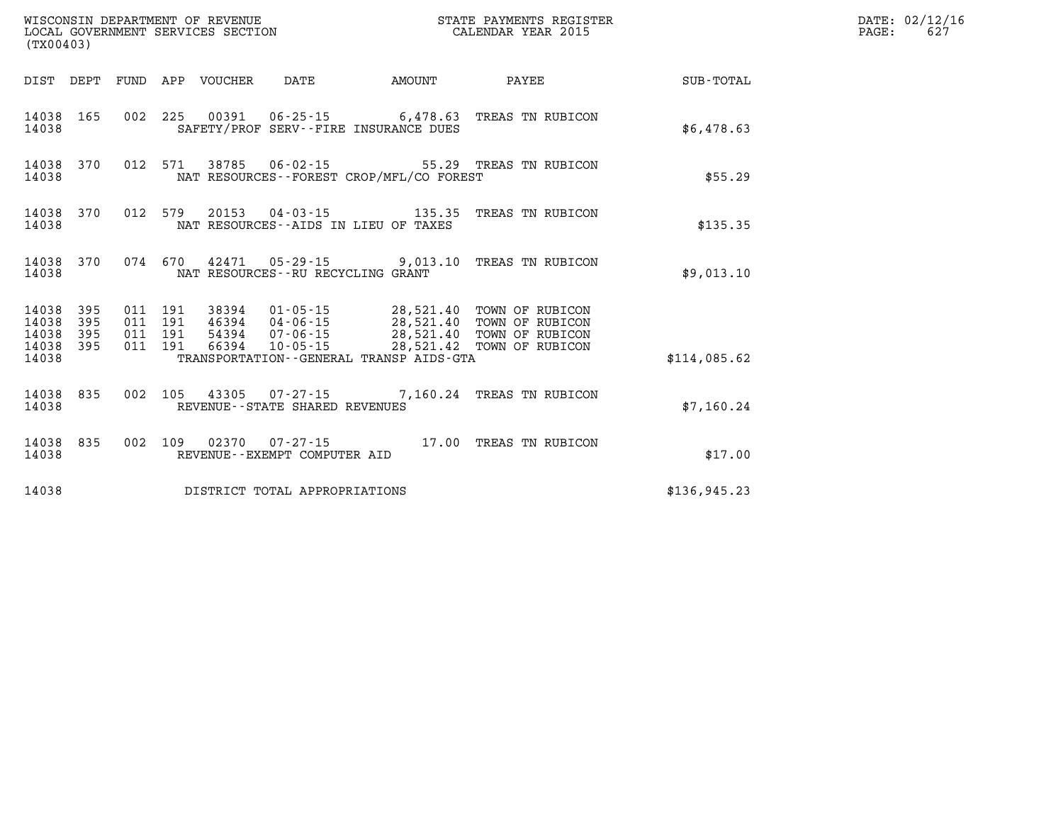| (TX00403)                                |            |                                          |         | WISCONSIN DEPARTMENT OF REVENUE<br>LOCAL GOVERNMENT SERVICES SECTION |                                   |                                                                   | STATE PAYMENTS REGISTER<br>CALENDAR YEAR 2015                                                                                                              |               | DATE: 02/12/16<br>$\mathtt{PAGE:}$<br>627 |
|------------------------------------------|------------|------------------------------------------|---------|----------------------------------------------------------------------|-----------------------------------|-------------------------------------------------------------------|------------------------------------------------------------------------------------------------------------------------------------------------------------|---------------|-------------------------------------------|
|                                          |            |                                          |         | DIST DEPT FUND APP VOUCHER                                           | DATE                              | AMOUNT                                                            | PAYEE                                                                                                                                                      | SUB-TOTAL     |                                           |
| 14038 165<br>14038                       |            |                                          |         |                                                                      |                                   | SAFETY/PROF SERV--FIRE INSURANCE DUES                             | 002 225 00391 06-25-15 6,478.63 TREAS TN RUBICON                                                                                                           | \$6,478.63    |                                           |
| 14038 370<br>14038                       |            | 012 571                                  |         | 38785                                                                |                                   | NAT RESOURCES--FOREST CROP/MFL/CO FOREST                          | 06-02-15 55.29 TREAS TN RUBICON                                                                                                                            | \$55.29       |                                           |
| 14038 370<br>14038                       |            |                                          | 012 579 |                                                                      |                                   | NAT RESOURCES -- AIDS IN LIEU OF TAXES                            | 20153  04-03-15  135.35  TREAS TN RUBICON                                                                                                                  | \$135.35      |                                           |
| 14038 370<br>14038                       |            |                                          | 074 670 |                                                                      |                                   | 42471  05-29-15  9,013.10<br>NAT RESOURCES - - RU RECYCLING GRANT | TREAS TN RUBICON                                                                                                                                           | \$9,013.10    |                                           |
| 14038 395<br>14038<br>14038<br>14038 395 | 395<br>395 | 011 191<br>011 191<br>011 191<br>011 191 |         | 38394<br>66394                                                       | 10-05-15                          |                                                                   | 01-05-15 28,521.40 TOWN OF RUBICON<br>46394 04-06-15 28,521.40 TOWN OF RUBICON<br>54394  07-06-15  28,521.40  TOWN OF RUBICON<br>28,521.42 TOWN OF RUBICON |               |                                           |
| 14038                                    |            |                                          |         |                                                                      |                                   | TRANSPORTATION--GENERAL TRANSP AIDS-GTA                           |                                                                                                                                                            | \$114,085.62  |                                           |
| 14038 835<br>14038                       |            |                                          |         |                                                                      | REVENUE - - STATE SHARED REVENUES |                                                                   | 002 105 43305 07-27-15 7,160.24 TREAS TN RUBICON                                                                                                           | \$7,160.24    |                                           |
| 14038 835<br>14038                       |            |                                          |         |                                                                      | REVENUE--EXEMPT COMPUTER AID      |                                                                   | 002 109 02370 07-27-15 17.00 TREAS TN RUBICON                                                                                                              | \$17.00       |                                           |
| 14038                                    |            |                                          |         |                                                                      | DISTRICT TOTAL APPROPRIATIONS     |                                                                   |                                                                                                                                                            | \$136, 945.23 |                                           |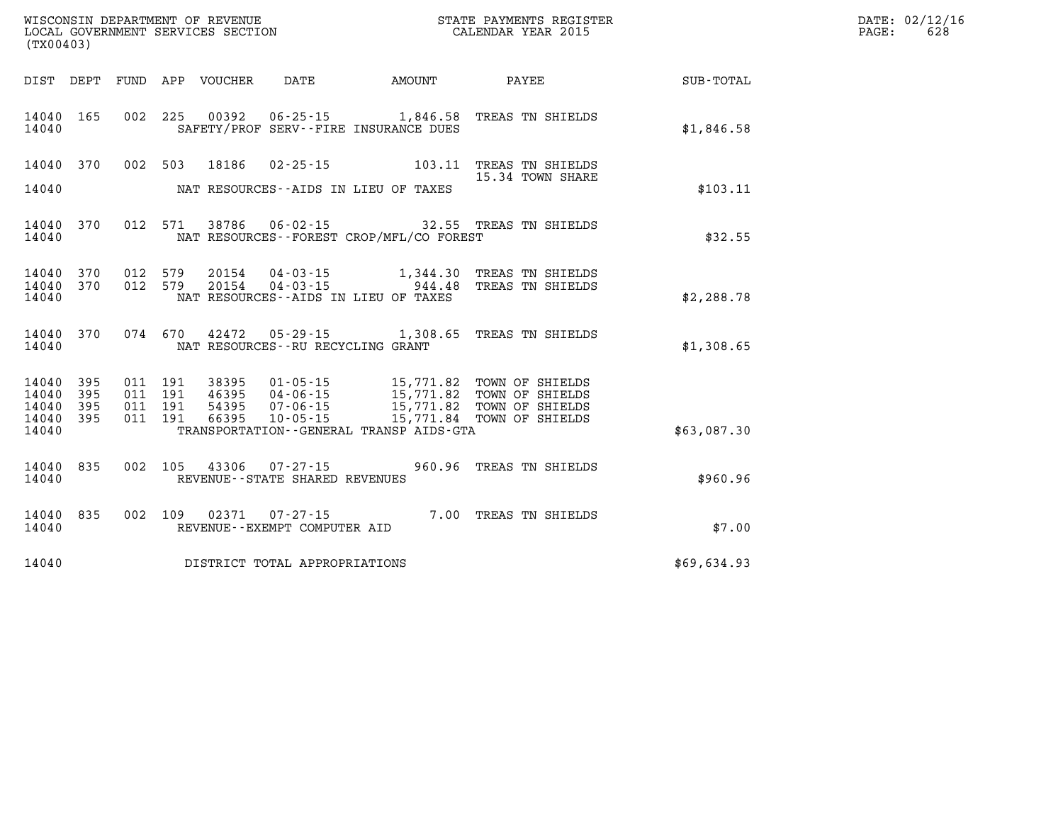| WISCONSIN DEPARTMENT OF REVENUE<br>LOCAL GOVERNMENT SERVICES SECTION<br>CALENDAR YEAR 2015<br>(TX00403) |                          |     |                                      |                                  |                                              |                                                                                |                                                                                                       |             | DATE: 02/12/16<br>PAGE:<br>628 |
|---------------------------------------------------------------------------------------------------------|--------------------------|-----|--------------------------------------|----------------------------------|----------------------------------------------|--------------------------------------------------------------------------------|-------------------------------------------------------------------------------------------------------|-------------|--------------------------------|
|                                                                                                         |                          |     |                                      | DIST DEPT FUND APP VOUCHER       | DATE                                         | AMOUNT                                                                         | PAYEE                                                                                                 | SUB-TOTAL   |                                |
| 14040 165<br>14040                                                                                      |                          |     |                                      |                                  |                                              | 002 225 00392 06-25-15 1,846.58<br>SAFETY/PROF SERV--FIRE INSURANCE DUES       | TREAS TN SHIELDS                                                                                      | \$1,846.58  |                                |
| 14040 370                                                                                               |                          |     |                                      |                                  |                                              |                                                                                | 002 503 18186 02-25-15 103.11 TREAS TN SHIELDS                                                        |             |                                |
| 14040                                                                                                   |                          |     |                                      |                                  |                                              | NAT RESOURCES--AIDS IN LIEU OF TAXES                                           | 15.34 TOWN SHARE                                                                                      | \$103.11    |                                |
| 14040 370<br>14040                                                                                      |                          |     |                                      | 012 571 38786                    | $06 - 02 - 15$                               | NAT RESOURCES - - FOREST CROP/MFL/CO FOREST                                    | 32.55 TREAS TN SHIELDS                                                                                | \$32.55     |                                |
| 14040<br>14040<br>14040                                                                                 | 370<br>370               |     | 012 579<br>012 579                   |                                  |                                              | 20154 04-03-15 944.48<br>NAT RESOURCES -- AIDS IN LIEU OF TAXES                | 20154  04-03-15  1,344.30  TREAS TN SHIELDS<br>TREAS TN SHIELDS                                       | \$2,288.78  |                                |
| 14040<br>14040                                                                                          | 370                      |     |                                      |                                  | NAT RESOURCES--RU RECYCLING GRANT            |                                                                                | 074 670 42472 05-29-15 1,308.65 TREAS TN SHIELDS                                                      | \$1,308.65  |                                |
| 14040<br>14040<br>14040<br>14040<br>14040                                                               | 395<br>395<br>395<br>395 | 011 | 011 191<br>191<br>011 191<br>011 191 | 38395<br>46395<br>54395<br>66395 | 04-06-15<br>$07 - 06 - 15$<br>$10 - 05 - 15$ | 15,771.82<br>15,771.82<br>15,771.84<br>TRANSPORTATION--GENERAL TRANSP AIDS-GTA | 01-05-15 15,771.82 TOWN OF SHIELDS<br>TOWN OF SHIELDS<br>TOWN OF SHIELDS<br>15,771.84 TOWN OF SHIELDS | \$63,087.30 |                                |
| 14040<br>14040                                                                                          | 835                      |     |                                      | 002 105 43306                    | REVENUE--STATE SHARED REVENUES               |                                                                                | 07-27-15 960.96 TREAS TN SHIELDS                                                                      | \$960.96    |                                |
| 14040 835                                                                                               |                          |     | 002 109                              | 02371                            | $07 - 27 - 15$                               |                                                                                | 7.00 TREAS TN SHIELDS                                                                                 |             |                                |

**14040 DISTRICT TOTAL APPROPRIATIONS \$69,634.93** 

**14040 REVENUE--EXEMPT COMPUTER AID \$7.00**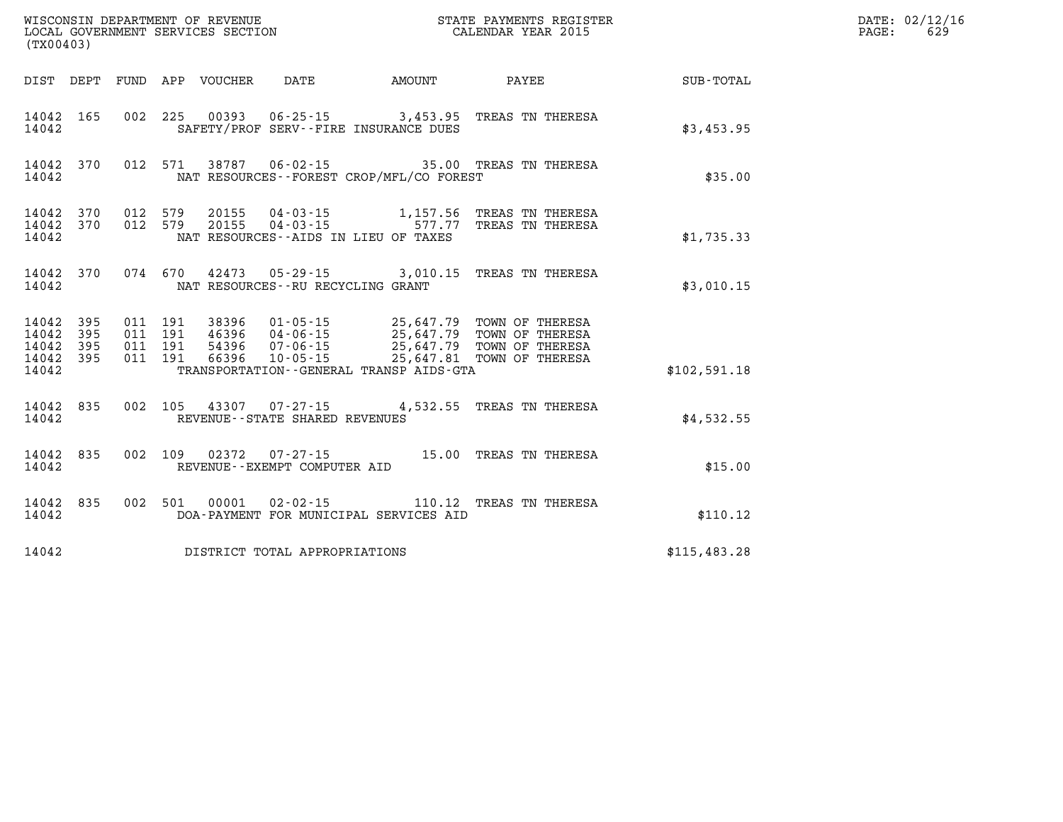| (TX00403)                   |                               |                    |                    |       |                                   |                                             |                                                                                                                                                                                 |              | DATE: 02/12/16<br>629<br>PAGE: |
|-----------------------------|-------------------------------|--------------------|--------------------|-------|-----------------------------------|---------------------------------------------|---------------------------------------------------------------------------------------------------------------------------------------------------------------------------------|--------------|--------------------------------|
|                             |                               |                    |                    |       |                                   |                                             | DIST DEPT FUND APP VOUCHER DATE AMOUNT PAYEE                                                                                                                                    | SUB-TOTAL    |                                |
| 14042                       | 14042 165                     |                    |                    |       |                                   | SAFETY/PROF SERV--FIRE INSURANCE DUES       | 002 225 00393 06-25-15 3,453.95 TREAS TN THERESA                                                                                                                                | \$3,453.95   |                                |
| 14042                       | 14042 370                     |                    |                    |       |                                   | NAT RESOURCES - - FOREST CROP/MFL/CO FOREST | 012 571 38787 06-02-15 35.00 TREAS TN THERESA                                                                                                                                   | \$35.00      |                                |
| 14042                       | 14042 370<br>14042 370        |                    | 012 579<br>012 579 |       |                                   | NAT RESOURCES--AIDS IN LIEU OF TAXES        |                                                                                                                                                                                 | \$1,735.33   |                                |
| 14042                       | 14042 370                     |                    |                    |       |                                   | NAT RESOURCES - - RU RECYCLING GRANT        | 074 670 42473 05-29-15 3,010.15 TREAS TN THERESA                                                                                                                                | \$3,010.15   |                                |
| 14042<br>14042 395<br>14042 | 14042 395<br>395<br>14042 395 | 011 191<br>011 191 | 011 191<br>011 191 | 66396 |                                   | TRANSPORTATION--GENERAL TRANSP AIDS-GTA     | 38396  01-05-15  25,647.79  TOWN OF THERESA<br>46396  04-06-15  25,647.79  TOWN OF THERESA<br>54396  07-06-15  25,647.79  TOWN OF THERESA<br>10-05-15 25,647.81 TOWN OF THERESA | \$102,591.18 |                                |
| 14042                       | 14042 835                     |                    |                    |       | REVENUE - - STATE SHARED REVENUES |                                             | 002 105 43307 07-27-15 4,532.55 TREAS TN THERESA                                                                                                                                | \$4,532.55   |                                |
| 14042                       | 14042 835                     |                    |                    |       | REVENUE--EXEMPT COMPUTER AID      |                                             | 002 109 02372 07-27-15 15.00 TREAS TN THERESA                                                                                                                                   | \$15.00      |                                |
| 14042                       | 14042 835                     |                    |                    |       |                                   | DOA-PAYMENT FOR MUNICIPAL SERVICES AID      | 002 501 00001 02-02-15 110.12 TREAS TN THERESA                                                                                                                                  | \$110.12     |                                |
| 14042                       |                               |                    |                    |       | DISTRICT TOTAL APPROPRIATIONS     |                                             |                                                                                                                                                                                 | \$115,483.28 |                                |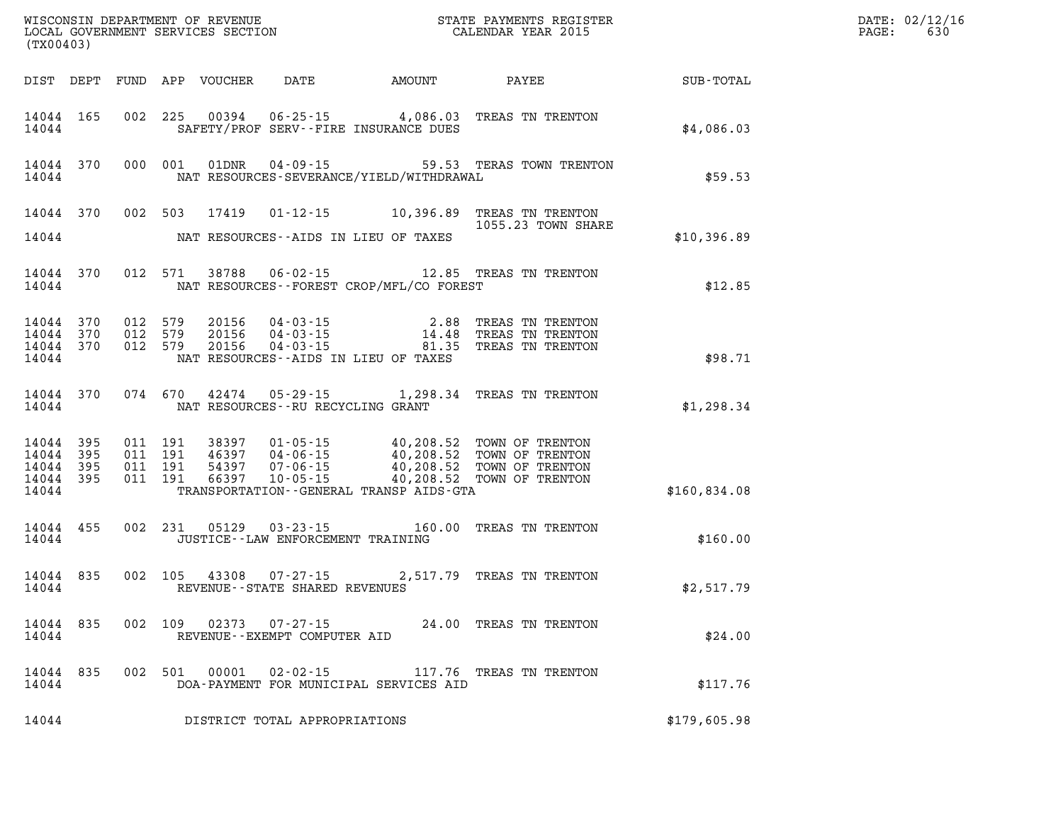| (TX00403)          |         |         |       |                                                |                                                | WISCONSIN DEPARTMENT OF REVENUE<br>LOCAL GOVERNMENT SERVICES SECTION THE STATE PAYMENTS REGISTER<br>(TWO 0403)                                                                                                                                                                                                                 |              | DATE: 02/12/16<br>$\mathtt{PAGE:}$<br>630 |
|--------------------|---------|---------|-------|------------------------------------------------|------------------------------------------------|--------------------------------------------------------------------------------------------------------------------------------------------------------------------------------------------------------------------------------------------------------------------------------------------------------------------------------|--------------|-------------------------------------------|
|                    |         |         |       |                                                |                                                | DIST DEPT FUND APP VOUCHER DATE AMOUNT PAYEE TOTAL                                                                                                                                                                                                                                                                             |              |                                           |
|                    |         |         |       |                                                | 14044 SAFETY/PROF SERV--FIRE INSURANCE DUES    | 14044 165 002 225 00394 06-25-15 4,086.03 TREAS TN TRENTON                                                                                                                                                                                                                                                                     | \$4,086.03   |                                           |
|                    |         |         |       |                                                | 14044 NAT RESOURCES-SEVERANCE/YIELD/WITHDRAWAL | 14044 370 000 001 01DNR 04-09-15 59.53 TERAS TOWN TRENTON                                                                                                                                                                                                                                                                      | \$59.53      |                                           |
|                    |         |         |       |                                                |                                                | 14044 370 002 503 17419 01-12-15 10,396.89 TREAS TN TRENTON<br>1055.23 TOWN SHARE                                                                                                                                                                                                                                              |              |                                           |
|                    |         |         |       |                                                | 14044 NAT RESOURCES--AIDS IN LIEU OF TAXES     |                                                                                                                                                                                                                                                                                                                                | \$10,396.89  |                                           |
|                    |         |         |       |                                                | 14044 NAT RESOURCES--FOREST CROP/MFL/CO FOREST | 14044 370 012 571 38788 06-02-15 12.85 TREAS TN TRENTON                                                                                                                                                                                                                                                                        | \$12.85      |                                           |
|                    |         |         |       |                                                | 14044 NAT RESOURCES--AIDS IN LIEU OF TAXES     | $\begin{array}{cccccccc} 14044 & 370 & 012 & 579 & 20156 & 04\cdot 03\cdot 15 & & & & 2.88 & \text{TREAS TN TREM} \\ 14044 & 370 & 012 & 579 & 20156 & 04\cdot 03\cdot 15 & & & 14.48 & \text{TREAS TN TREM} \\ 14044 & 370 & 012 & 579 & 20156 & 04\cdot 03\cdot 15 & & & 81.35 & \text{TREAS TN TREM} \end{array}$           | \$98.71      |                                           |
|                    |         |         |       | 14044 NAT RESOURCES--RU RECYCLING GRANT        |                                                | 14044 370 074 670 42474 05-29-15 1,298.34 TREAS TN TRENTON                                                                                                                                                                                                                                                                     | \$1,298.34   |                                           |
| 14044              |         |         |       |                                                | TRANSPORTATION - GENERAL TRANSP AIDS - GTA     | $\begin{tabular}{cccccc} 14\,04\,4 & 395 & 011 & 191 & 38397 & 01\cdot 05\cdot 15 & 40\,, 208\,.52 & TOWN OF TRENTON \\ 14\,044 & 395 & 011 & 191 & 46397 & 04\cdot 06\cdot 15 & 40\,, 208\,.52 & TOWN OF TRENTON \\ 14\,044 & 395 & 011 & 191 & 54397 & 07\cdot 06\cdot 15 & 40\,, 208\,.52 & TOWN OF TRENTON \\ 14\,044 & 3$ | \$160,834.08 |                                           |
|                    |         |         |       |                                                |                                                |                                                                                                                                                                                                                                                                                                                                |              |                                           |
|                    |         |         |       | 14044 JUSTICE - LAW ENFORCEMENT TRAINING       |                                                | 14044 455 002 231 05129 03-23-15 160.00 TREAS TN TRENTON                                                                                                                                                                                                                                                                       | \$160.00     |                                           |
| 14044              |         |         |       | REVENUE--STATE SHARED REVENUES                 |                                                | 14044 835 002 105 43308 07-27-15 2,517.79 TREAS TN TRENTON                                                                                                                                                                                                                                                                     | \$2,517.79   |                                           |
| 14044 835<br>14044 |         | 002 109 | 02373 | $07 - 27 - 15$<br>REVENUE--EXEMPT COMPUTER AID |                                                | 24.00 TREAS TN TRENTON                                                                                                                                                                                                                                                                                                         | \$24.00      |                                           |
| 14044 835<br>14044 | 002 501 |         | 00001 | $02 - 02 - 15$                                 | DOA-PAYMENT FOR MUNICIPAL SERVICES AID         | 117.76 TREAS TN TRENTON                                                                                                                                                                                                                                                                                                        | \$117.76     |                                           |
| 14044              |         |         |       | DISTRICT TOTAL APPROPRIATIONS                  |                                                |                                                                                                                                                                                                                                                                                                                                | \$179,605.98 |                                           |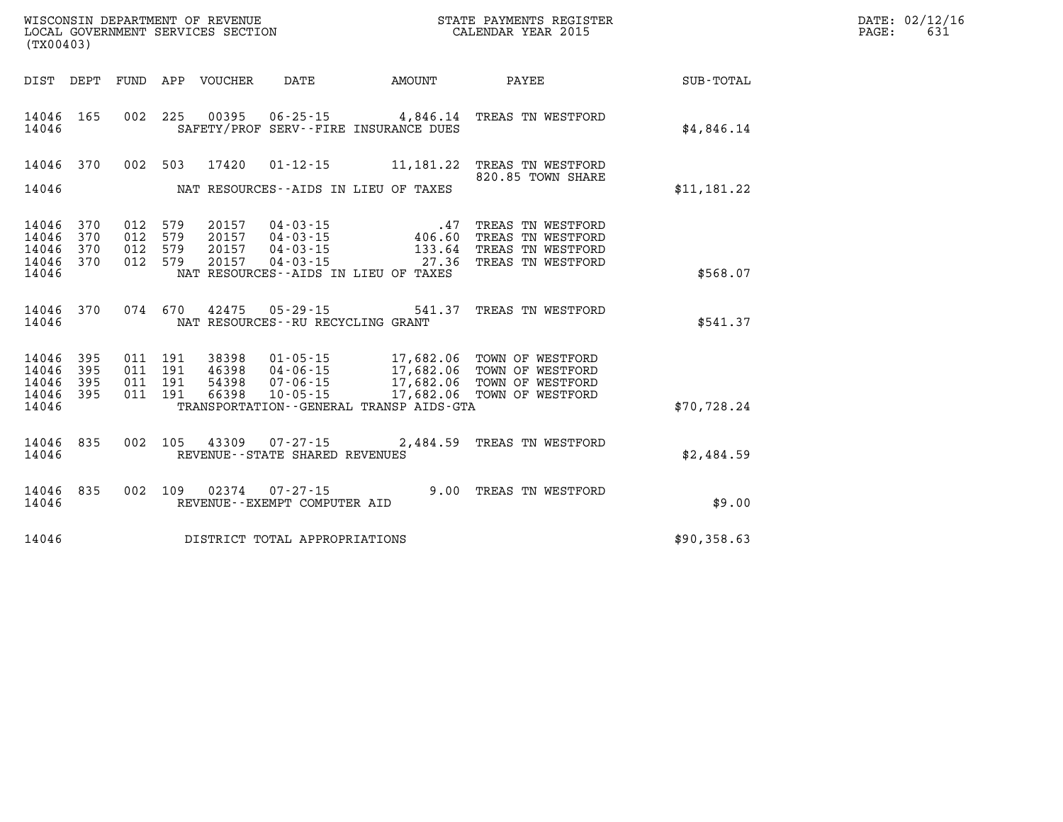| DATE: | 02/12/16 |
|-------|----------|
| PAGE: | 631      |

| (TX00403)                                 |                          |                          |                          |                                  |                                                                                                                 |                                                  |                                                                                  |                  |
|-------------------------------------------|--------------------------|--------------------------|--------------------------|----------------------------------|-----------------------------------------------------------------------------------------------------------------|--------------------------------------------------|----------------------------------------------------------------------------------|------------------|
| DIST                                      | DEPT                     | FUND                     | APP                      | VOUCHER                          | <b>DATE</b>                                                                                                     | <b>AMOUNT</b>                                    | PAYEE                                                                            | <b>SUB-TOTAL</b> |
| 14046<br>14046                            | 165                      | 002                      | 225                      | 00395                            | $06 - 25 - 15$<br>SAFETY/PROF SERV--FIRE INSURANCE DUES                                                         | 4,846.14                                         | TREAS TN WESTFORD                                                                | \$4,846.14       |
| 14046<br>14046                            | 370                      | 002                      | 503                      | 17420                            | $01 - 12 - 15$<br>NAT RESOURCES -- AIDS IN LIEU OF TAXES                                                        | 11,181.22                                        | TREAS TN WESTFORD<br>820.85 TOWN SHARE                                           | \$11,181.22      |
| 14046<br>14046<br>14046<br>14046<br>14046 | 370<br>370<br>370<br>370 | 012<br>012<br>012<br>012 | 579<br>579<br>579<br>579 | 20157<br>20157<br>20157<br>20157 | 04-03-15<br>$04 - 03 - 15$<br>$04 - 03 - 15$<br>04-03-15<br>NAT RESOURCES -- AIDS IN LIEU OF TAXES              | .47<br>406.60<br>133.64<br>27.36                 | TREAS TN WESTFORD<br>TREAS TN WESTFORD<br>TREAS TN WESTFORD<br>TREAS TN WESTFORD | \$568.07         |
| 14046<br>14046                            | 370                      | 074                      | 670                      | 42475                            | $05 - 29 - 15$<br>NAT RESOURCES - - RU RECYCLING GRANT                                                          | 541.37                                           | TREAS TN WESTFORD                                                                | \$541.37         |
| 14046<br>14046<br>14046<br>14046<br>14046 | 395<br>395<br>395<br>395 | 011<br>011<br>011<br>011 | 191<br>191<br>191<br>191 | 38398<br>46398<br>54398<br>66398 | $01 - 05 - 15$<br>$04 - 06 - 15$<br>$07 - 06 - 15$<br>$10 - 05 - 15$<br>TRANSPORTATION--GENERAL TRANSP AIDS-GTA | 17,682.06<br>17,682.06<br>17,682.06<br>17,682.06 | TOWN OF WESTFORD<br>TOWN OF WESTFORD<br>TOWN OF WESTFORD<br>TOWN OF WESTFORD     | \$70, 728.24     |
| 14046<br>14046                            | 835                      | 002                      | 105                      | 43309                            | $07 - 27 - 15$<br>REVENUE - - STATE SHARED REVENUES                                                             | 2,484.59                                         | TREAS TN WESTFORD                                                                | \$2,484.59       |
| 14046<br>14046                            | 835                      | 002                      | 109                      | 02374                            | $07 - 27 - 15$<br>REVENUE--EXEMPT COMPUTER AID                                                                  | 9.00                                             | TREAS TN WESTFORD                                                                | \$9.00           |
| 14046                                     |                          |                          |                          |                                  | DISTRICT TOTAL APPROPRIATIONS                                                                                   |                                                  |                                                                                  | \$90,358.63      |

WISCONSIN DEPARTMENT OF REVENUE **STATE PAYMENTS REGISTER**<br>LOCAL GOVERNMENT SERVICES SECTION

LOCAL GOVERNMENT SERVICES SECTION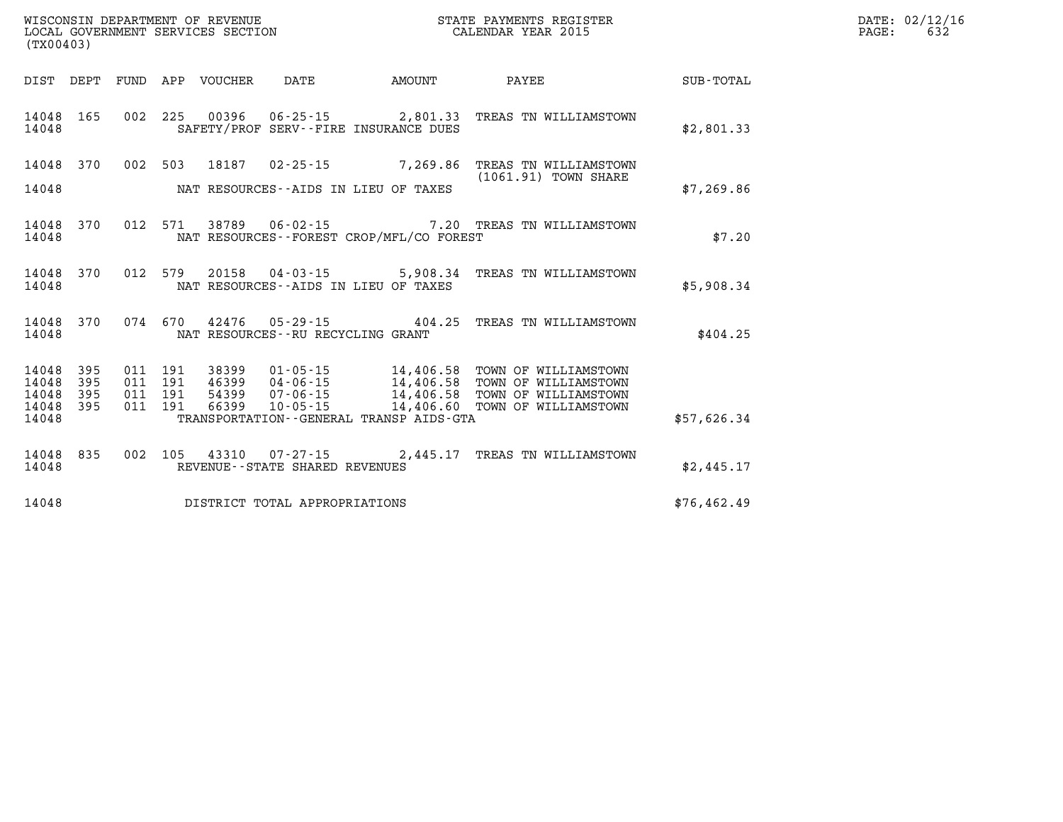| OF REVENUE<br>WISCONSIN DEPARTMENT   | PAYMENTS REGISTER<br>STATE | DATE: | $\ldots$ = 02/12/16  |
|--------------------------------------|----------------------------|-------|----------------------|
| LOCAL<br>GOVERNMENT SERVICES SECTION | CALENDAR YEAR 2015         | PAGE: | $\sim$ $\sim$<br>632 |

| (TX00403)                                                             |                          |                                                              |                                                          |                                                                                             |                                                                                              |                  |
|-----------------------------------------------------------------------|--------------------------|--------------------------------------------------------------|----------------------------------------------------------|---------------------------------------------------------------------------------------------|----------------------------------------------------------------------------------------------|------------------|
| DIST<br>DEPT                                                          | <b>FUND</b>              | APP<br>VOUCHER                                               | DATE                                                     | AMOUNT                                                                                      | PAYEE                                                                                        | <b>SUB-TOTAL</b> |
| 165<br>14048<br>14048                                                 | 002                      | 225<br>00396                                                 |                                                          | $06 - 25 - 15$ 2,801.33<br>SAFETY/PROF SERV--FIRE INSURANCE DUES                            | TREAS TN WILLIAMSTOWN                                                                        | \$2,801.33       |
| 370<br>14048<br>14048                                                 | 002                      | 503<br>18187                                                 | $02 - 25 - 15$<br>NAT RESOURCES--AIDS IN LIEU OF TAXES   | 7,269.86                                                                                    | TREAS TN WILLIAMSTOWN<br>(1061.91) TOWN SHARE                                                | \$7,269.86       |
| 14048<br>370<br>14048                                                 | 012                      | 571<br>38789                                                 | $06 - 02 - 15$                                           | NAT RESOURCES - - FOREST CROP/MFL/CO FOREST                                                 | 7.20 TREAS TN WILLIAMSTOWN                                                                   | \$7.20           |
| 14048<br>370<br>14048                                                 | 012                      | 579<br>20158                                                 | 04-03-15<br>NAT RESOURCES -- AIDS IN LIEU OF TAXES       | 5,908.34                                                                                    | TREAS TN WILLIAMSTOWN                                                                        | \$5,908.34       |
| 14048<br>370<br>14048                                                 | 074                      | 670<br>42476                                                 | $05 - 29 - 15$<br>NAT RESOURCES - - RU RECYCLING GRANT   | 404.25                                                                                      | TREAS TN WILLIAMSTOWN                                                                        | \$404.25         |
| 395<br>14048<br>14048<br>395<br>14048<br>395<br>14048<br>395<br>14048 | 011<br>011<br>011<br>011 | 191<br>38399<br>191<br>46399<br>191<br>54399<br>66399<br>191 | $01 - 05 - 15$<br>04-06-15<br>07-06-15<br>$10 - 05 - 15$ | 14,406.58<br>14,406.58<br>14,406.58<br>14,406.60<br>TRANSPORTATION--GENERAL TRANSP AIDS-GTA | TOWN OF WILLIAMSTOWN<br>TOWN OF WILLIAMSTOWN<br>TOWN OF WILLIAMSTOWN<br>TOWN OF WILLIAMSTOWN | \$57,626.34      |
| 14048<br>835<br>14048                                                 | 002                      | 105<br>43310                                                 | REVENUE - - STATE SHARED REVENUES                        | $07 - 27 - 15$ 2,445.17                                                                     | TREAS TN WILLIAMSTOWN                                                                        | \$2,445.17       |
| 14048                                                                 |                          |                                                              | DISTRICT TOTAL APPROPRIATIONS                            |                                                                                             |                                                                                              | \$76, 462.49     |

WISCONSIN DEPARTMENT OF REVENUE **STATE PAYMENTS REGISTER** LOCAL GOVERNMENT SERVICES SECTION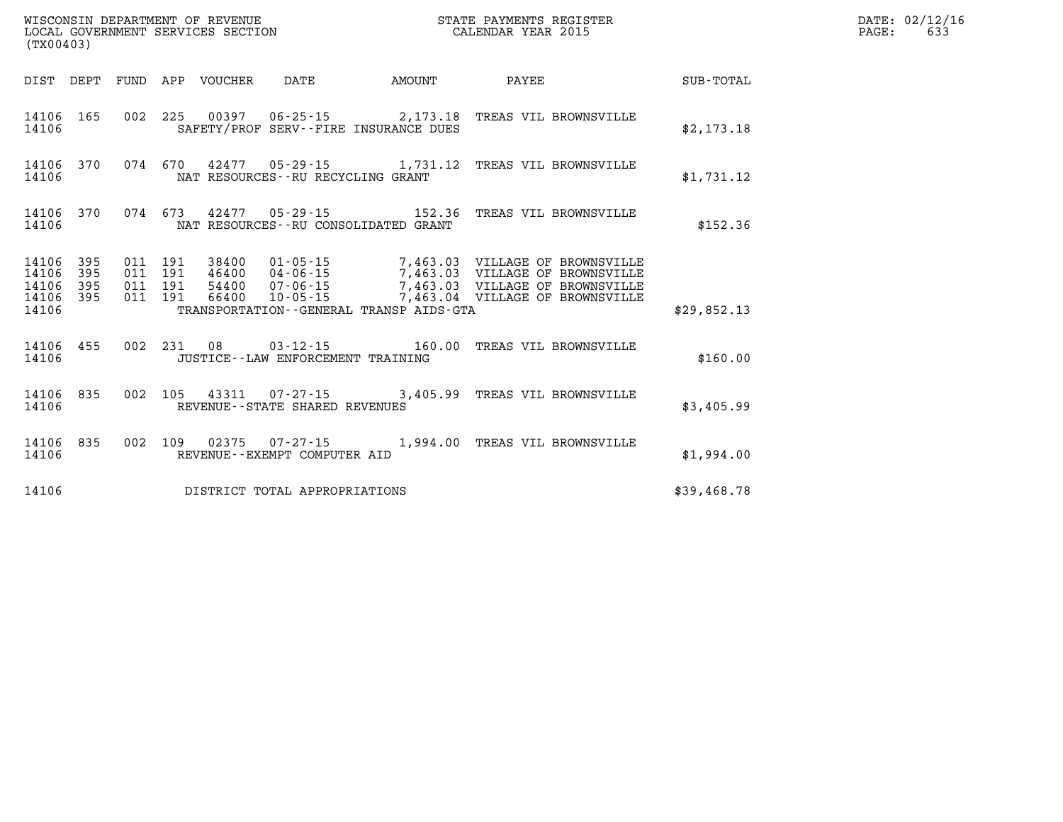| (TX00403)               |                                      |  | LOCAL GOVERNMENT SERVICES SECTION |                                     |                                                                                                          | CALENDAR YEAR 2015 |             | PAGE: | 633 |
|-------------------------|--------------------------------------|--|-----------------------------------|-------------------------------------|----------------------------------------------------------------------------------------------------------|--------------------|-------------|-------|-----|
|                         |                                      |  | DIST DEPT FUND APP VOUCHER DATE   |                                     |                                                                                                          |                    |             |       |     |
| 14106                   |                                      |  |                                   |                                     | 14106 165 002 225 00397 06-25-15 2,173.18 TREAS VIL BROWNSVILLE<br>SAFETY/PROF SERV--FIRE INSURANCE DUES |                    | \$2,173.18  |       |     |
| 14106                   |                                      |  |                                   | NAT RESOURCES--RU RECYCLING GRANT   | 14106 370 074 670 42477 05-29-15 1,731.12 TREAS VIL BROWNSVILLE                                          |                    | \$1,731.12  |       |     |
| 14106                   |                                      |  |                                   |                                     | 14106 370 074 673 42477 05-29-15 152.36 TREAS VIL BROWNSVILLE<br>NAT RESOURCES--RU CONSOLIDATED GRANT    |                    | \$152.36    |       |     |
| 14106<br>14106<br>14106 | 14106 395<br>395<br>395<br>14106 395 |  |                                   |                                     | TRANSPORTATION--GENERAL TRANSP AIDS-GTA                                                                  |                    | \$29,852.13 |       |     |
| 14106                   |                                      |  |                                   | JUSTICE -- LAW ENFORCEMENT TRAINING | 14106 455 002 231 08 03-12-15 160.00 TREAS VIL BROWNSVILLE                                               |                    | \$160.00    |       |     |
| 14106                   |                                      |  |                                   | REVENUE--STATE SHARED REVENUES      | 14106 835 002 105 43311 07-27-15 3,405.99 TREAS VIL BROWNSVILLE                                          |                    | \$3,405.99  |       |     |
| 14106                   |                                      |  |                                   | REVENUE--EXEMPT COMPUTER AID        | 14106 835 002 109 02375 07-27-15 1,994.00 TREAS VIL BROWNSVILLE                                          |                    | \$1,994.00  |       |     |
| 14106                   |                                      |  |                                   | DISTRICT TOTAL APPROPRIATIONS       |                                                                                                          |                    | \$39,468.78 |       |     |

**WISCONSIN DEPARTMENT OF REVENUE STATE PAYMENTS REGISTER DATE: 02/12/16**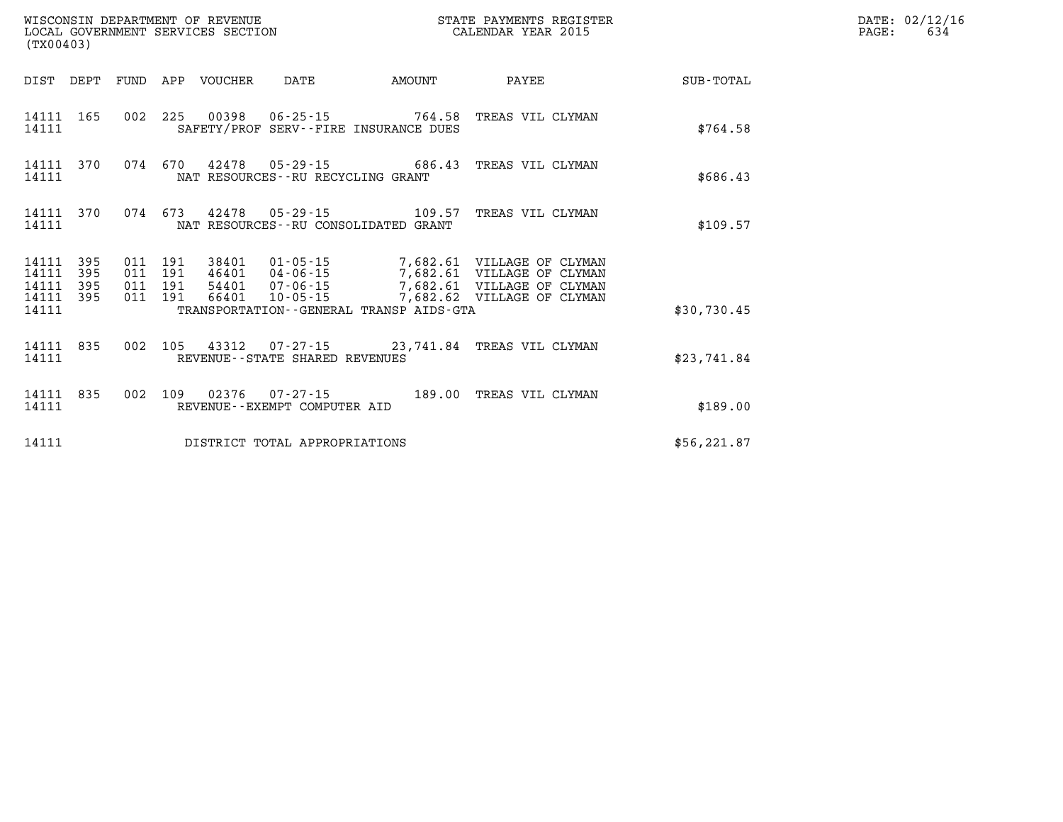| (TX00403)               |                   |                               | WISCONSIN DEPARTMENT OF REVENUE | LOCAL GOVERNMENT SERVICES SECTION |                                         | STATE PAYMENTS REGISTER<br>CALENDAR YEAR 2015                                                                                          |              | DATE: 02/12/16<br>PAGE:<br>634 |
|-------------------------|-------------------|-------------------------------|---------------------------------|-----------------------------------|-----------------------------------------|----------------------------------------------------------------------------------------------------------------------------------------|--------------|--------------------------------|
|                         |                   |                               | DIST DEPT FUND APP VOUCHER      | DATE                              | <b>EXAMPLE THE PROPERTY OF AMOUNT</b>   | PAYEE                                                                                                                                  | SUB-TOTAL    |                                |
| 14111 165<br>14111      |                   |                               |                                 |                                   | SAFETY/PROF SERV--FIRE INSURANCE DUES   | 002 225 00398 06-25-15 764.58 TREAS VIL CLYMAN                                                                                         | \$764.58     |                                |
| 14111 370<br>14111      |                   |                               |                                 | NAT RESOURCES--RU RECYCLING GRANT |                                         | 074 670 42478 05-29-15 686.43 TREAS VIL CLYMAN                                                                                         | \$686.43     |                                |
| 14111 370<br>14111      |                   |                               |                                 |                                   | NAT RESOURCES -- RU CONSOLIDATED GRANT  | 074 673 42478 05-29-15 109.57 TREAS VIL CLYMAN                                                                                         | \$109.57     |                                |
| 14111<br>14111<br>14111 | 395<br>395<br>395 | 011 191<br>011 191<br>011 191 |                                 |                                   |                                         | 38401  01-05-15  7,682.61  VILLAGE OF CLYMAN<br>46401 04-06-15 7,682.61 VILLAGE OF CLYMAN<br>54401 07-06-15 7,682.61 VILLAGE OF CLYMAN |              |                                |
| 14111 395<br>14111      |                   | 011 191                       | 66401                           |                                   | TRANSPORTATION--GENERAL TRANSP AIDS-GTA | 10-05-15 7,682.62 VILLAGE OF CLYMAN                                                                                                    | \$30,730.45  |                                |
| 14111 835<br>14111      |                   |                               |                                 | REVENUE--STATE SHARED REVENUES    |                                         | 002 105 43312 07-27-15 23,741.84 TREAS VIL CLYMAN                                                                                      | \$23,741.84  |                                |
| 14111 835<br>14111      |                   |                               |                                 | REVENUE--EXEMPT COMPUTER AID      |                                         | 002 109 02376 07-27-15 189.00 TREAS VIL CLYMAN                                                                                         | \$189.00     |                                |
| 14111                   |                   |                               |                                 | DISTRICT TOTAL APPROPRIATIONS     |                                         |                                                                                                                                        | \$56, 221.87 |                                |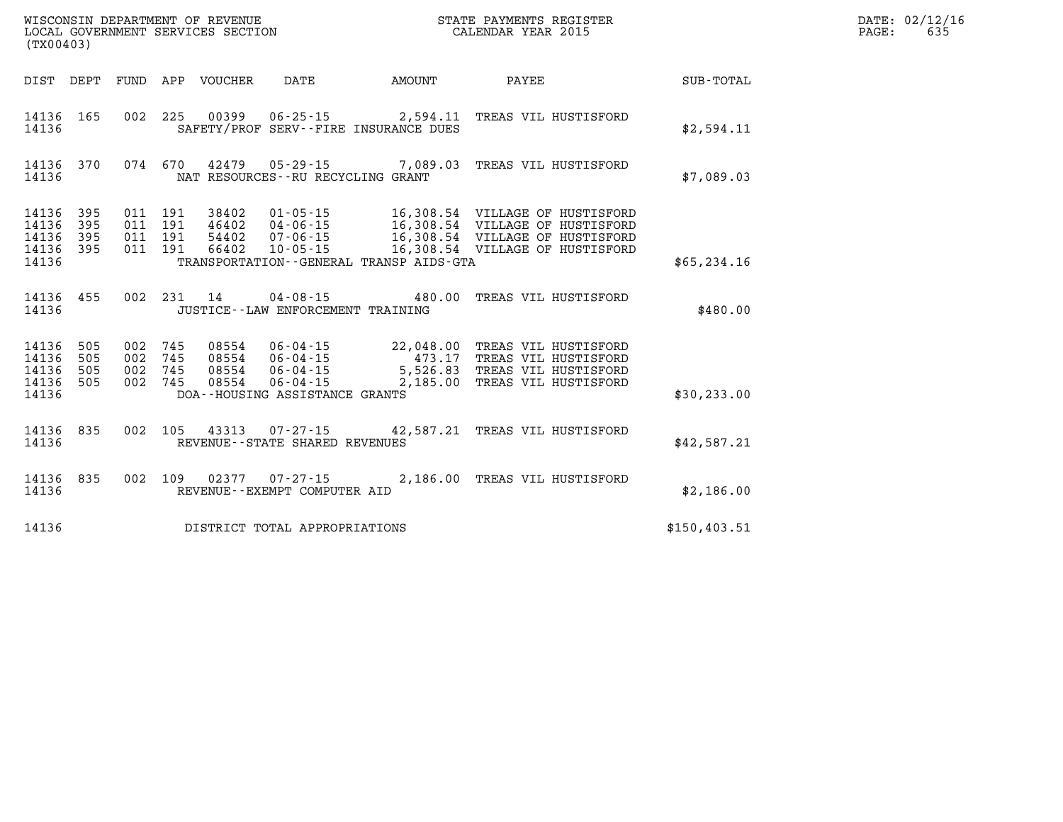| DATE: | 02/12/16 |
|-------|----------|
| PAGE: | 635      |

| (TX00403)                                                             |                          |                                                                                                                                                                               |                                             |                                                                                                                                          |               |
|-----------------------------------------------------------------------|--------------------------|-------------------------------------------------------------------------------------------------------------------------------------------------------------------------------|---------------------------------------------|------------------------------------------------------------------------------------------------------------------------------------------|---------------|
| DIST<br>DEPT                                                          | FUND                     | APP<br>VOUCHER<br>DATE                                                                                                                                                        | AMOUNT                                      | PAYEE                                                                                                                                    | SUB-TOTAL     |
| 165<br>14136<br>14136                                                 | 002                      | 225<br>00399<br>$06 - 25 - 15$ 2,594.11<br>SAFETY/PROF SERV--FIRE INSURANCE DUES                                                                                              |                                             | TREAS VIL HUSTISFORD                                                                                                                     | \$2,594.11    |
| 370<br>14136<br>14136                                                 | 074                      | 670<br>42479  05-29-15  7,089.03  TREAS VIL HUSTISFORD<br>NAT RESOURCES - - RU RECYCLING GRANT                                                                                |                                             |                                                                                                                                          | \$7,089.03    |
| 14136<br>395<br>14136<br>395<br>395<br>14136<br>14136<br>395<br>14136 | 011<br>011<br>011        | $01 - 05 - 15$<br>191<br>38402<br>$04 - 06 - 15$<br>011 191<br>46402<br>191<br>54402<br>07-06-15<br>191<br>66402<br>$10 - 05 - 15$<br>TRANSPORTATION--GENERAL TRANSP AIDS-GTA |                                             | 16,308.54 VILLAGE OF HUSTISFORD<br>16,308.54 VILLAGE OF HUSTISFORD<br>16,308.54 VILLAGE OF HUSTISFORD<br>16,308.54 VILLAGE OF HUSTISFORD | \$65, 234.16  |
| 455<br>14136<br>14136                                                 | 002                      | 231<br>$04 - 08 - 15$ 480.00<br>14<br>JUSTICE - - LAW ENFORCEMENT TRAINING                                                                                                    |                                             | TREAS VIL HUSTISFORD                                                                                                                     | \$480.00      |
| 14136<br>505<br>14136<br>505<br>14136<br>505<br>14136<br>505<br>14136 | 002<br>002<br>002<br>002 | 745<br>08554<br>$06 - 04 - 15$<br>745<br>08554 06-04-15<br>08554 06-04-15<br>745<br>08554<br>745<br>$06 - 04 - 15$<br>DOA--HOUSING ASSISTANCE GRANTS                          | 22,048.00<br>473.17<br>5,526.83<br>2,185.00 | TREAS VIL HUSTISFORD<br>TREAS VIL HUSTISFORD<br>TREAS VIL HUSTISFORD<br>TREAS VIL HUSTISFORD                                             | \$30, 233.00  |
| 14136<br>835<br>14136                                                 | 002                      | 105<br>43313 07-27-15<br>REVENUE - - STATE SHARED REVENUES                                                                                                                    |                                             | 42,587.21 TREAS VIL HUSTISFORD                                                                                                           | \$42,587.21   |
| 835<br>14136<br>14136                                                 | 002                      | 109<br>02377<br>REVENUE - - EXEMPT COMPUTER AID                                                                                                                               |                                             | 07-27-15 2,186.00 TREAS VIL HUSTISFORD                                                                                                   | \$2,186.00    |
| 14136                                                                 |                          | DISTRICT TOTAL APPROPRIATIONS                                                                                                                                                 |                                             |                                                                                                                                          | \$150, 403.51 |

WISCONSIN DEPARTMENT OF REVENUE **STATE PAYMENTS REGISTER**<br>LOCAL GOVERNMENT SERVICES SECTION

LOCAL GOVERNMENT SERVICES SECTION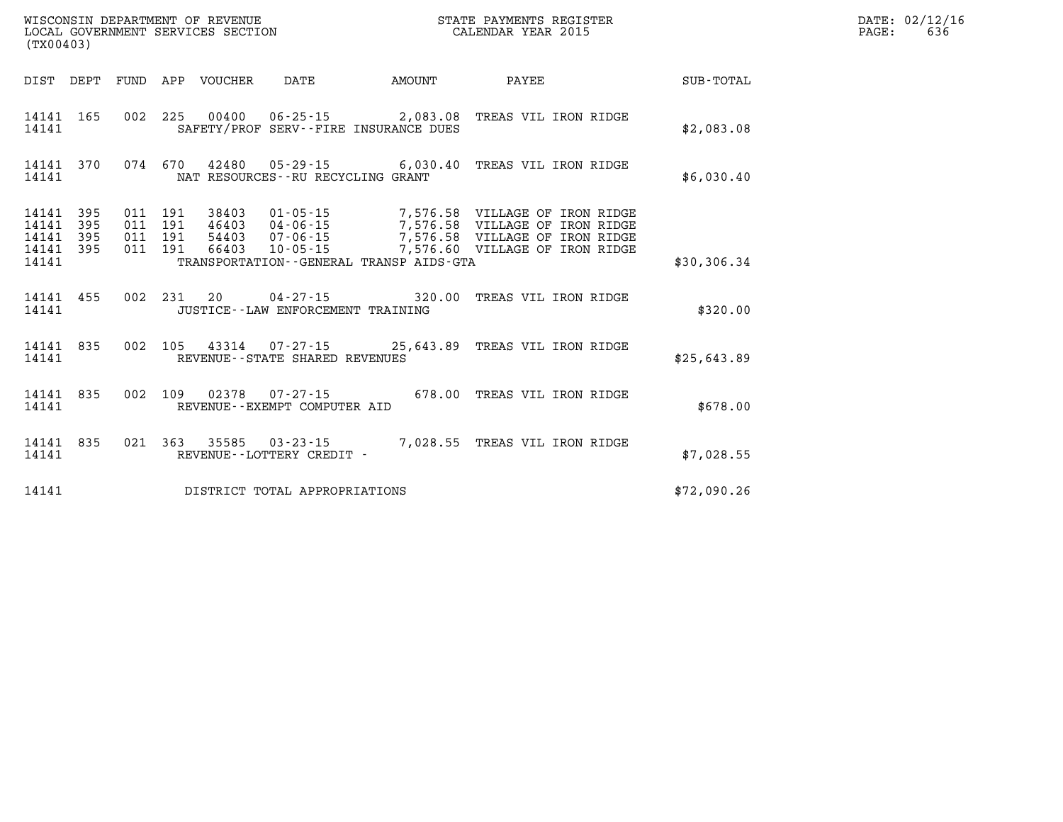|                | LOCAL GOVERNMENT SERVICES SECTION<br>(TX00403) |  |  |  |                                      |                                              | CALENDAR YEAR 2015                                                                                                                                                                                                               |             |  | 636 |
|----------------|------------------------------------------------|--|--|--|--------------------------------------|----------------------------------------------|----------------------------------------------------------------------------------------------------------------------------------------------------------------------------------------------------------------------------------|-------------|--|-----|
|                |                                                |  |  |  |                                      |                                              |                                                                                                                                                                                                                                  |             |  |     |
| 14141          |                                                |  |  |  |                                      | SAFETY/PROF SERV--FIRE INSURANCE DUES        | 14141 165 002 225 00400 06-25-15 2,083.08 TREAS VIL IRON RIDGE                                                                                                                                                                   | \$2,083.08  |  |     |
| 14141          |                                                |  |  |  | NAT RESOURCES--RU RECYCLING GRANT    |                                              | 14141 370 074 670 42480 05-29-15 6,030.40 TREAS VIL IRON RIDGE                                                                                                                                                                   | \$6,030.40  |  |     |
| 14141<br>14141 | 14141 395<br>395<br>14141 395<br>14141 395     |  |  |  |                                      | TRANSPORTATION - - GENERAL TRANSP AIDS - GTA | 011 191 38403 01-05-15 7,576.58 VILLAGE OF IRON RIDGE<br>011 191 46403 04-06-15 7,576.58 VILLAGE OF IRON RIDGE<br>011 191 54403 07-06-15 7,576.58 VILLAGE OF IRON RIDGE<br>011 191 66403 10-05-15 7,576.60 VILLAGE OF IRON RIDGE | \$30,306.34 |  |     |
| 14141          |                                                |  |  |  | JUSTICE - - LAW ENFORCEMENT TRAINING |                                              | 14141 455 002 231 20 04-27-15 320.00 TREAS VIL IRON RIDGE                                                                                                                                                                        | \$320.00    |  |     |
| 14141          |                                                |  |  |  | REVENUE--STATE SHARED REVENUES       |                                              | 14141 835 002 105 43314 07-27-15 25,643.89 TREAS VIL IRON RIDGE                                                                                                                                                                  | \$25,643.89 |  |     |
| 14141          |                                                |  |  |  | REVENUE--EXEMPT COMPUTER AID         |                                              | 14141 835 002 109 02378 07-27-15 678.00 TREAS VIL IRON RIDGE                                                                                                                                                                     | \$678.00    |  |     |
| 14141          |                                                |  |  |  | REVENUE - - LOTTERY CREDIT -         |                                              | 14141 835 021 363 35585 03-23-15 7,028.55 TREAS VIL IRON RIDGE                                                                                                                                                                   | \$7,028.55  |  |     |
| 14141          |                                                |  |  |  | DISTRICT TOTAL APPROPRIATIONS        |                                              |                                                                                                                                                                                                                                  | \$72,090.26 |  |     |

**WISCONSIN DEPARTMENT OF REVENUE STATE PAYMENTS REGISTER DATE: 02/12/16**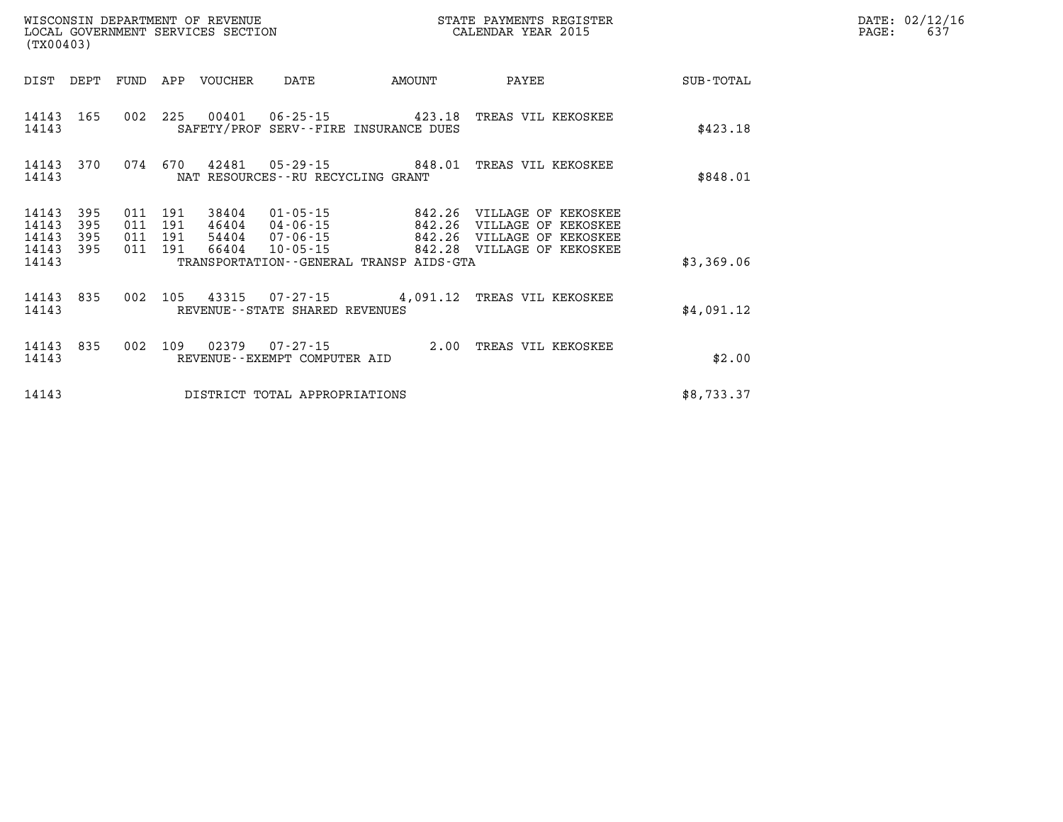| WISCONSIN DEPARTMENT OF REVENUE   | STATE PAYMENTS REGISTER | DATE: 02/12/16 |
|-----------------------------------|-------------------------|----------------|
| LOCAL GOVERNMENT SERVICES SECTION | CALENDAR YEAR 2015      | PAGE:          |
| (mv00103)                         |                         |                |

| (TX00403)                        |                          |     |                                      | LOCAL GOVERNMENT SERVICES SECTION |                                                                      |                                                                                           | CALENDAR YEAR 2015                                                                                                   |            | PAGE: | 637 |
|----------------------------------|--------------------------|-----|--------------------------------------|-----------------------------------|----------------------------------------------------------------------|-------------------------------------------------------------------------------------------|----------------------------------------------------------------------------------------------------------------------|------------|-------|-----|
| DIST                             | DEPT                     |     |                                      |                                   |                                                                      | FUND APP VOUCHER DATE AMOUNT                                                              | <b>PAYEE</b>                                                                                                         | SUB-TOTAL  |       |     |
| 14143 165<br>14143               |                          |     |                                      |                                   |                                                                      | 002 225 00401 06-25-15 423.18 TREAS VIL KEKOSKEE<br>SAFETY/PROF SERV--FIRE INSURANCE DUES |                                                                                                                      | \$423.18   |       |     |
| 14143<br>14143                   | 370                      |     |                                      |                                   | NAT RESOURCES--RU RECYCLING GRANT                                    | 074 670 42481 05-29-15 848.01 TREAS VIL KEKOSKEE                                          |                                                                                                                      | \$848.01   |       |     |
| 14143<br>14143<br>14143<br>14143 | 395<br>395<br>395<br>395 | 011 | 191<br>011 191<br>011 191<br>011 191 | 38404<br>46404<br>54404<br>66404  | $01 - 05 - 15$<br>$04 - 06 - 15$<br>$07 - 06 - 15$<br>$10 - 05 - 15$ |                                                                                           | 842.26 VILLAGE OF KEKOSKEE<br>842.26 VILLAGE OF KEKOSKEE<br>842.26 VILLAGE OF KEKOSKEE<br>842.28 VILLAGE OF KEKOSKEE |            |       |     |
| 14143                            |                          |     |                                      |                                   |                                                                      | TRANSPORTATION--GENERAL TRANSP AIDS-GTA                                                   |                                                                                                                      | \$3,369.06 |       |     |
| 14143<br>14143                   | 835                      |     |                                      |                                   | REVENUE--STATE SHARED REVENUES                                       | 002 105 43315 07-27-15 4,091.12 TREAS VIL KEKOSKEE                                        |                                                                                                                      | \$4,091.12 |       |     |
| 14143<br>14143                   | 835                      |     |                                      |                                   | REVENUE--EXEMPT COMPUTER AID                                         | 002 109 02379 07-27-15 2.00 TREAS VIL KEKOSKEE                                            |                                                                                                                      | \$2.00     |       |     |
| 14143                            |                          |     |                                      |                                   | DISTRICT TOTAL APPROPRIATIONS                                        |                                                                                           |                                                                                                                      | \$8,733.37 |       |     |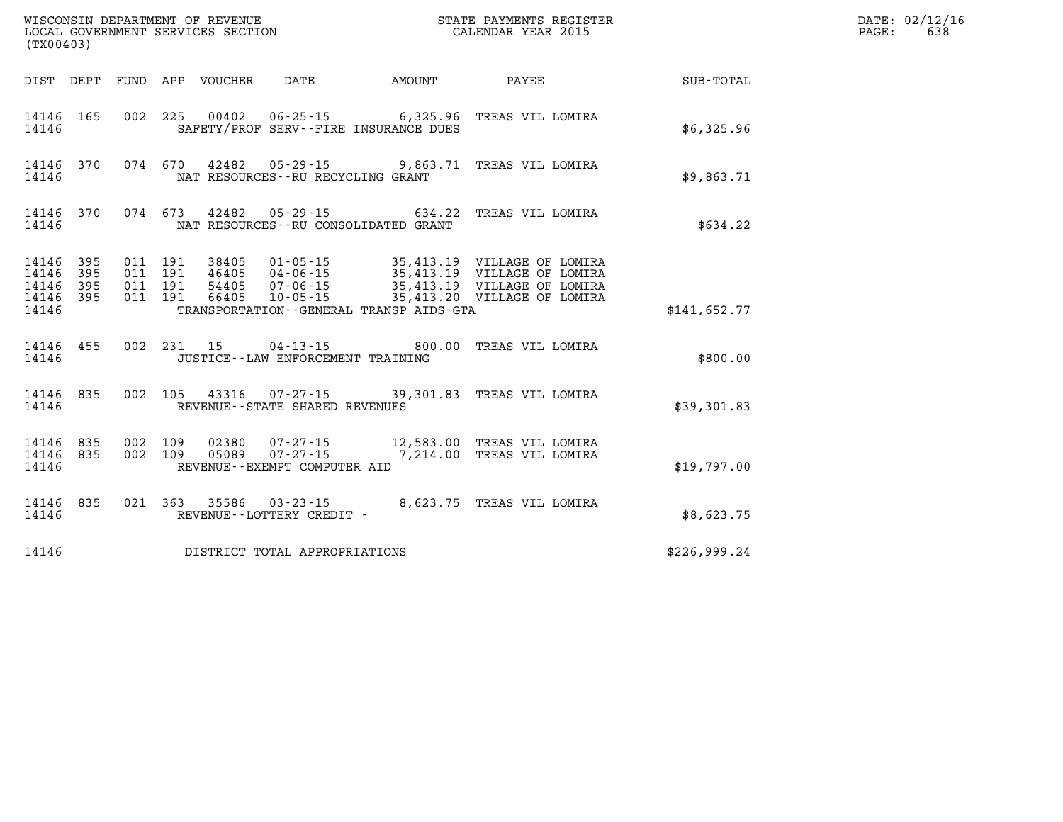|                                                   | WISCONSIN DEPARTMENT OF REVENUE<br>LOCAL GOVERNMENT SERVICES SECTION<br>(TX00403) |  |                                          |                                 |                                      | STATE PAYMENTS REGISTER<br>CALENDAR YEAR 2015 |                                                                                                                                                                                               |              | DATE: 02/12/16<br>638<br>PAGE: |
|---------------------------------------------------|-----------------------------------------------------------------------------------|--|------------------------------------------|---------------------------------|--------------------------------------|-----------------------------------------------|-----------------------------------------------------------------------------------------------------------------------------------------------------------------------------------------------|--------------|--------------------------------|
|                                                   |                                                                                   |  |                                          | DIST DEPT FUND APP VOUCHER DATE |                                      | <b>AMOUNT</b>                                 | <b>PAYEE</b>                                                                                                                                                                                  | SUB-TOTAL    |                                |
| 14146 165<br>14146                                |                                                                                   |  |                                          |                                 |                                      | SAFETY/PROF SERV--FIRE INSURANCE DUES         | 002 225 00402 06-25-15 6,325.96 TREAS VIL LOMIRA                                                                                                                                              | \$6,325.96   |                                |
| 14146                                             | 14146 370                                                                         |  |                                          |                                 | NAT RESOURCES - - RU RECYCLING GRANT |                                               | 074 670 42482 05-29-15 9,863.71 TREAS VIL LOMIRA                                                                                                                                              | \$9,863.71   |                                |
| 14146                                             | 14146 370                                                                         |  |                                          |                                 |                                      | NAT RESOURCES -- RU CONSOLIDATED GRANT        | 074  673  42482  05-29-15  634.22  TREAS VIL LOMIRA                                                                                                                                           | \$634.22     |                                |
| 14146 395<br>14146<br>14146<br>14146 395<br>14146 | 395<br>395                                                                        |  | 011 191<br>011 191<br>011 191<br>011 191 |                                 |                                      | TRANSPORTATION--GENERAL TRANSP AIDS-GTA       | 38405  01-05-15  35,413.19  VILLAGE OF LOMIRA<br>46405 04-06-15 35,413.19 VILLAGE OF LOMIRA<br>54405  07-06-15  35,413.19  VILLAGE OF LOMIRA<br>66405  10-05-15  35,413.20  VILLAGE OF LOMIRA | \$141.652.77 |                                |
| 14146                                             | 14146 455                                                                         |  |                                          |                                 | JUSTICE - - LAW ENFORCEMENT TRAINING |                                               | 002 231 15 04-13-15 800.00 TREAS VIL LOMIRA                                                                                                                                                   | \$800.00     |                                |
| 14146                                             | 14146 835                                                                         |  |                                          |                                 | REVENUE--STATE SHARED REVENUES       |                                               | 002 105 43316 07-27-15 39,301.83 TREAS VIL LOMIRA                                                                                                                                             | \$39,301.83  |                                |
| 14146 835<br>14146                                | 14146 835                                                                         |  | 002 109<br>002 109                       |                                 | REVENUE--EXEMPT COMPUTER AID         |                                               | 02380  07-27-15  12,583.00 TREAS VIL LOMIRA<br>05089  07-27-15  7,214.00  TREAS VIL LOMIRA                                                                                                    | \$19,797.00  |                                |
| 14146                                             | 14146 835                                                                         |  |                                          |                                 | REVENUE--LOTTERY CREDIT -            |                                               | 021  363  35586  03-23-15  8,623.75  TREAS VIL LOMIRA                                                                                                                                         | \$8,623.75   |                                |
| 14146                                             |                                                                                   |  |                                          |                                 | DISTRICT TOTAL APPROPRIATIONS        |                                               |                                                                                                                                                                                               | \$226,999.24 |                                |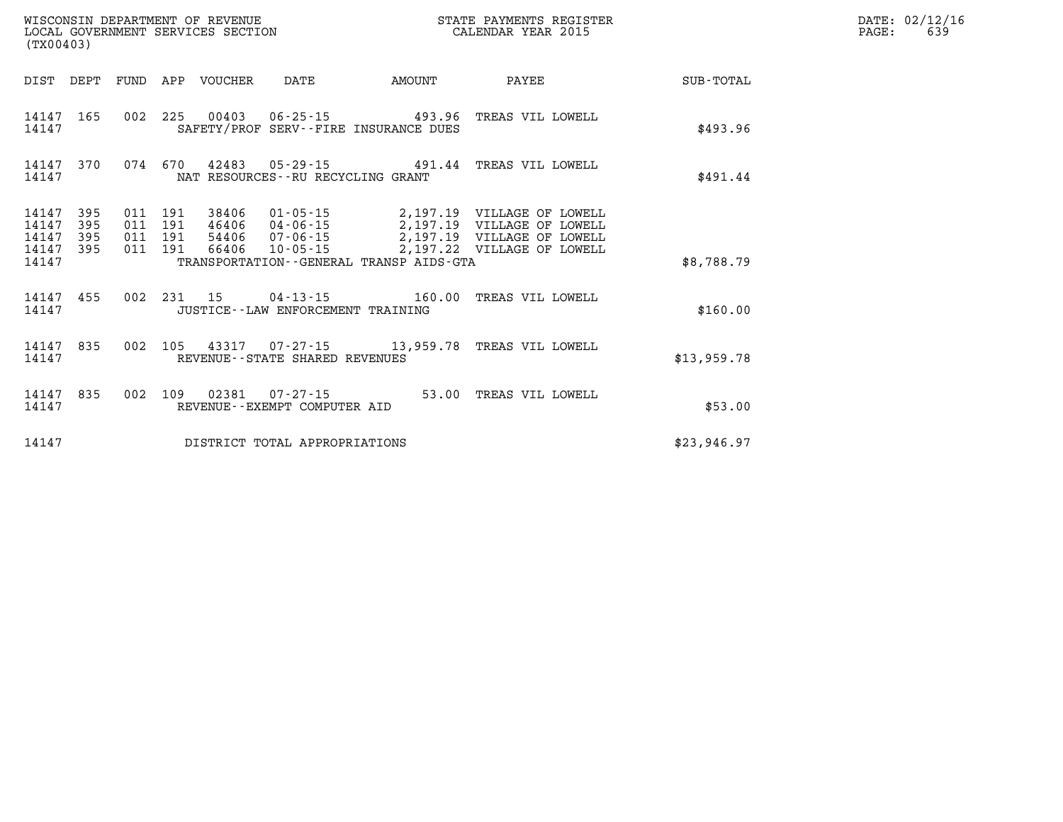| (TX00403)                                 |                          |                          |                          | WISCONSIN DEPARTMENT OF REVENUE<br>LOCAL GOVERNMENT SERVICES SECTION |                                      |                                                                    | STATE PAYMENTS REGISTER<br>CALENDAR YEAR 2015                                                                                                         |             |  |  |
|-------------------------------------------|--------------------------|--------------------------|--------------------------|----------------------------------------------------------------------|--------------------------------------|--------------------------------------------------------------------|-------------------------------------------------------------------------------------------------------------------------------------------------------|-------------|--|--|
| DIST                                      | DEPT                     | FUND                     | APP                      | VOUCHER                                                              | DATE                                 | AMOUNT                                                             | PAYEE                                                                                                                                                 | SUB-TOTAL   |  |  |
| 14147<br>14147                            | 165                      | 002                      | 225                      |                                                                      |                                      | 00403   06-25-15   493.96<br>SAFETY/PROF SERV--FIRE INSURANCE DUES | TREAS VIL LOWELL                                                                                                                                      | \$493.96    |  |  |
| 14147<br>14147                            | 370                      | 074                      | 670                      |                                                                      | NAT RESOURCES - - RU RECYCLING GRANT | $42483$ $05-29-15$ $491.44$                                        | TREAS VIL LOWELL                                                                                                                                      | \$491.44    |  |  |
| 14147<br>14147<br>14147<br>14147<br>14147 | 395<br>395<br>395<br>395 | 011<br>011<br>011<br>011 | 191<br>191<br>191<br>191 | 54406<br>66406                                                       | $07 - 06 - 15$<br>$10 - 05 - 15$     | TRANSPORTATION--GENERAL TRANSP AIDS-GTA                            | 38406  01-05-15  2,197.19  VILLAGE OF LOWELL<br>46406 04-06-15 2,197.19 VILLAGE OF LOWELL<br>2,197.19 VILLAGE OF LOWELL<br>2,197.22 VILLAGE OF LOWELL | \$8,788.79  |  |  |
| 14147<br>14147                            | 455                      | 002                      |                          |                                                                      | JUSTICE - - LAW ENFORCEMENT TRAINING | 231 15 04-13-15 160.00                                             | TREAS VIL LOWELL                                                                                                                                      | \$160.00    |  |  |
| 14147<br>14147                            | 835                      | 002                      | 105                      |                                                                      | REVENUE - - STATE SHARED REVENUES    |                                                                    | 43317 07-27-15 13,959.78 TREAS VIL LOWELL                                                                                                             | \$13,959.78 |  |  |
| 14147<br>14147                            | 835                      | 002                      | 109                      |                                                                      | REVENUE--EXEMPT COMPUTER AID         | 02381 07-27-15 53.00                                               | TREAS VIL LOWELL                                                                                                                                      | \$53.00     |  |  |
| 14147                                     |                          |                          |                          |                                                                      | DISTRICT TOTAL APPROPRIATIONS        |                                                                    |                                                                                                                                                       | \$23,946.97 |  |  |

**DATE: 02/12/16<br>PAGE: 639**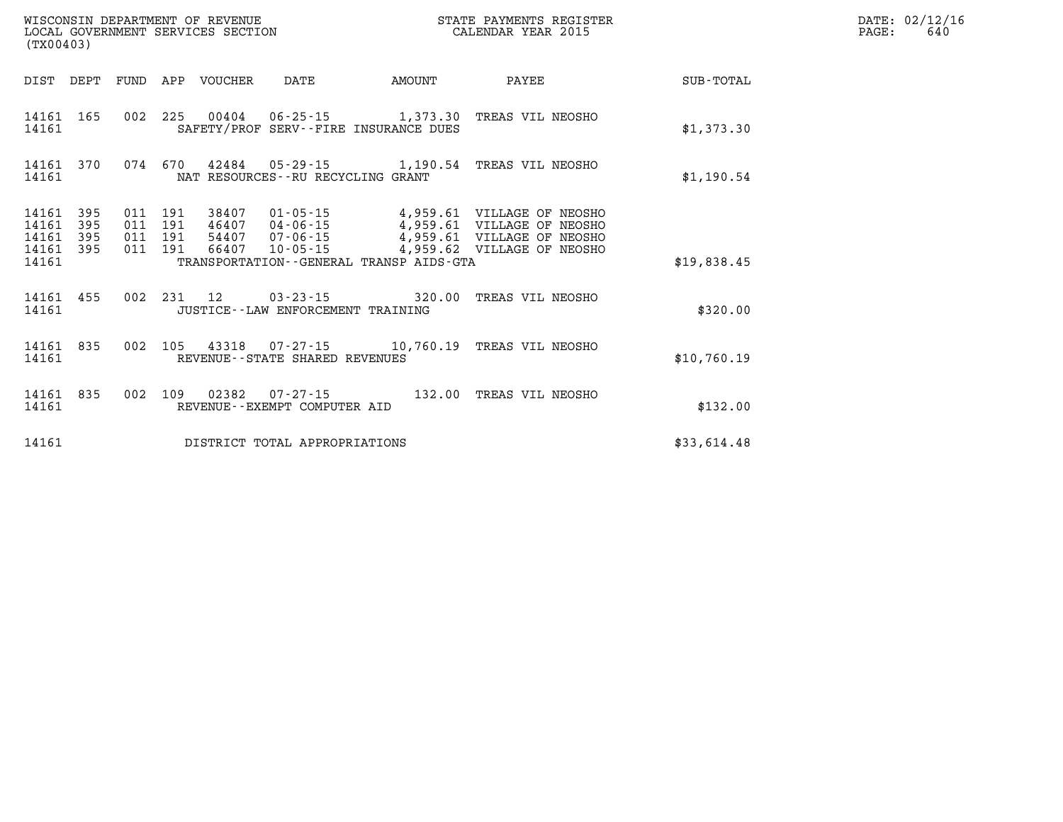| (TX00403)                                 |                          |                          |                          | LOCAL GOVERNMENT SERVICES SECTION |                                                          |                                                            | CALENDAR YEAR 2015                                                                                                   |                  |
|-------------------------------------------|--------------------------|--------------------------|--------------------------|-----------------------------------|----------------------------------------------------------|------------------------------------------------------------|----------------------------------------------------------------------------------------------------------------------|------------------|
| DIST                                      | DEPT                     | FUND                     | APP                      | VOUCHER                           | DATE                                                     | AMOUNT                                                     | PAYEE                                                                                                                | <b>SUB-TOTAL</b> |
| 14161<br>14161                            | 165                      | 002                      | 225                      | 00404                             |                                                          | 06-25-15 1,373.30<br>SAFETY/PROF SERV--FIRE INSURANCE DUES | TREAS VIL NEOSHO                                                                                                     | \$1,373.30       |
| 14161<br>14161                            | 370                      | 074                      | 670                      |                                   | NAT RESOURCES - - RU RECYCLING GRANT                     | $42484$ $05-29-15$ 1,190.54                                | TREAS VIL NEOSHO                                                                                                     | \$1,190.54       |
| 14161<br>14161<br>14161<br>14161<br>14161 | 395<br>395<br>395<br>395 | 011<br>011<br>011<br>011 | 191<br>191<br>191<br>191 | 38407<br>46407<br>54407<br>66407  | 01-05-15<br>$04 - 06 - 15$<br>$07 - 06 - 15$<br>10-05-15 | TRANSPORTATION--GENERAL TRANSP AIDS-GTA                    | 4,959.61 VILLAGE OF NEOSHO<br>4,959.61 VILLAGE OF NEOSHO<br>4,959.61 VILLAGE OF NEOSHO<br>4,959.62 VILLAGE OF NEOSHO | \$19,838.45      |
| 14161<br>14161                            | 455                      | 002                      | 231                      | 12                                | JUSTICE - - LAW ENFORCEMENT TRAINING                     | $03 - 23 - 15$ 320.00                                      | TREAS VIL NEOSHO                                                                                                     | \$320.00         |
| 14161<br>14161                            | 835                      | 002                      | 105                      | 43318                             | REVENUE--STATE SHARED REVENUES                           |                                                            | TREAS VIL NEOSHO                                                                                                     | \$10,760.19      |
| 14161<br>14161                            | 835                      | 002                      | 109                      | 02382                             | $07 - 27 - 15$<br>REVENUE--EXEMPT COMPUTER AID           | 132.00                                                     | TREAS VIL NEOSHO                                                                                                     | \$132.00         |
| 14161                                     |                          |                          |                          |                                   | DISTRICT TOTAL APPROPRIATIONS                            |                                                            |                                                                                                                      | \$33,614.48      |

**DATE: 02/12/16<br>PAGE: 640** 

**WISCONSIN DEPARTMENT OF REVENUE STATE PAYMENTS REGISTER**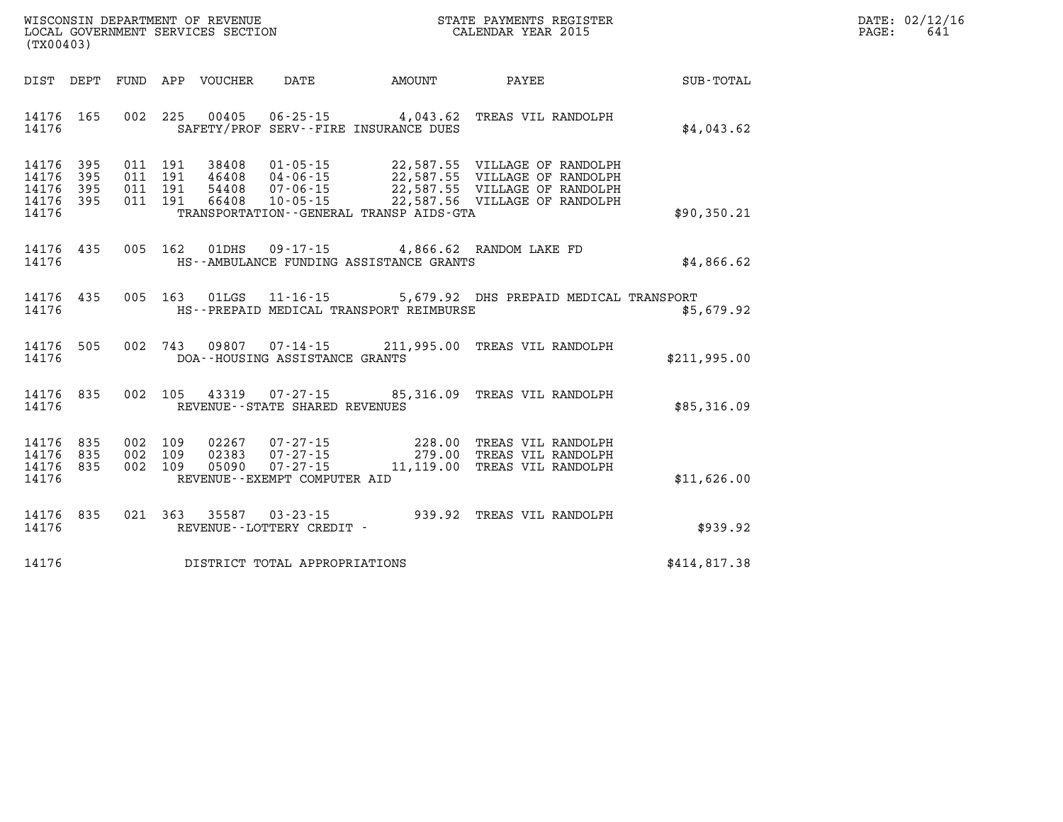| $\mathtt{DATE}$ : | 02/12/16 |
|-------------------|----------|
| PAGE:             | 641      |

| WISCONSIN DEPARTMENT OF REVENUE<br>(TX00403)                               | LOCAL GOVERNMENT SERVICES SECTION                                                                                                            |               |                                                                                                                                  |              |
|----------------------------------------------------------------------------|----------------------------------------------------------------------------------------------------------------------------------------------|---------------|----------------------------------------------------------------------------------------------------------------------------------|--------------|
| DIST<br>DEPT<br>FUND                                                       | APP<br>VOUCHER DATE                                                                                                                          | <b>AMOUNT</b> | <b>PAYEE</b>                                                                                                                     | SUB-TOTAL    |
| 002<br>14176<br>165<br>14176                                               | 225<br>00405<br>SAFETY/PROF SERV--FIRE INSURANCE DUES                                                                                        |               | 06-25-15 4,043.62 TREAS VIL RANDOLPH                                                                                             | \$4,043.62   |
| 14176<br>395<br>395<br>14176<br>14176<br>395<br>011<br>14176<br>395<br>011 | 011 191<br>38408<br>$01 - 05 - 15$<br>$04 - 06 - 15$<br>011 191<br>46408<br>191<br>54408<br>$07 - 06 - 15$<br>191<br>66408<br>$10 - 05 - 15$ |               | 22,587.55 VILLAGE OF RANDOLPH<br>22,587.55 VILLAGE OF RANDOLPH<br>22,587.55 VILLAGE OF RANDOLPH<br>22,587.56 VILLAGE OF RANDOLPH |              |
| 14176                                                                      | TRANSPORTATION--GENERAL TRANSP AIDS-GTA                                                                                                      |               |                                                                                                                                  | \$90,350.21  |
| 14176<br>435<br>005<br>14176                                               | 162<br>01DHS<br>HS--AMBULANCE FUNDING ASSISTANCE GRANTS                                                                                      |               | 09-17-15 4,866.62 RANDOM LAKE FD                                                                                                 | \$4,866.62   |
| 435<br>005<br>14176<br>14176                                               | 163<br>01LGS<br>HS--PREPAID MEDICAL TRANSPORT REIMBURSE                                                                                      |               | 11-16-15 5,679.92 DHS PREPAID MEDICAL TRANSPORT                                                                                  | \$5,679.92   |
| 505<br>002<br>14176<br>14176                                               | 743<br>09807 07-14-15<br>DOA--HOUSING ASSISTANCE GRANTS                                                                                      |               | 211,995.00 TREAS VIL RANDOLPH                                                                                                    | \$211,995.00 |
| 002<br>14176<br>835<br>14176                                               | 105 43319 07-27-15<br>REVENUE - - STATE SHARED REVENUES                                                                                      |               | 85,316.09 TREAS VIL RANDOLPH                                                                                                     | \$85,316.09  |
| 835<br>002<br>14176<br>14176<br>835<br>002<br>14176<br>002<br>835<br>14176 | 109<br>02267<br>$07 - 27 - 15$<br>109<br>02383<br>$07 - 27 - 15$<br>$07 - 27 - 15$<br>109<br>05090<br>REVENUE--EXEMPT COMPUTER AID           |               | 228.00 TREAS VIL RANDOLPH<br>228.00 IREAS VIL RANDOLPH<br>279.00 TREAS VIL RANDOLPH<br>11,119.00 TREAS VIL RANDOLPH              | \$11,626.00  |
| 835<br>14176<br>14176                                                      | 021 363<br>35587<br>$03 - 23 - 15$<br>REVENUE - - LOTTERY CREDIT -                                                                           |               | 939.92 TREAS VIL RANDOLPH                                                                                                        | \$939.92     |
| 14176                                                                      | DISTRICT TOTAL APPROPRIATIONS                                                                                                                |               |                                                                                                                                  | \$414,817.38 |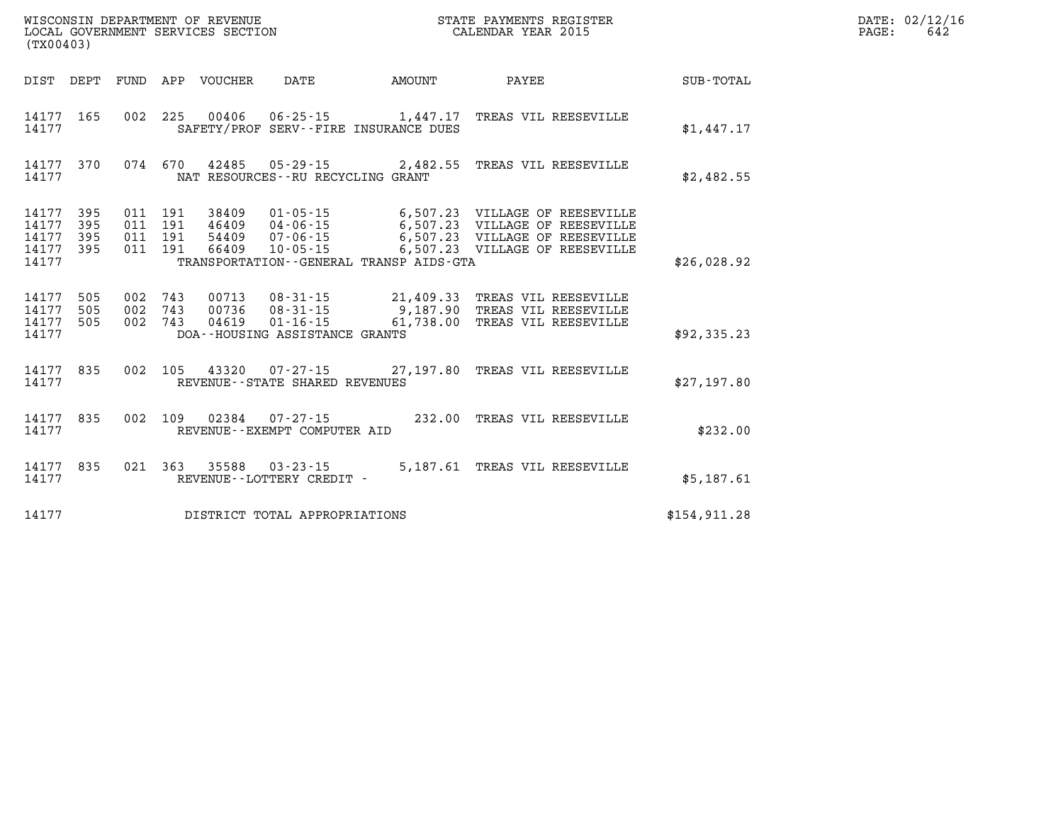| WISCONSIN DEPARTMENT OF REVENUE      | REGISTER<br>PAYMENTS<br>ЗТАТЕ. | 02.<br>DATE  |
|--------------------------------------|--------------------------------|--------------|
| LOCAL<br>GOVERNMENT SERVICES SECTION | LENDAR YEAR 2015               | PAGE.<br>64. |

| (TX00403)                                                             |                          |                                                              |                                                                                                                 |                                    |                                                                                                                             |               |
|-----------------------------------------------------------------------|--------------------------|--------------------------------------------------------------|-----------------------------------------------------------------------------------------------------------------|------------------------------------|-----------------------------------------------------------------------------------------------------------------------------|---------------|
| DIST<br>DEPT                                                          | <b>FUND</b>              | APP<br>VOUCHER                                               | DATE                                                                                                            | AMOUNT                             | PAYEE                                                                                                                       | SUB-TOTAL     |
| 165<br>14177<br>14177                                                 | 002                      | 225<br>00406                                                 | $06 - 25 - 15$<br>SAFETY/PROF SERV--FIRE INSURANCE DUES                                                         | 1,447.17                           | TREAS VIL REESEVILLE                                                                                                        | \$1,447.17    |
| 14177<br>370<br>14177                                                 | 074                      | 670<br>42485                                                 | $05 - 29 - 15$ 2,482.55<br>NAT RESOURCES - - RU RECYCLING GRANT                                                 |                                    | TREAS VIL REESEVILLE                                                                                                        | \$2,482.55    |
| 14177<br>395<br>14177<br>395<br>14177<br>395<br>14177<br>395<br>14177 | 011<br>011<br>011<br>011 | 191<br>38409<br>191<br>46409<br>191<br>54409<br>191<br>66409 | $01 - 05 - 15$<br>$04 - 06 - 15$<br>$07 - 06 - 15$<br>$10 - 05 - 15$<br>TRANSPORTATION--GENERAL TRANSP AIDS-GTA | 6,507.23                           | 6,507.23 VILLAGE OF REESEVILLE<br>VILLAGE OF REESEVILLE<br>6,507.23 VILLAGE OF REESEVILLE<br>6,507.23 VILLAGE OF REESEVILLE | \$26,028.92   |
| 505<br>14177<br>14177<br>505<br>14177<br>505<br>14177                 | 002<br>002<br>002        | 743<br>00713<br>743<br>00736<br>743<br>04619                 | $08 - 31 - 15$<br>$08 - 31 - 15$<br>$01 - 16 - 15$<br>DOA--HOUSING ASSISTANCE GRANTS                            | 21,409.33<br>9,187.90<br>61,738.00 | TREAS VIL REESEVILLE<br>TREAS VIL REESEVILLE<br>TREAS VIL REESEVILLE                                                        | \$92,335.23   |
| 14177<br>835<br>14177                                                 | 002                      | 105                                                          | 43320 07-27-15 27,197.80<br>REVENUE--STATE SHARED REVENUES                                                      |                                    | TREAS VIL REESEVILLE                                                                                                        | \$27,197.80   |
| 835<br>14177<br>14177                                                 | 002                      | 109<br>02384                                                 | $07 - 27 - 15$<br>REVENUE--EXEMPT COMPUTER AID                                                                  | 232.00                             | TREAS VIL REESEVILLE                                                                                                        | \$232.00      |
| 835<br>14177<br>14177                                                 | 021                      | 363<br>35588<br>REVENUE--LOTTERY CREDIT -                    | $03 - 23 - 15$                                                                                                  | 5,187.61                           | TREAS VIL REESEVILLE                                                                                                        | \$5,187.61    |
| 14177                                                                 |                          |                                                              | DISTRICT TOTAL APPROPRIATIONS                                                                                   |                                    |                                                                                                                             | \$154, 911.28 |

WISCONSIN DEPARTMENT OF REVENUE **STATE PAYMENTS REGISTER**<br>LOCAL GOVERNMENT SERVICES SECTION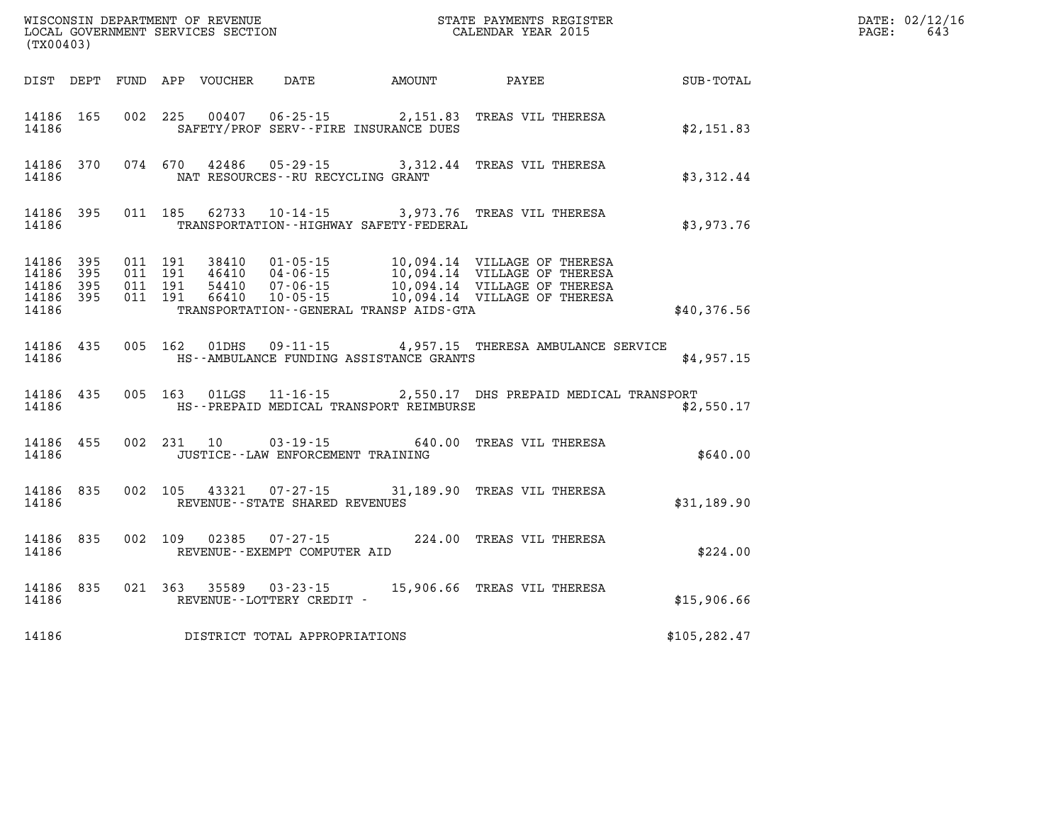|                                 | (TX00403)              |  |  |  |                                              |  |                                                                                                                                                                                                                          |                  | DATE: 02/12/16<br>$\mathtt{PAGE:}$<br>643 |
|---------------------------------|------------------------|--|--|--|----------------------------------------------|--|--------------------------------------------------------------------------------------------------------------------------------------------------------------------------------------------------------------------------|------------------|-------------------------------------------|
|                                 |                        |  |  |  | DIST DEPT FUND APP VOUCHER DATE AMOUNT PAYEE |  |                                                                                                                                                                                                                          | <b>SUB-TOTAL</b> |                                           |
|                                 |                        |  |  |  | 14186 SAFETY/PROF SERV--FIRE INSURANCE DUES  |  | 14186 165 002 225 00407 06-25-15 2,151.83 TREAS VIL THERESA                                                                                                                                                              | \$2,151.83       |                                           |
|                                 |                        |  |  |  | 14186 MAT RESOURCES--RU RECYCLING GRANT      |  | 14186 370 074 670 42486 05-29-15 3,312.44 TREAS VIL THERESA                                                                                                                                                              | \$3,312.44       |                                           |
| 14186                           |                        |  |  |  | TRANSPORTATION - - HIGHWAY SAFETY - FEDERAL  |  | 14186 395 011 185 62733 10-14-15 3,973.76 TREAS VIL THERESA                                                                                                                                                              | \$3,973.76       |                                           |
| 14186 395<br>14186 395<br>14186 | 14186 395<br>14186 395 |  |  |  | TRANSPORTATION - GENERAL TRANSP AIDS - GTA   |  | 011 191 38410 01-05-15 10,094.14 VILLAGE OF THERESA<br>011 191 46410 04-06-15 10,094.14 VILLAGE OF THERESA<br>011 191 54410 07-06-15 10,094.14 VILLAGE OF THERESA<br>011 191 66410 10-05-15 10,094.14 VILLAGE OF THERESA | \$40,376.56      |                                           |
| 14186                           |                        |  |  |  | HS--AMBULANCE FUNDING ASSISTANCE GRANTS      |  | 14186 435 005 162 01DHS 09-11-15 4,957.15 THERESA AMBULANCE SERVICE                                                                                                                                                      | \$4.957.15       |                                           |
| 14186                           |                        |  |  |  | HS--PREPAID MEDICAL TRANSPORT REIMBURSE      |  | 14186 435 005 163 01LGS 11-16-15 2,550.17 DHS PREPAID MEDICAL TRANSPORT                                                                                                                                                  | \$2,550.17       |                                           |
| 14186                           | 14186 455              |  |  |  | JUSTICE -- LAW ENFORCEMENT TRAINING          |  | 002 231 10 03-19-15 640.00 TREAS VIL THERESA                                                                                                                                                                             | \$640.00         |                                           |
| 14186                           |                        |  |  |  | REVENUE--STATE SHARED REVENUES               |  | 14186 835 002 105 43321 07-27-15 31,189.90 TREAS VIL THERESA                                                                                                                                                             | \$31,189.90      |                                           |
|                                 |                        |  |  |  | 14186 REVENUE - - EXEMPT COMPUTER AID        |  | 14186 835 002 109 02385 07-27-15 224.00 TREAS VIL THERESA                                                                                                                                                                | \$224.00         |                                           |
|                                 |                        |  |  |  |                                              |  |                                                                                                                                                                                                                          | \$15,906.66      |                                           |
| 14186                           |                        |  |  |  |                                              |  | DISTRICT TOTAL APPROPRIATIONS                                                                                                                                                                                            | \$105, 282.47    |                                           |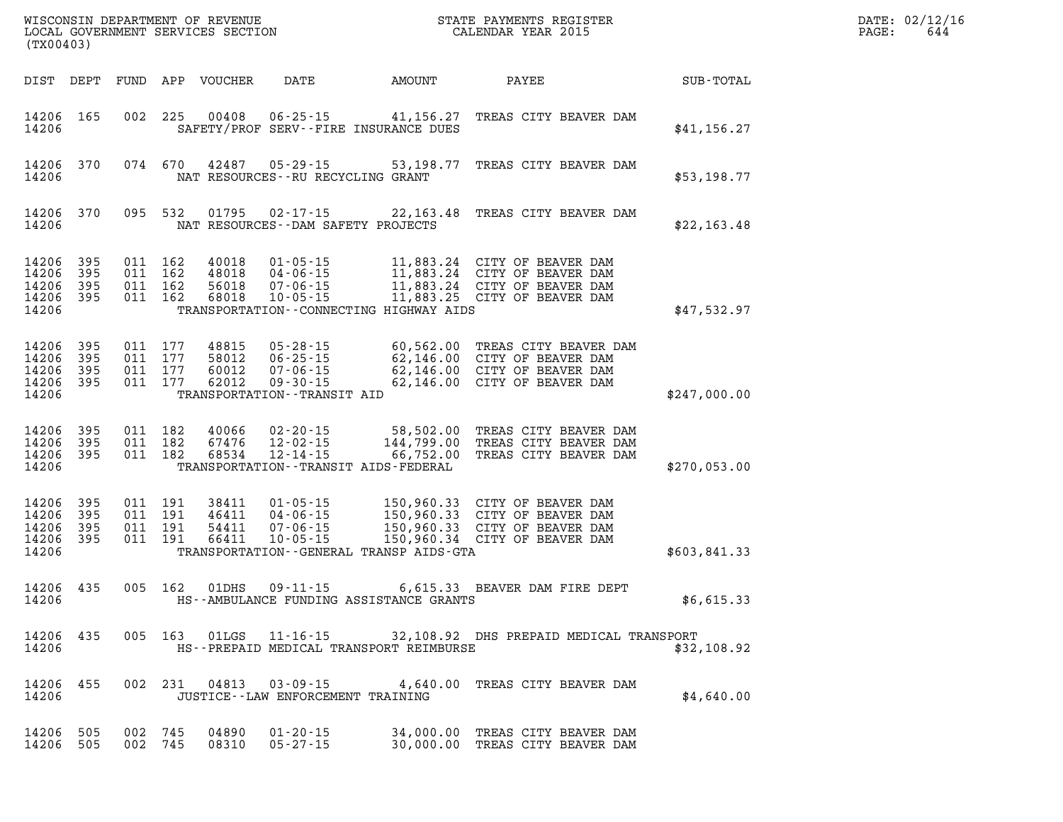| (TX00403)                                 |                          |                                          |     | WISCONSIN DEPARTMENT OF REVENUE<br>LOCAL GOVERNMENT SERVICES SECTION |                                                                                                        |                                                                                   | STATE PAYMENTS REGISTER<br>CALENDAR YEAR 2015                                                                                                                |              | DATE: 02/12/16<br>644<br>PAGE: |
|-------------------------------------------|--------------------------|------------------------------------------|-----|----------------------------------------------------------------------|--------------------------------------------------------------------------------------------------------|-----------------------------------------------------------------------------------|--------------------------------------------------------------------------------------------------------------------------------------------------------------|--------------|--------------------------------|
| DIST DEPT                                 |                          | FUND                                     |     | APP VOUCHER                                                          | DATE                                                                                                   | AMOUNT                                                                            | PAYEE                                                                                                                                                        | SUB-TOTAL    |                                |
| 14206 165<br>14206                        |                          | 002 225                                  |     | 00408                                                                | $06 - 25 - 15$                                                                                         | 41,156.27<br>SAFETY/PROF SERV--FIRE INSURANCE DUES                                | TREAS CITY BEAVER DAM                                                                                                                                        | \$41, 156.27 |                                |
| 14206 370<br>14206                        |                          | 074 670                                  |     | 42487                                                                | 05-29-15<br>NAT RESOURCES - - RU RECYCLING GRANT                                                       | 53,198.77                                                                         | TREAS CITY BEAVER DAM                                                                                                                                        | \$53,198.77  |                                |
| 14206 370<br>14206                        |                          | 095 532                                  |     | 01795                                                                | 02-17-15<br>NAT RESOURCES--DAM SAFETY PROJECTS                                                         | 22,163.48                                                                         | TREAS CITY BEAVER DAM                                                                                                                                        | \$22,163.48  |                                |
| 14206<br>14206<br>14206<br>14206<br>14206 | 395<br>395<br>395<br>395 | 011 162<br>011 162<br>011 162<br>011 162 |     | 40018<br>48018<br>56018<br>68018                                     | $01 - 05 - 15$<br>04-06-15<br>$07 - 06 - 15$<br>$10 - 05 - 15$                                         | TRANSPORTATION--CONNECTING HIGHWAY AIDS                                           | 11,883.24 CITY OF BEAVER DAM<br>11,883.24 CITY OF BEAVER DAM<br>11,883.44 CITY OF BEAVER DAM<br>11,883.24 CITY OF BEAVER DAM<br>11,883.25 CITY OF BEAVER DAM | \$47,532.97  |                                |
| 14206<br>14206<br>14206<br>14206<br>14206 | 395<br>395<br>395<br>395 | 011 177<br>011 177<br>011<br>011 177     | 177 | 48815<br>58012<br>60012<br>62012                                     | $05 - 28 - 15$<br>$06 - 25 - 15$<br>$07 - 06 - 15$<br>$09 - 30 - 15$<br>TRANSPORTATION - - TRANSIT AID |                                                                                   | 60,562.00 TREAS CITY BEAVER DAM<br>62,146.00 CITY OF BEAVER DAM<br>62,146.00 CITY OF BEAVER DAM<br>62,146.00 CITY OF BEAVER DAM                              | \$247,000.00 |                                |
| 14206 395<br>14206<br>14206<br>14206      | 395<br>395               | 011 182<br>011 182<br>011 182            |     | 40066<br>67476<br>68534                                              | $02 - 20 - 15$<br>$12 - 02 - 15$<br>$12 - 14 - 15$                                                     | 58,502.00<br>144,799.00<br>66,752.00<br>TRANSPORTATION - - TRANSIT AIDS - FEDERAL | TREAS CITY BEAVER DAM<br>TREAS CITY BEAVER DAM<br>TREAS CITY BEAVER DAM                                                                                      | \$270,053.00 |                                |
| 14206<br>14206<br>14206<br>14206<br>14206 | 395<br>395<br>395<br>395 | 011 191<br>011 191<br>011 191<br>011 191 |     | 38411<br>46411<br>54411<br>66411                                     | $01 - 05 - 15$<br>$04 - 06 - 15$<br>$07 - 06 - 15$<br>$10 - 05 - 15$                                   | TRANSPORTATION - - GENERAL TRANSP AIDS - GTA                                      | 150,960.33 CITY OF BEAVER DAM<br>150,960.33 CITY OF BEAVER DAM<br>150,960.33 CITY OF BEAVER DAM<br>150,960.34 CITY OF BEAVER DAM                             | \$603,841.33 |                                |
| 14206<br>14206                            | 435                      | 005 162                                  |     | 01DHS                                                                | 09 - 11 - 15                                                                                           | HS--AMBULANCE FUNDING ASSISTANCE GRANTS                                           | 6,615.33 BEAVER DAM FIRE DEPT                                                                                                                                | \$6,615.33   |                                |
| 14206 435<br>14206                        |                          |                                          |     |                                                                      |                                                                                                        | HS--PREPAID MEDICAL TRANSPORT REIMBURSE                                           | 005 163 01LGS 11-16-15 32,108.92 DHS PREPAID MEDICAL TRANSPORT                                                                                               | \$32,108.92  |                                |
| 14206 455<br>14206                        |                          |                                          |     |                                                                      | JUSTICE - - LAW ENFORCEMENT TRAINING                                                                   |                                                                                   | 002 231 04813 03-09-15 4,640.00 TREAS CITY BEAVER DAM                                                                                                        | \$4,640.00   |                                |
| 14206 505<br>14206 505                    |                          | 002 745<br>002 745                       |     | 04890                                                                | $01 - 20 - 15$<br>08310 05-27-15                                                                       |                                                                                   | 34,000.00 TREAS CITY BEAVER DAM<br>30,000.00 TREAS CITY BEAVER DAM                                                                                           |              |                                |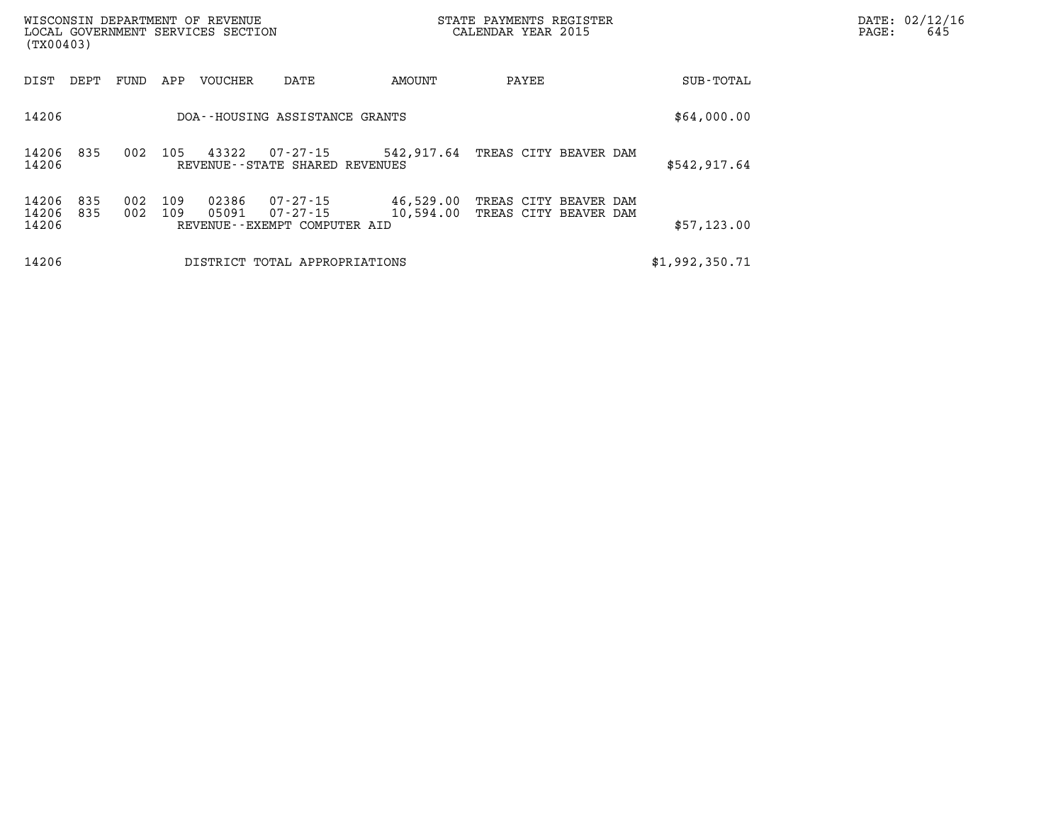| (TX00403)               |            |            |            | WISCONSIN DEPARTMENT OF REVENUE<br>LOCAL GOVERNMENT SERVICES SECTION |                                                      |                        | STATE PAYMENTS REGISTER<br>CALENDAR YEAR 2015  | DATE: 02/12/16<br>PAGE:<br>645 |  |
|-------------------------|------------|------------|------------|----------------------------------------------------------------------|------------------------------------------------------|------------------------|------------------------------------------------|--------------------------------|--|
| DIST                    | DEPT       | FUND       | APP        | VOUCHER                                                              | DATE                                                 | AMOUNT                 | PAYEE                                          | SUB-TOTAL                      |  |
| 14206                   |            |            |            |                                                                      | DOA--HOUSING ASSISTANCE GRANTS                       |                        |                                                | \$64,000.00                    |  |
| 14206 835<br>14206      |            | 002        | 105        | 43322                                                                | 07-27-15<br>REVENUE - - STATE SHARED REVENUES        |                        | 542,917.64 TREAS CITY BEAVER DAM               | \$542,917.64                   |  |
| 14206<br>14206<br>14206 | 835<br>835 | 002<br>002 | 109<br>109 | 02386<br>05091                                                       | 07-27-15<br>07-27-15<br>REVENUE--EXEMPT COMPUTER AID | 46,529.00<br>10,594.00 | TREAS CITY BEAVER DAM<br>TREAS CITY BEAVER DAM | \$57,123.00                    |  |
| 14206                   |            |            |            |                                                                      | DISTRICT TOTAL APPROPRIATIONS                        |                        |                                                | \$1,992,350.71                 |  |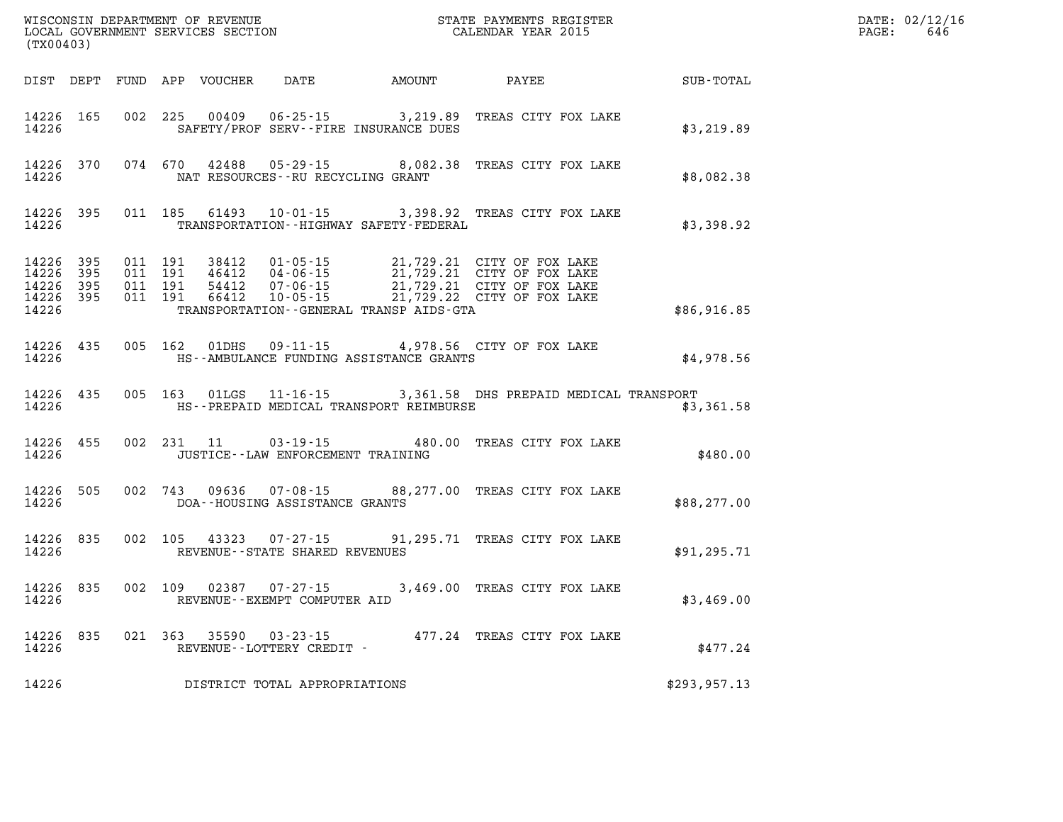| (TX00403) |           |  |            |                                      | WISCONSIN DEPARTMENT OF REVENUE<br>LOCAL GOVERNMENT SERVICES SECTION CALENDAR YEAR 2015 |                                                                                                                                                                                                                                                                                                                                | DATE: 02/12/16<br>646<br>$\mathtt{PAGE:}$ |  |
|-----------|-----------|--|------------|--------------------------------------|-----------------------------------------------------------------------------------------|--------------------------------------------------------------------------------------------------------------------------------------------------------------------------------------------------------------------------------------------------------------------------------------------------------------------------------|-------------------------------------------|--|
|           |           |  |            |                                      | DIST DEPT FUND APP VOUCHER DATE AMOUNT PAYEE                                            |                                                                                                                                                                                                                                                                                                                                | SUB-TOTAL                                 |  |
| 14226     | 14226 165 |  |            |                                      | SAFETY/PROF SERV--FIRE INSURANCE DUES                                                   | 002 225 00409 06-25-15 3,219.89 TREAS CITY FOX LAKE                                                                                                                                                                                                                                                                            | \$3,219.89                                |  |
| 14226     |           |  |            |                                      | NAT RESOURCES--RU RECYCLING GRANT                                                       | 14226 370 074 670 42488 05-29-15 8,082.38 TREAS CITY FOX LAKE                                                                                                                                                                                                                                                                  | \$8,082.38                                |  |
| 14226     |           |  |            |                                      | TRANSPORTATION - - HIGHWAY SAFETY - FEDERAL                                             | 14226 395 011 185 61493 10-01-15 3,398.92 TREAS CITY FOX LAKE                                                                                                                                                                                                                                                                  | \$3,398.92                                |  |
| 14226     |           |  |            |                                      | TRANSPORTATION--GENERAL TRANSP AIDS-GTA                                                 | $\begin{tabular}{cccccc} 14\,226 & 395 & 011 & 191 & 38412 & 01\cdot 05\cdot 15 & 21\,,729\,.21 & CITY OF FOX LAKE \\ 14\,226 & 395 & 011 & 191 & 46412 & 04\cdot 06\cdot 15 & 21\,,729\,.21 & CITY OF FOX LAKE \\ 14\,226 & 395 & 011 & 191 & 54412 & 07\cdot 06\cdot 15 & 21\,,729\,.21 & CITY OF FOX LAKE \\ 14\,226 & 395$ | \$86,916.85                               |  |
|           |           |  |            |                                      |                                                                                         | 14226 435 005 162 01DHS 09-11-15 4,978.56 CITY OF FOX LAKE<br>14226 HS--AMBULANCE FUNDING ASSISTANCE GRANTS                                                                                                                                                                                                                    | \$4,978.56                                |  |
| 14226     |           |  |            |                                      | HS--PREPAID MEDICAL TRANSPORT REIMBURSE                                                 | 14226 435 005 163 01LGS 11-16-15 3,361.58 DHS PREPAID MEDICAL TRANSPORT                                                                                                                                                                                                                                                        | \$3,361.58                                |  |
| 14226     | 14226 455 |  | 002 231 11 | JUSTICE - - LAW ENFORCEMENT TRAINING |                                                                                         | 03-19-15 480.00 TREAS CITY FOX LAKE                                                                                                                                                                                                                                                                                            | \$480.00                                  |  |
|           | 14226     |  |            | DOA--HOUSING ASSISTANCE GRANTS       |                                                                                         | 14226 505 002 743 09636 07-08-15 88,277.00 TREAS CITY FOX LAKE                                                                                                                                                                                                                                                                 | \$88, 277.00                              |  |
| 14226     |           |  |            | REVENUE--STATE SHARED REVENUES       |                                                                                         | 14226 835 002 105 43323 07-27-15 91,295.71 TREAS CITY FOX LAKE                                                                                                                                                                                                                                                                 | \$91, 295.71                              |  |
| 14226     | 14226 835 |  |            | REVENUE--EXEMPT COMPUTER AID         |                                                                                         | 002 109 02387 07-27-15 3,469.00 TREAS CITY FOX LAKE                                                                                                                                                                                                                                                                            | \$3,469.00                                |  |
|           |           |  |            | 14226 REVENUE--LOTTERY CREDIT -      |                                                                                         | 14226 835 021 363 35590 03-23-15 477.24 TREAS CITY FOX LAKE                                                                                                                                                                                                                                                                    | \$477.24                                  |  |
| 14226     |           |  |            | DISTRICT TOTAL APPROPRIATIONS        |                                                                                         |                                                                                                                                                                                                                                                                                                                                | \$293,957.13                              |  |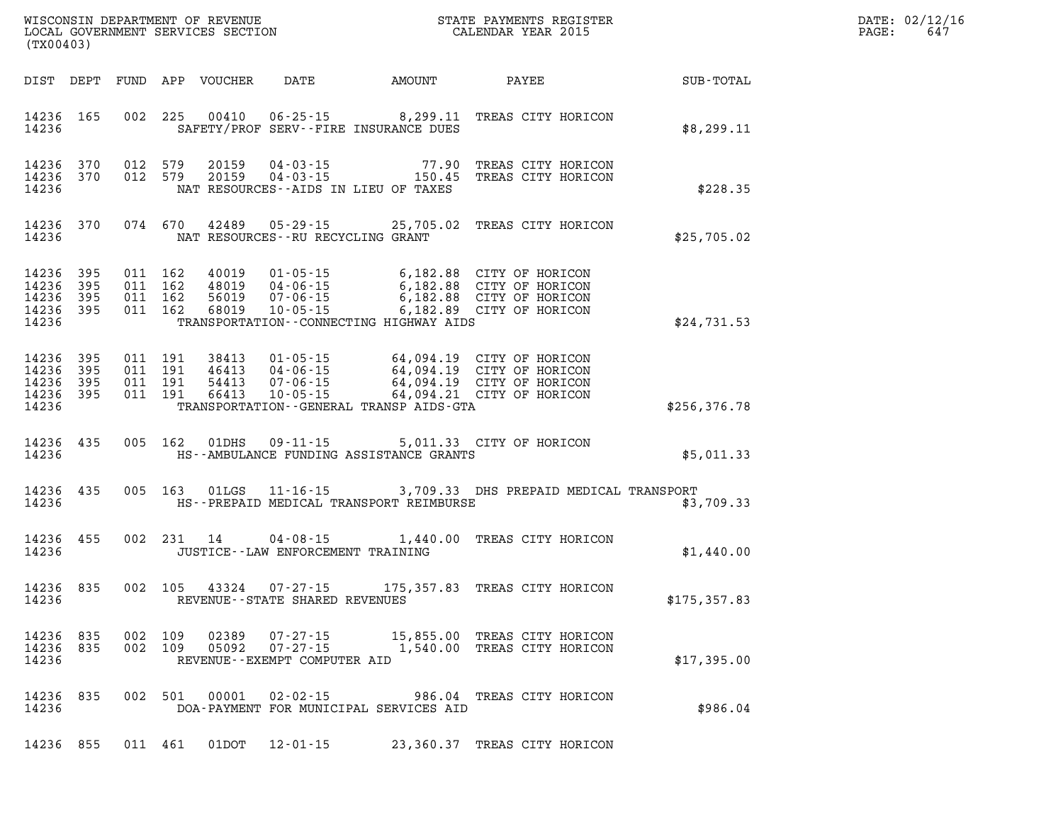| DATE: | 02/12/16 |
|-------|----------|
| PAGE: | 647      |

| (TX00403)                                                                                                                                                                                                                                                                                                                        |                                        |                                                             | <b>TER EXECUTE:</b> | DATE: 02/12/1<br>PAGE:<br>647 |
|----------------------------------------------------------------------------------------------------------------------------------------------------------------------------------------------------------------------------------------------------------------------------------------------------------------------------------|----------------------------------------|-------------------------------------------------------------|---------------------|-------------------------------|
| DIST DEPT FUND APP VOUCHER DATE AMOUNT PAYEE SUB-TOTAL                                                                                                                                                                                                                                                                           |                                        |                                                             |                     |                               |
| 14236 165 002 225 00410 06-25-15 8,299.11 TREAS CITY HORICON<br>SAFETY/PROF SERV--FIRE INSURANCE DUES<br>14236                                                                                                                                                                                                                   |                                        |                                                             | \$8,299.11          |                               |
| 14236 370<br>012 579<br>14236 370<br>14236<br>NAT RESOURCES - AIDS IN LIEU OF TAXES                                                                                                                                                                                                                                              |                                        |                                                             | \$228.35            |                               |
| 14236 370 074 670 42489 05-29-15 25,705.02 TREAS CITY HORICON<br>NAT RESOURCES--RU RECYCLING GRANT<br>14236                                                                                                                                                                                                                      |                                        |                                                             | \$25,705.02         |                               |
| 011 162 40019 01-05-15 6,182.88 CITY OF HORICON<br>011 162 48019 04-06-15 6,182.88 CITY OF HORICON<br>011 162 56019 07-06-15 6,182.88 CITY OF HORICON<br>011 162 68019 10-05-15 6,182.89 CITY OF HORICON<br>14236 395<br>14236 395<br>14236 395<br>14236 395<br>14236<br>TRANSPORTATION - CONNECTING HIGHWAY AIDS                |                                        |                                                             | \$24,731.53         |                               |
| 011 191 38413 01-05-15 64,094.19 CITY OF HORICON<br>011 191 46413 04-06-15 64,094.19 CITY OF HORICON<br>011 191 54413 07-06-15 64,094.19 CITY OF HORICON<br>011 191 66413 10-05-15 64,094.21 CITY OF HORICON<br>14236 395<br>14236 395<br>14236 395<br>011 191<br>14236 395<br>14236<br>TRANSPORTATION - GENERAL TRANSP AIDS GTA |                                        |                                                             | \$256,376.78        |                               |
| 14236 435 005 162 01DHS 09-11-15 5,011.33 CITY OF HORICON<br>14236<br>HS--AMBULANCE FUNDING ASSISTANCE GRANTS                                                                                                                                                                                                                    |                                        |                                                             | \$5,011.33          |                               |
| 005 163 01LGS 11-16-15 3,709.33 DHS PREPAID MEDICAL TRANSPORT<br>14236 435<br>14236<br>HS--PREPAID MEDICAL TRANSPORT REIMBURSE                                                                                                                                                                                                   |                                        |                                                             | \$3,709.33          |                               |
| 14236 455<br>002 231 14<br>14236<br>JUSTICE--LAW ENFORCEMENT TRAINING                                                                                                                                                                                                                                                            | 04-08-15 1,440.00 TREAS CITY HORICON   |                                                             | \$1,440.00          |                               |
| 002 105 43324 07-27-15 175,357.83 TREAS CITY HORICON<br>14236 835<br>14236<br>REVENUE--STATE SHARED REVENUES                                                                                                                                                                                                                     |                                        |                                                             | \$175, 357.83       |                               |
| 14236 835<br>002 109<br>02389<br>14236 835<br>002 109<br>05092<br>$07 - 27 - 15$<br>14236<br>REVENUE--EXEMPT COMPUTER AID                                                                                                                                                                                                        | 07-27-15                               | 15,855.00 TREAS CITY HORICON<br>1,540.00 TREAS CITY HORICON | \$17,395.00         |                               |
| 00001<br>$02 - 02 - 15$<br>14236 835<br>002 501<br>14236                                                                                                                                                                                                                                                                         | DOA-PAYMENT FOR MUNICIPAL SERVICES AID | 986.04 TREAS CITY HORICON                                   | \$986.04            |                               |
| 14236 855<br>011 461<br>12-01-15<br>01DOT                                                                                                                                                                                                                                                                                        |                                        | 23,360.37 TREAS CITY HORICON                                |                     |                               |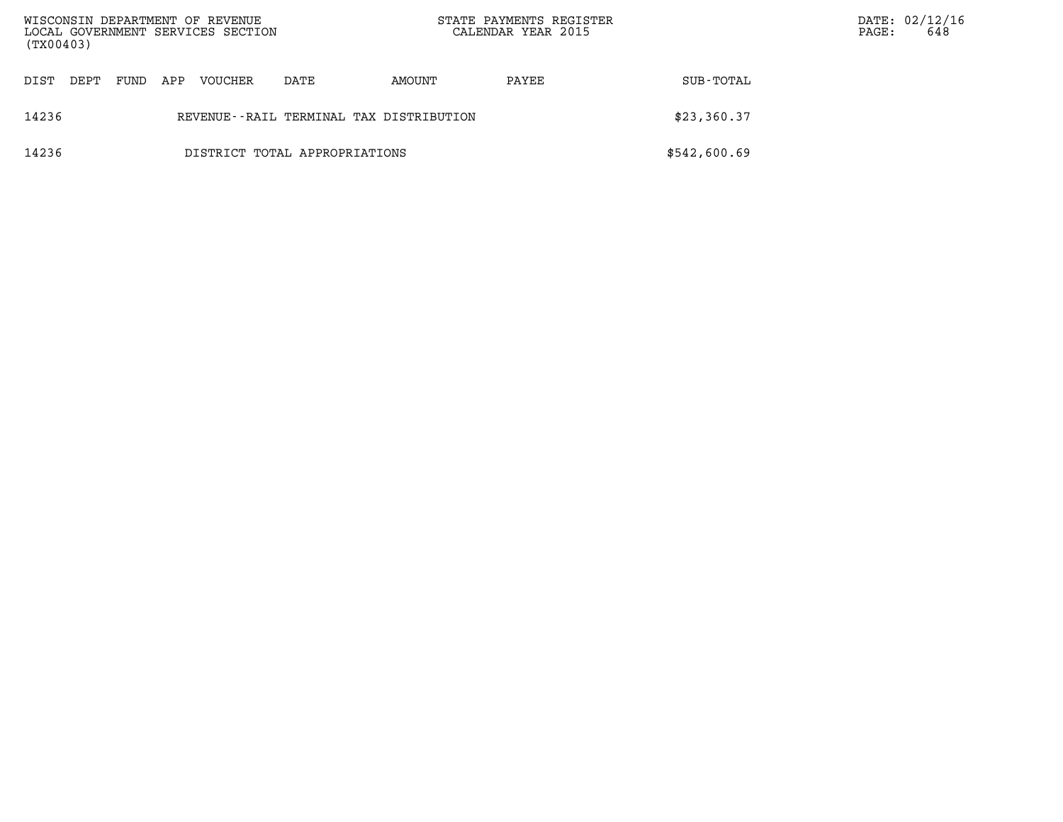| (TX00403)                                        |      |      |     | WISCONSIN DEPARTMENT OF REVENUE<br>LOCAL GOVERNMENT SERVICES SECTION |      | STATE PAYMENTS REGISTER<br>CALENDAR YEAR 2015 |       | PAGE:        | DATE: 02/12/16<br>648 |  |
|--------------------------------------------------|------|------|-----|----------------------------------------------------------------------|------|-----------------------------------------------|-------|--------------|-----------------------|--|
| DIST                                             | DEPT | FUND | APP | <b>VOUCHER</b>                                                       | DATE | AMOUNT                                        | PAYEE | SUB-TOTAL    |                       |  |
| 14236<br>REVENUE--RAIL TERMINAL TAX DISTRIBUTION |      |      |     |                                                                      |      |                                               |       | \$23,360.37  |                       |  |
| 14236<br>DISTRICT TOTAL APPROPRIATIONS           |      |      |     |                                                                      |      |                                               |       | \$542,600.69 |                       |  |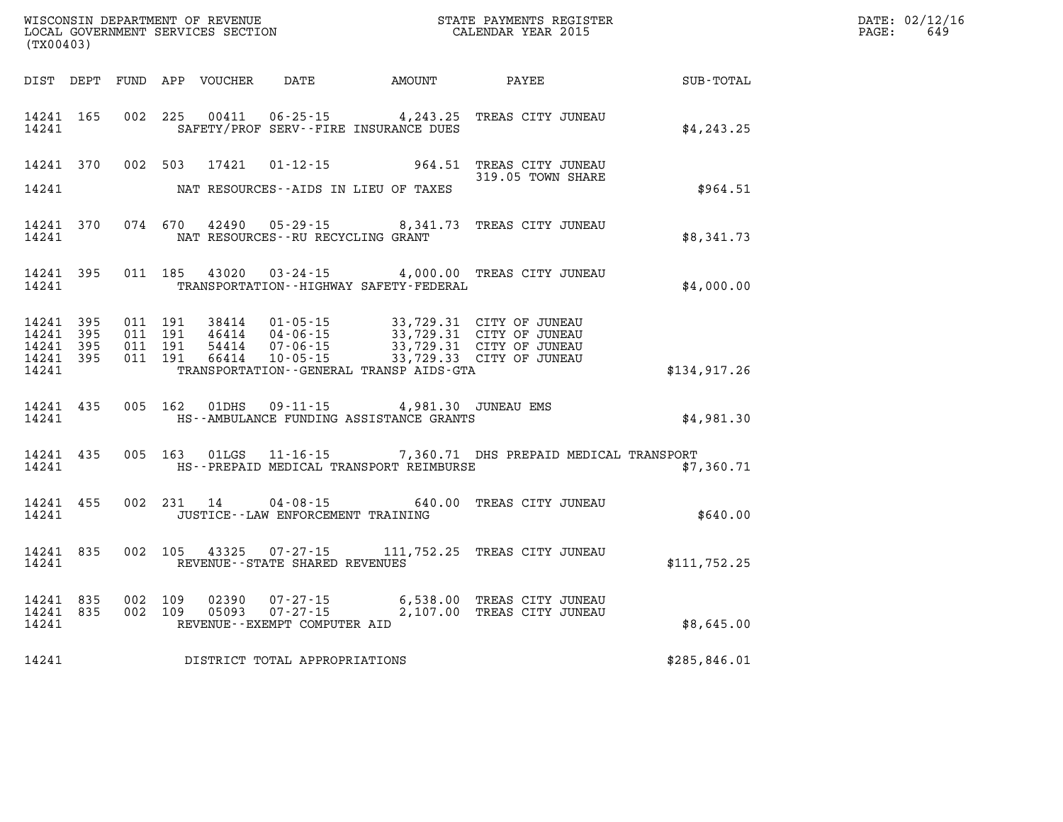| (TX00403)                       |                        |  |                                          |                                                                                                 | ${\tt WISCONSIM\ DEPARTMENT\ OF\ REVENUE}\hbox{\tt STATE\ PAYMENTS\ REGISTER}\hbox{\tt LOCAL\ GOVERNMENT\ SERVICES\ SECTION}\hbox{\tt SECTION}\hbox{\tt CALENDAR YEAR\ 2015}$                                                  |              | DATE: 02/12/16<br>$\mathtt{PAGE:}$<br>649 |
|---------------------------------|------------------------|--|------------------------------------------|-------------------------------------------------------------------------------------------------|--------------------------------------------------------------------------------------------------------------------------------------------------------------------------------------------------------------------------------|--------------|-------------------------------------------|
|                                 |                        |  |                                          | DIST DEPT FUND APP VOUCHER DATE AMOUNT PAYEE                                                    |                                                                                                                                                                                                                                | SUB-TOTAL    |                                           |
| 14241                           |                        |  |                                          | SAFETY/PROF SERV--FIRE INSURANCE DUES                                                           | 14241 165 002 225 00411 06-25-15 4,243.25 TREAS CITY JUNEAU                                                                                                                                                                    | \$4, 243.25  |                                           |
|                                 |                        |  |                                          | 14241 NAT RESOURCES--AIDS IN LIEU OF TAXES                                                      | 14241 370 002 503 17421 01-12-15 964.51 TREAS CITY JUNEAU<br>319.05 TOWN SHARE                                                                                                                                                 | \$964.51     |                                           |
|                                 |                        |  | 14241 NAT RESOURCES--RU RECYCLING GRANT  |                                                                                                 | 14241 370 074 670 42490 05-29-15 8,341.73 TREAS CITY JUNEAU                                                                                                                                                                    | \$8,341.73   |                                           |
| 14241                           |                        |  |                                          | TRANSPORTATION - - HIGHWAY SAFETY - FEDERAL                                                     | 14241 395 011 185 43020 03-24-15 4,000.00 TREAS CITY JUNEAU                                                                                                                                                                    | \$4,000.00   |                                           |
| 14241 395<br>14241 395<br>14241 | 14241 395<br>14241 395 |  |                                          | TRANSPORTATION - - GENERAL TRANSP AIDS - GTA                                                    | 011 191 38414 01-05-15 33,729.31 CITY OF JUNEAU<br>011 191 46414 04-06-15 33,729.31 CITY OF JUNEAU<br>011 191 54414 07-06-15 33,729.31 CITY OF JUNEAU<br>011 191 66414 10-05-15 33,729.33 CITY OF JUNEAU                       | \$134,917.26 |                                           |
| 14241                           |                        |  |                                          | 14241 435 005 162 01DHS 09-11-15 4,981.30 JUNEAU EMS<br>HS--AMBULANCE FUNDING ASSISTANCE GRANTS |                                                                                                                                                                                                                                | \$4,981.30   |                                           |
|                                 |                        |  |                                          | 14241 HS--PREPAID MEDICAL TRANSPORT REIMBURSE                                                   | 14241 435 005 163 01LGS 11-16-15 7,360.71 DHS PREPAID MEDICAL TRANSPORT                                                                                                                                                        | \$7,360.71   |                                           |
|                                 |                        |  | 14241 JUSTICE - LAW ENFORCEMENT TRAINING |                                                                                                 | 14241 455 002 231 14 04-08-15 640.00 TREAS CITY JUNEAU                                                                                                                                                                         | \$640.00     |                                           |
| 14241                           | 14241 835              |  | REVENUE--STATE SHARED REVENUES           |                                                                                                 | 002 105 43325 07-27-15 111,752.25 TREAS CITY JUNEAU                                                                                                                                                                            | \$111,752.25 |                                           |
|                                 |                        |  | 14241 REVENUE--EXEMPT COMPUTER AID       |                                                                                                 | $\begin{array}{cccccccc} 14241 & 835 & 002 & 109 & 02390 & 07\cdot 27\cdot 15 & 6,538.00 & \text{TREAS CITY JUNEAU} \\ 14241 & 835 & 002 & 109 & 05093 & 07\cdot 27\cdot 15 & 2,107.00 & \text{TREAS CITY JUNEAU} \end{array}$ | \$8,645.00   |                                           |
| 14241                           |                        |  | DISTRICT TOTAL APPROPRIATIONS            |                                                                                                 |                                                                                                                                                                                                                                | \$285,846.01 |                                           |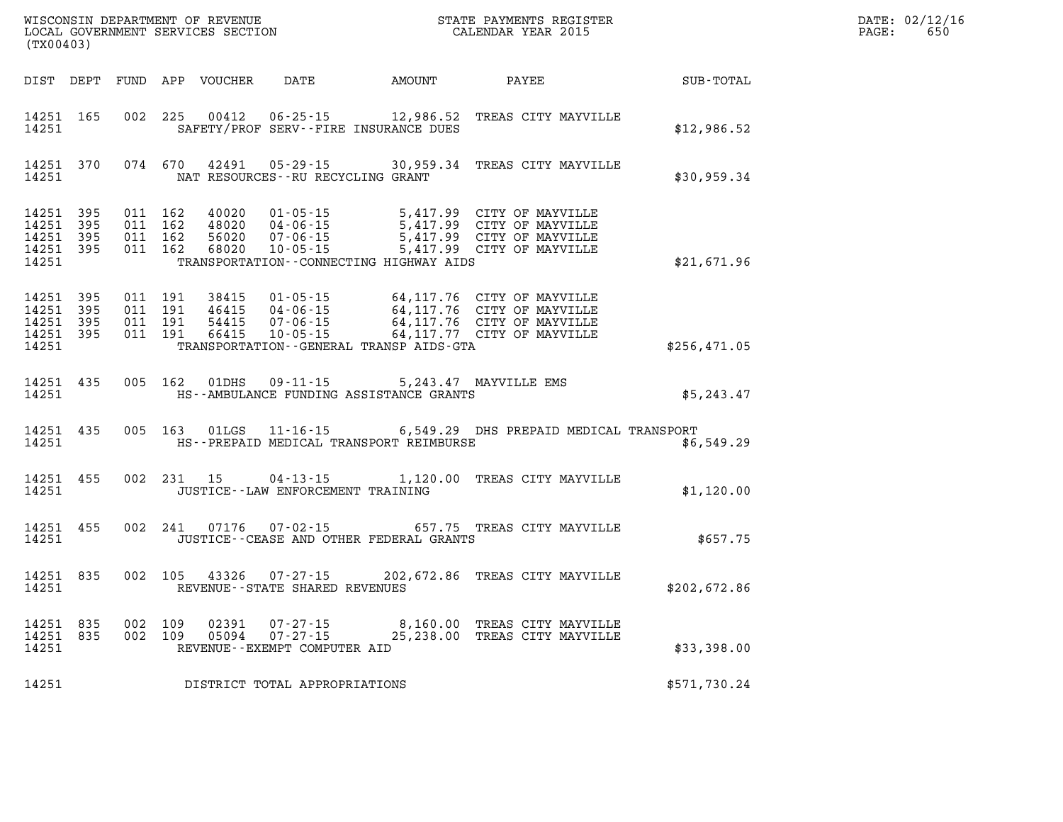| (TX00403)                                                 |           |                    |                               | WISCONSIN DEPARTMENT OF REVENUE<br>LOCAL GOVERNMENT SERVICES SECTION |                                      |                                                                                         | STATE PAYMENTS REGISTER<br>CALENDAR YEAR 2015                                                                                                                                                |                  | DATE: 02/12/16<br>$\mathtt{PAGE:}$<br>650 |
|-----------------------------------------------------------|-----------|--------------------|-------------------------------|----------------------------------------------------------------------|--------------------------------------|-----------------------------------------------------------------------------------------|----------------------------------------------------------------------------------------------------------------------------------------------------------------------------------------------|------------------|-------------------------------------------|
|                                                           |           |                    |                               |                                                                      |                                      | DIST DEPT FUND APP VOUCHER DATE AMOUNT PAYEE                                            |                                                                                                                                                                                              | <b>SUB-TOTAL</b> |                                           |
| 14251 165<br>14251                                        |           |                    |                               |                                                                      |                                      | SAFETY/PROF SERV--FIRE INSURANCE DUES                                                   | 002 225 00412 06-25-15 12,986.52 TREAS CITY MAYVILLE                                                                                                                                         | \$12,986.52      |                                           |
| 14251                                                     |           |                    |                               |                                                                      | NAT RESOURCES--RU RECYCLING GRANT    |                                                                                         | 14251 370 074 670 42491 05-29-15 30,959.34 TREAS CITY MAYVILLE                                                                                                                               | \$30,959.34      |                                           |
| 14251 395<br>14251<br>14251 395<br>14251 395<br>14251     | - 395     | 011 162<br>011 162 | 011 162<br>011 162            | 40020                                                                | 01-05-15                             | TRANSPORTATION--CONNECTING HIGHWAY AIDS                                                 | 5,417.99 CITY OF MAYVILLE<br>5,417.99 CITY OF MAYVILLE<br>5,417.99 CITY OF MAYVILLE<br>68020  10-05-15  5,417.99  CITY OF MAYVILLE                                                           | \$21,671.96      |                                           |
| 14251 395<br>14251 395<br>14251 395<br>14251 395<br>14251 |           | 011 191            | 011 191<br>011 191<br>011 191 |                                                                      |                                      | TRANSPORTATION--GENERAL TRANSP AIDS-GTA                                                 | 38415  01-05-15  64,117.76  CITY OF MAYVILLE<br>46415  04-06-15  64,117.76  CITY OF MAYVILLE<br>54415  07-06-15  64,117.76  CITY OF MAYVILLE<br>66415  10-05-15  64,117.77  CITY OF MAYVILLE | \$256,471.05     |                                           |
| 14251                                                     | 14251 435 |                    |                               |                                                                      |                                      | 005 162 01DHS 09-11-15 5,243.47 MAYVILLE EMS<br>HS--AMBULANCE FUNDING ASSISTANCE GRANTS |                                                                                                                                                                                              | \$5,243.47       |                                           |
| 14251                                                     | 14251 435 |                    |                               |                                                                      |                                      | HS--PREPAID MEDICAL TRANSPORT REIMBURSE                                                 | 005 163 01LGS 11-16-15 6,549.29 DHS PREPAID MEDICAL TRANSPORT                                                                                                                                | \$6,549.29       |                                           |
| 14251 455<br>14251                                        |           |                    |                               |                                                                      | JUSTICE - - LAW ENFORCEMENT TRAINING |                                                                                         | 002 231 15 04-13-15 1,120.00 TREAS CITY MAYVILLE                                                                                                                                             | \$1,120.00       |                                           |
| 14251                                                     | 14251 455 |                    |                               |                                                                      |                                      | JUSTICE--CEASE AND OTHER FEDERAL GRANTS                                                 | 002 241 07176 07-02-15 657.75 TREAS CITY MAYVILLE                                                                                                                                            | \$657.75         |                                           |
| 14251 835<br>14251                                        |           |                    |                               |                                                                      | REVENUE--STATE SHARED REVENUES       |                                                                                         | 002 105 43326 07-27-15 202,672.86 TREAS CITY MAYVILLE                                                                                                                                        | \$202,672.86     |                                           |
| 14251                                                     | 14251 835 | 14251 835 002 109  | 002 109                       |                                                                      | REVENUE--EXEMPT COMPUTER AID         |                                                                                         | 02391  07-27-15  8,160.00 TREAS CITY MAYVILLE<br>05094  07-27-15  25,238.00 TREAS CITY MAYVILLE                                                                                              | \$33,398.00      |                                           |
| 14251                                                     |           |                    |                               |                                                                      | DISTRICT TOTAL APPROPRIATIONS        |                                                                                         |                                                                                                                                                                                              | \$571,730.24     |                                           |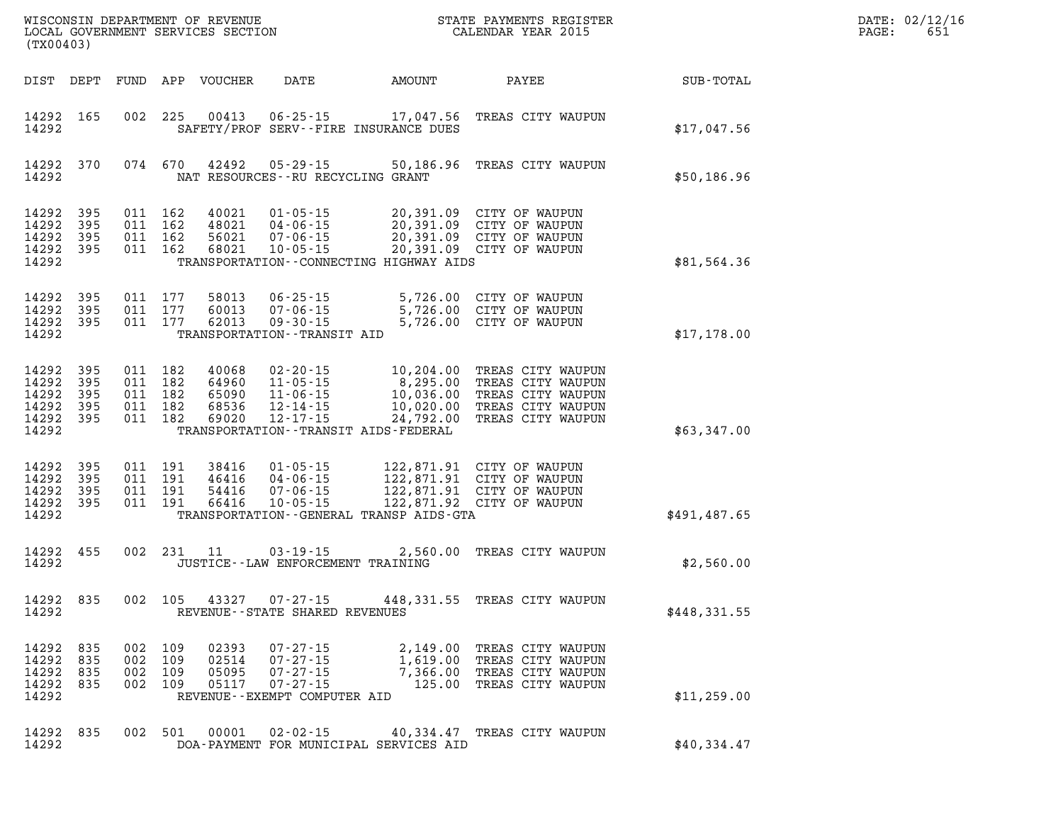| DATE: | 02/12/16 |
|-------|----------|
| PAGE: | 651      |

| (TX00403)                                                 |                          |                                                     |                                  | WISCONSIN DEPARTMENT OF REVENUE<br>LOCAL GOVERNMENT SERVICES SECTION                 |                                           | STATE PAYMENTS REGISTER<br>CALENDAR YEAR 2015                                                                                                                                                                  |              | DATE: 02/12/1<br>PAGE:<br>651 |
|-----------------------------------------------------------|--------------------------|-----------------------------------------------------|----------------------------------|--------------------------------------------------------------------------------------|-------------------------------------------|----------------------------------------------------------------------------------------------------------------------------------------------------------------------------------------------------------------|--------------|-------------------------------|
| DIST DEPT                                                 |                          |                                                     | FUND APP VOUCHER                 | DATE                                                                                 | AMOUNT                                    | PAYEE                                                                                                                                                                                                          | SUB-TOTAL    |                               |
| 14292 165<br>14292                                        |                          |                                                     |                                  |                                                                                      | SAFETY/PROF SERV--FIRE INSURANCE DUES     | 002 225 00413 06-25-15 17,047.56 TREAS CITY WAUPUN                                                                                                                                                             | \$17,047.56  |                               |
| 14292 370<br>14292                                        |                          | 074 670                                             | 42492                            | $05 - 29 - 15$<br>NAT RESOURCES--RU RECYCLING GRANT                                  |                                           | 50,186.96 TREAS CITY WAUPUN                                                                                                                                                                                    | \$50,186.96  |                               |
| 14292<br>14292<br>14292<br>14292 395<br>14292             | 395<br>395<br>395        | 011 162<br>011 162<br>011 162<br>011 162            | 40021<br>56021<br>68021          | 48021 04-06-15                                                                       | TRANSPORTATION--CONNECTING HIGHWAY AIDS   | 01-05-15 20,391.09 CITY OF WAUPUN<br>04-06-15 20,391.09 CITY OF WAUPUN<br>07-06-15 20,391.09 CITY OF WAUPUN<br>10-05-15 20,391.09 CITY OF WAUPUN                                                               | \$81,564.36  |                               |
| 14292 395<br>14292<br>14292 395<br>14292                  | 395                      | 011 177<br>011 177<br>011 177                       | 58013<br>62013                   | $06 - 25 - 15$<br>60013 07-06-15<br>$09 - 30 - 15$<br>TRANSPORTATION - - TRANSIT AID |                                           | 5,726.00 CITY OF WAUPUN<br>5,726.00 CITY OF WAUPUN<br>5,726.00 CITY OF WAUPUN                                                                                                                                  | \$17,178.00  |                               |
| 14292<br>14292<br>14292<br>14292<br>14292 395<br>14292    | 395<br>395<br>395<br>395 | 011 182<br>011 182<br>011 182<br>011 182<br>011 182 | 40068<br>68536<br>69020          | 12-14-15<br>$12 - 17 - 15$                                                           | TRANSPORTATION - - TRANSIT AIDS - FEDERAL | 02-20-15 10,204.00 TREAS CITY WAUPUN<br>64960 11-05-15 8,295.00 TREAS CITY WAUPUN<br>65090 11-06-15 10,036.00 TREAS CITY WAUPUN<br>10,020.00 TREAS CITY WAUPUN<br>24,792.00 TREAS CITY WAUPUN                  | \$63,347.00  |                               |
| 14292<br>14292<br>14292<br>14292 395<br>14292             | 395<br>395<br>395        | 011 191<br>011 191<br>011 191<br>011 191            | 38416<br>46416<br>54416<br>66416 | 04-06-15<br>$07 - 06 - 15$                                                           | TRANSPORTATION--GENERAL TRANSP AIDS-GTA   | 122,871.92 CITY OF WAUPUN                                                                                                                                                                                      | \$491,487.65 |                               |
| 14292 455<br>14292                                        |                          |                                                     | 002 231 11                       | $03 - 19 - 15$<br>JUSTICE - - LAW ENFORCEMENT TRAINING                               |                                           | 2,560.00 TREAS CITY WAUPUN                                                                                                                                                                                     | \$2,560.00   |                               |
| 14292 835<br>14292                                        |                          | 002 105                                             |                                  | 43327 07-27-15                                                                       | REVENUE--STATE SHARED REVENUES            | 448,331.55 TREAS CITY WAUPUN                                                                                                                                                                                   | \$448,331.55 |                               |
| 14292 835<br>14292 835<br>14292 835<br>14292 835<br>14292 |                          |                                                     |                                  | REVENUE--EXEMPT COMPUTER AID                                                         |                                           | 002 109 02393 07-27-15 2,149.00 TREAS CITY WAUPUN<br>002 109 02514 07-27-15 1,619.00 TREAS CITY WAUPUN<br>002 109 05095 07-27-15 7,366.00 TREAS CITY WAUPUN<br>002 109 05117 07-27-15 125.00 TREAS CITY WAUPUN | \$11, 259.00 |                               |
| 14292                                                     | 14292 835                |                                                     |                                  |                                                                                      | DOA-PAYMENT FOR MUNICIPAL SERVICES AID    | 002 501 00001 02-02-15 40,334.47 TREAS CITY WAUPUN                                                                                                                                                             | \$40,334.47  |                               |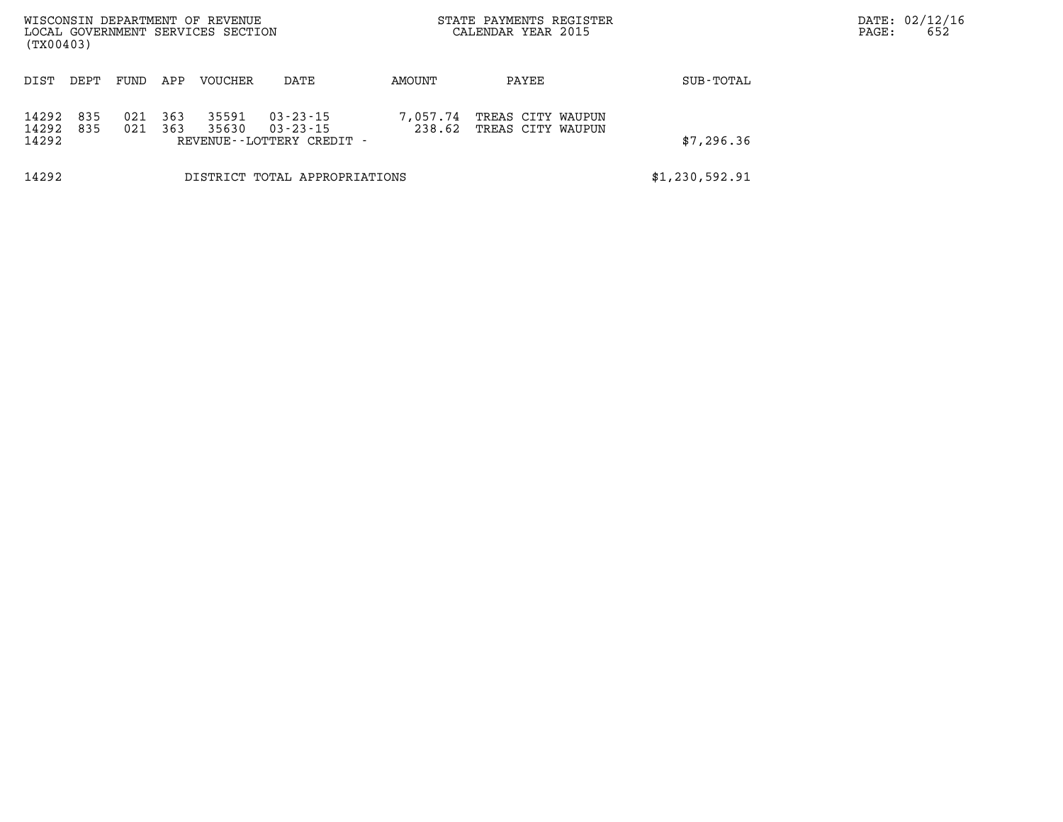| (TX00403)               |            |            |            | WISCONSIN DEPARTMENT OF REVENUE<br>LOCAL GOVERNMENT SERVICES SECTION |                                                            |                    | STATE PAYMENTS REGISTER<br>CALENDAR YEAR 2015 |                | DATE: 02/12/16<br>652<br>PAGE: |
|-------------------------|------------|------------|------------|----------------------------------------------------------------------|------------------------------------------------------------|--------------------|-----------------------------------------------|----------------|--------------------------------|
| DIST                    | DEPT       | FUND       | APP        | <b>VOUCHER</b>                                                       | DATE                                                       | AMOUNT             | PAYEE                                         | SUB-TOTAL      |                                |
| 14292<br>14292<br>14292 | 835<br>835 | 021<br>021 | 363<br>363 | 35591<br>35630                                                       | 03-23-15<br>$03 - 23 - 15$<br>REVENUE - - LOTTERY CREDIT - | 7,057.74<br>238.62 | TREAS CITY WAUPUN<br>TREAS CITY WAUPUN        | \$7,296.36     |                                |
| 14292                   |            |            |            |                                                                      | DISTRICT TOTAL APPROPRIATIONS                              |                    |                                               | \$1,230,592.91 |                                |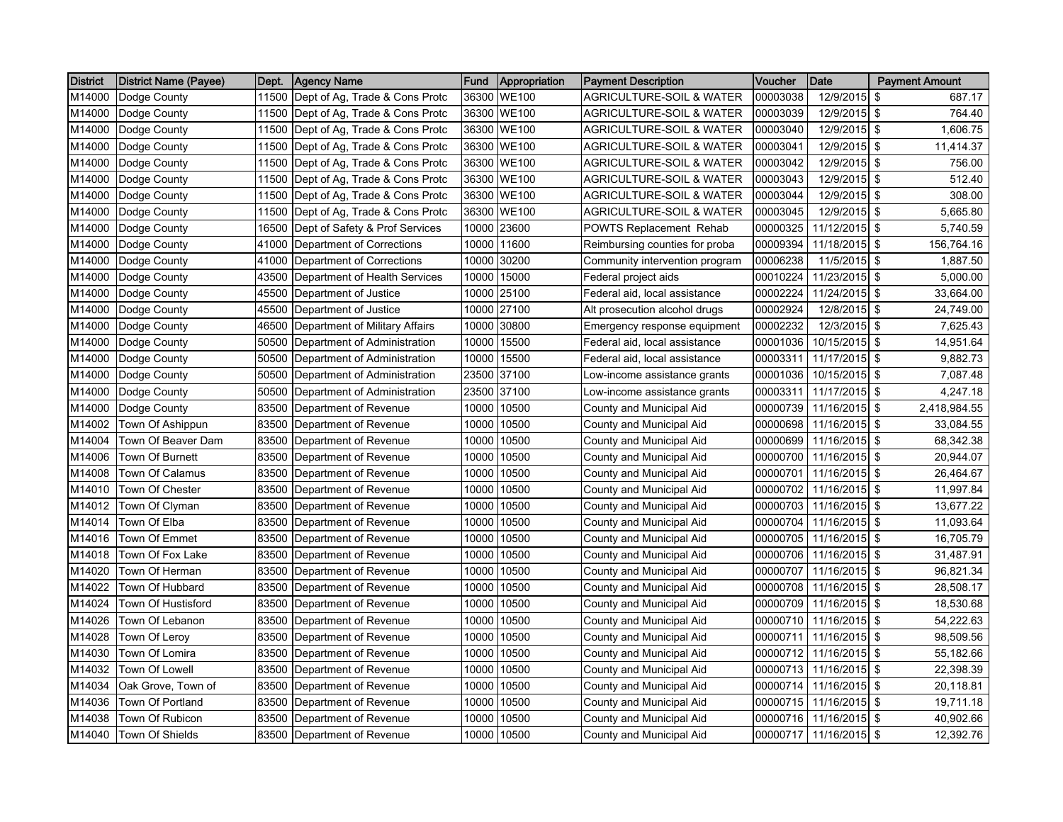| District | <b>District Name (Payee)</b> | Dept. | <b>Agency Name</b>                   | Fund  | Appropriation | <b>Payment Description</b>          | Voucher  | Date                   | <b>Payment Amount</b> |
|----------|------------------------------|-------|--------------------------------------|-------|---------------|-------------------------------------|----------|------------------------|-----------------------|
| M14000   | Dodge County                 |       | 11500 Dept of Ag, Trade & Cons Protc | 36300 | <b>WE100</b>  | <b>AGRICULTURE-SOIL &amp; WATER</b> | 00003038 | 12/9/2015              | \$<br>687.17          |
| M14000   | Dodge County                 | 11500 | Dept of Ag, Trade & Cons Protc       | 36300 | <b>WE100</b>  | AGRICULTURE-SOIL & WATER            | 00003039 | 12/9/2015              | \$<br>764.40          |
| M14000   | Dodge County                 | 11500 | Dept of Ag, Trade & Cons Protc       | 36300 | <b>WE100</b>  | <b>AGRICULTURE-SOIL &amp; WATER</b> | 00003040 | 12/9/2015 \$           | 1,606.75              |
| M14000   | Dodge County                 | 11500 | Dept of Ag, Trade & Cons Protc       | 36300 | <b>WE100</b>  | AGRICULTURE-SOIL & WATER            | 00003041 | 12/9/2015 \$           | 11,414.37             |
| M14000   | Dodge County                 |       | 11500 Dept of Ag, Trade & Cons Protc | 36300 | <b>WE100</b>  | <b>AGRICULTURE-SOIL &amp; WATER</b> | 00003042 | 12/9/2015 \$           | 756.00                |
| M14000   | Dodge County                 |       | 11500 Dept of Ag, Trade & Cons Protc | 36300 | <b>WE100</b>  | <b>AGRICULTURE-SOIL &amp; WATER</b> | 00003043 | 12/9/2015              | \$<br>512.40          |
| M14000   | Dodge County                 | 11500 | Dept of Ag, Trade & Cons Protc       | 36300 | <b>WE100</b>  | <b>AGRICULTURE-SOIL &amp; WATER</b> | 00003044 | 12/9/2015              | \$<br>308.00          |
| M14000   | Dodge County                 | 11500 | Dept of Ag, Trade & Cons Protc       | 36300 | <b>WE100</b>  | <b>AGRICULTURE-SOIL &amp; WATER</b> | 00003045 | 12/9/2015 \$           | 5,665.80              |
| M14000   | Dodge County                 | 16500 | Dept of Safety & Prof Services       | 10000 | 23600         | POWTS Replacement Rehab             | 00000325 | 11/12/2015             | \$<br>5,740.59        |
| M14000   | Dodge County                 | 41000 | Department of Corrections            | 10000 | 11600         | Reimbursing counties for proba      | 00009394 | 11/18/2015 \$          | 156,764.16            |
| M14000   | Dodge County                 |       | 41000 Department of Corrections      | 10000 | 30200         | Community intervention program      | 00006238 | 11/5/2015              | \$<br>1,887.50        |
| M14000   | Dodge County                 | 43500 | Department of Health Services        | 10000 | 15000         | Federal project aids                | 00010224 | 11/23/2015 \$          | 5,000.00              |
| M14000   | Dodge County                 | 45500 | Department of Justice                | 10000 | 25100         | Federal aid, local assistance       | 00002224 | 11/24/2015             | \$<br>33,664.00       |
| M14000   | Dodge County                 | 45500 | Department of Justice                | 10000 | 27100         | Alt prosecution alcohol drugs       | 00002924 | 12/8/2015 \$           | 24,749.00             |
| M14000   | Dodge County                 | 46500 | Department of Military Affairs       | 10000 | 30800         | Emergency response equipment        | 00002232 | 12/3/2015              | \$<br>7,625.43        |
| M14000   | Dodge County                 | 50500 | Department of Administration         | 10000 | 15500         | Federal aid, local assistance       | 00001036 | 10/15/2015 \$          | 14,951.64             |
| M14000   | Dodge County                 | 50500 | Department of Administration         | 10000 | 15500         | Federal aid, local assistance       | 00003311 | 11/17/2015 \$          | 9,882.73              |
| M14000   | Dodge County                 | 50500 | Department of Administration         | 23500 | 37100         | Low-income assistance grants        | 00001036 | 10/15/2015 \$          | 7,087.48              |
| M14000   | Dodge County                 | 50500 | Department of Administration         | 23500 | 37100         | Low-income assistance grants        | 00003311 | 11/17/2015             | \$<br>4,247.18        |
| M14000   | Dodge County                 | 83500 | Department of Revenue                | 10000 | 10500         | County and Municipal Aid            | 00000739 | 11/16/2015             | \$<br>2,418,984.55    |
| M14002   | Town Of Ashippun             | 83500 | Department of Revenue                | 10000 | 10500         | County and Municipal Aid            | 00000698 | 11/16/2015             | \$<br>33,084.55       |
| M14004   | Town Of Beaver Dam           | 83500 | Department of Revenue                | 10000 | 10500         | County and Municipal Aid            | 00000699 | 11/16/2015 \$          | 68,342.38             |
| M14006   | <b>Town Of Burnett</b>       |       | 83500 Department of Revenue          | 10000 | 10500         | County and Municipal Aid            | 00000700 | 11/16/2015 \$          | 20,944.07             |
| M14008   | Town Of Calamus              | 83500 | Department of Revenue                | 10000 | 10500         | County and Municipal Aid            | 00000701 | 11/16/2015 \$          | 26,464.67             |
| M14010   | Town Of Chester              | 83500 | Department of Revenue                | 10000 | 10500         | County and Municipal Aid            | 00000702 | 11/16/2015 \$          | 11,997.84             |
| M14012   | Town Of Clyman               | 83500 | Department of Revenue                | 10000 | 10500         | County and Municipal Aid            | 00000703 | 11/16/2015             | -\$<br>13,677.22      |
| M14014   | Town Of Elba                 | 83500 | Department of Revenue                | 10000 | 10500         | County and Municipal Aid            | 00000704 | 11/16/2015             | \$<br>11,093.64       |
| M14016   | <b>Town Of Emmet</b>         |       | 83500 Department of Revenue          | 10000 | 10500         | County and Municipal Aid            | 00000705 | $11/16/2015$ \$        | 16,705.79             |
| M14018   | Town Of Fox Lake             | 83500 | Department of Revenue                | 10000 | 10500         | County and Municipal Aid            | 00000706 | 11/16/2015             | \$<br>31,487.91       |
| M14020   | Town Of Herman               | 83500 | Department of Revenue                | 10000 | 10500         | County and Municipal Aid            | 00000707 | 11/16/2015 \$          | 96,821.34             |
| M14022   | Town Of Hubbard              | 83500 | Department of Revenue                | 10000 | 10500         | County and Municipal Aid            | 00000708 | 11/16/2015 \$          | 28,508.17             |
| M14024   | Town Of Hustisford           | 83500 | Department of Revenue                | 10000 | 10500         | County and Municipal Aid            | 00000709 | 11/16/2015 \$          | 18,530.68             |
| M14026   | Town Of Lebanon              | 83500 | Department of Revenue                | 10000 | 10500         | County and Municipal Aid            | 00000710 | 11/16/2015 \$          | 54,222.63             |
| M14028   | Town Of Leroy                | 83500 | Department of Revenue                | 10000 | 10500         | County and Municipal Aid            | 00000711 | 11/16/2015             | \$<br>98,509.56       |
| M14030   | Town Of Lomira               | 83500 | Department of Revenue                | 10000 | 10500         | County and Municipal Aid            | 00000712 | 11/16/2015             | \$<br>55,182.66       |
| M14032   | Town Of Lowell               | 83500 | Department of Revenue                | 10000 | 10500         | County and Municipal Aid            | 00000713 | 11/16/2015             | \$<br>22,398.39       |
| M14034   | Oak Grove, Town of           | 83500 | Department of Revenue                | 10000 | 10500         | County and Municipal Aid            | 00000714 | 11/16/2015             | \$<br>20,118.81       |
| M14036   | Town Of Portland             | 83500 | Department of Revenue                | 10000 | 10500         | County and Municipal Aid            | 00000715 | 11/16/2015             | \$<br>19,711.18       |
| M14038   | Town Of Rubicon              | 83500 | Department of Revenue                | 10000 | 10500         | County and Municipal Aid            | 00000716 | 11/16/2015 \$          | 40,902.66             |
| M14040   | <b>Town Of Shields</b>       |       | 83500 Department of Revenue          | 10000 | 10500         | County and Municipal Aid            |          | 00000717 11/16/2015 \$ | 12,392.76             |